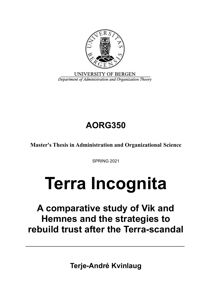

UNIVERSITY OF BERGEN Department of Administration and Organization Theory

# **AORG350**

**Master's Thesis in Administration and Organizational Science**

SPRING 2021

# **Terra Incognita**

## **A comparative study of Vik and Hemnes and the strategies to rebuild trust after the Terra-scandal**

**Terje-André Kvinlaug**

**\_\_\_\_\_\_\_\_\_\_\_\_\_\_\_\_\_\_\_\_\_\_\_\_\_\_\_\_\_\_\_\_\_\_\_\_\_\_\_\_\_\_\_\_\_\_\_\_\_\_\_\_\_\_\_\_\_\_\_\_\_\_\_\_\_\_\_**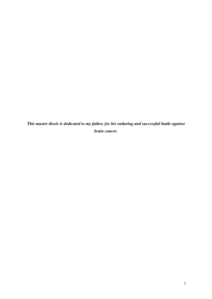*This master thesis is dedicated to my father, for his enduring and successful battle against brain cancer.*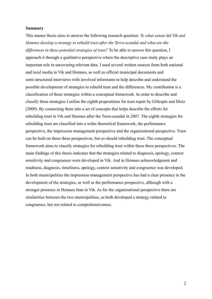#### **Summary**

This master thesis aims to answer the following research question: *To what extent did Vik and Hemnes develop a strategy to rebuild trust after the Terra-scandal and what are the differences in these potential strategies of trust?* To be able to answer this question, I approach it through a qualitative perspective where the descriptive case study plays an important role in uncovering relevant data. I used several written sources from both national and local media in Vik and Hemnes, as well as official municipal documents and semi-structured interviews with involved informants to help describe and understand the possible development of strategies to rebuild trust and the differences. My contribution is a classification of these strategies within a conceptual framework. In order to describe and classify these strategies I utilize the eighth propositions for trust repair by Gillespie and Dietz (2009). By connecting them into a set of concepts that helps describe the efforts for rebuilding trust in Vik and Hemnes after the Terra-scandal in 2007. The eighth strategies for rebuilding trust are classified into a wider theoretical framework, the performance perspective, the impression management perspective and the organizational perspective. Trust can be built on these three perspectives, but so should rebuilding trust. The conceptual framework aims to classify strategies for rebuilding trust within these three perspectives. The main findings of this thesis indicates that the strategies related to diagnosis, apology, context sensitivity and congruence were developed in Vik. And in Hemnes acknowledgment and readiness, diagnosis, timeliness, apology, context sensitivity and congruence was developed. In both municipalities the impression management perspective has had a clear presence in the development of the strategies, as well as the performance perspective, although with a stronger presence in Hemnes than in Vik. As for the organizational perspective there are similarities between the two municipalities, as both developed a strategy related to congruence, but not related to comprehensiveness.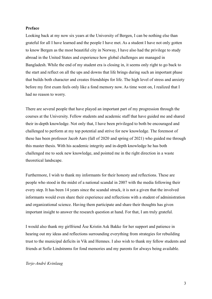#### **Preface**

Looking back at my now six years at the University of Bergen, I can be nothing else than grateful for all I have learned and the people I have met. As a student I have not only gotten to know Bergen as the most beautiful city in Norway, I have also had the privilege to study abroad in the United States and experience how global challenges are managed in Bangladesh. While the end of my student era is closing in, it seems only right to go back to the start and reflect on all the ups and downs that life brings during such an important phase that builds both character and creates friendships for life. The high level of stress and anxiety before my first exam feels only like a fond memory now. As time went on, I realized that I had no reason to worry.

There are several people that have played an important part of my progression through the courses at the University. Fellow students and academic staff that have guided me and shared their in-depth knowledge. Not only that, I have been privileged to both be encouraged and challenged to perform at my top potential and strive for new knowledge. The foremost of these has been professor Jacob Aars (fall of 2020 and spring of 2021) who guided me through this master thesis. With his academic integrity and in-depth knowledge he has both challenged me to seek new knowledge, and pointed me in the right direction in a waste theoretical landscape.

Furthermore, I wish to thank my informants for their honesty and reflections. These are people who stood in the midst of a national scandal in 2007 with the media following their every step. It has been 14 years since the scandal struck, it is not a given that the involved informants would even share their experience and reflections with a student of administration and organizational science. Having them participate and share their thoughts has given important insight to answer the research question at hand. For that, I am truly grateful.

I would also thank my girlfriend Åse Kristin Ask Bakke for her support and patience in hearing out my ideas and reflections surrounding everything from strategies for rebuilding trust to the municipal deficits in Vik and Hemnes. I also wish to thank my fellow students and friends at Sofie Lindstrøms for fond memories and my parents for always being available.

#### *Terje-André Kvinlaug*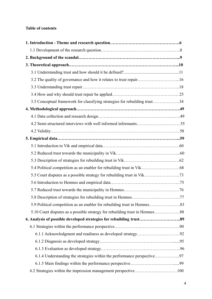### **Table of contents**

| 3.2 The quality of governance and how it relates to trust repair16          |  |
|-----------------------------------------------------------------------------|--|
|                                                                             |  |
|                                                                             |  |
| 3.5 Conceptual framework for classifying strategies for rebuilding trust34  |  |
|                                                                             |  |
|                                                                             |  |
|                                                                             |  |
|                                                                             |  |
|                                                                             |  |
|                                                                             |  |
|                                                                             |  |
|                                                                             |  |
|                                                                             |  |
|                                                                             |  |
|                                                                             |  |
|                                                                             |  |
|                                                                             |  |
|                                                                             |  |
| 5.10 Court disputes as a possible strategy for rebuilding trust in Hemnes88 |  |
|                                                                             |  |
|                                                                             |  |
|                                                                             |  |
|                                                                             |  |
|                                                                             |  |
| 6.1.4 Understanding the strategies within the performance perspective97     |  |
|                                                                             |  |
|                                                                             |  |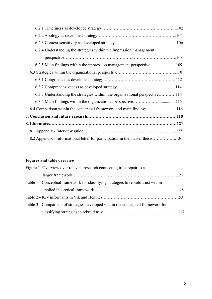| 6.2.4 Understanding the strategies within the impression management           |  |
|-------------------------------------------------------------------------------|--|
|                                                                               |  |
|                                                                               |  |
|                                                                               |  |
|                                                                               |  |
|                                                                               |  |
| 6.3.3 Understanding the strategies within the organizational perspective114   |  |
|                                                                               |  |
|                                                                               |  |
|                                                                               |  |
|                                                                               |  |
|                                                                               |  |
| 8.2 Appendix - Informational letter for participation in the master thesis136 |  |

## **Figures and table overview**

| Figure 1- Overview over relevant research connecting trust repair to a            |  |
|-----------------------------------------------------------------------------------|--|
|                                                                                   |  |
| Table 1 - Conceptual framework for classifying strategies to rebuild trust within |  |
|                                                                                   |  |
|                                                                                   |  |
| Table 3 - Comparison of strategies developed within the conceptual framework for  |  |
|                                                                                   |  |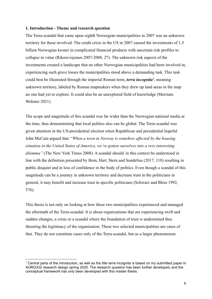#### **1. Introduction - Theme and research question**

The Terra-scandal that came upon eighth Norwegian municipalities in 2007 was an unknown territory for those involved. The credit crisis in the US in 2007 caused the investments of 1,5 billion Norwegian kroner in complicated financial products with uncertain risk profiles to collapse in value (Riksrevisjonen 2007-2008, 27). The unknown risk aspects of the investments created a landscape that no other Norwegian municipalities had been involved in, experiencing such grave losses the municipalities stood above a demanding task. This task could best be illustrated through the imperial Roman term, *terra incognita<sup>1</sup>* , meaning unknown territory, labeled by Roman mapmakers when they drew up land areas in the map no one had yet to explore. It could also be an unexplored field of knowledge (Merriam Webster 2021).

The scope and magnitude of this scandal was far wider than the Norwegian national media at the time, thus demonstrating that local politics also can be global. The Terra-scandal was given attention in the US-presidential election when Republican and presidential hopeful John McCain argued that: "*When a town in Norway is somehow affected by the housing situation in the United States of America, we've gotten ourselves into a very interesting dilemma"* (The New York Times 2008). A scandal should in this context be understood in line with the definition presented by Boin, Hart, Stern and Sundelius (2017, 110) resulting in public disquiet and in loss of confidence in the body of politics. Even though a scandal of this magnitude can be a journey in unknown territory and decrease trust in the politicians in general, it may benefit and increase trust in specific politicians (Schwarz and Bless 1992, 576).

This thesis is not only on looking at how these two municipalities experienced and managed the aftermath of the Terra-scandal. It is about organizations that are experiencing swift and sudden changes, a crisis or a scandal where the foundation of trust is undermined thus threeting the legitimacy of the organization. These two selected municipalities are cases of that. They do not constitute cases only of the Terra-scandal, but as a larger phenomenon.

 $1$  Central parts of the introduction, as well as the title terra incognita is based on my submitted paper in AORG332 research design spring 2020. The research question has been further developed, and the conceptual framework has only been developed with this master thesis.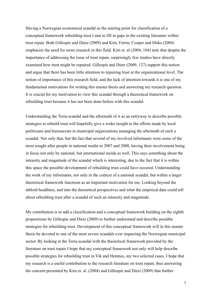Having a Norwegian economical scandal as the starting point for classification of a conceptual framework rebuilding trust I aim to fill in gaps in the existing literature within trust repair. Both Gillespie and Dietz (2009) and Kim, Ferrin, Cooper and Dirks (2004) emphasize the need for more research in this field. Kim et. al (2004, 104) note that despite the importance of addressing the issue of trust repair, surprisingly few studies have directly examined how trust might be repaired. Gillespie and Dietz (2009, 127) support this notion and argue that there has been little attention to repairing trust at the organizational level. The notion of importance of this research field, and the lack of attention towards it is one of my fundamental motivations for writing this master thesis and answering my research question. It is crucial for my motivation to view this scandal through a theoretical framework on rebuilding trust because it has not been done before with this scandal.

Understanding the Terra-scandal and the aftermath of it as an entryway to describe possible strategies to rebuild trust will hopefully give a wider insight to the efforts made by local politicians and bureaucrats in municipal organizations managing the aftermath of such a scandal. Not only that, but the fact that several of my involved informants were some of the most sought after people in national media in 2007 and 2008, having their involvement being in focus not only by national, but international meida as well. This says something about the intensity and magnitude of the scandal which is interesting, due to the fact that it is within this space the possible development of rebuilding trust could have occured. Understanding the work of my informants, not only in the context of a national scandal, but within a larger theoretical framework functions as an important motivation for me. Looking beyond the tabloid headlines, and into the theoretical perspectives and what the empirical data could tell about rebuilding trust after a scandal of such an intensity and magnitude.

My contribution is to add a classification and a conceptual framework building on the eighth propositions by Gillespie and Dietz (2009) to further understand and describe possible strategies for rebuilding trust. Development of this conceptual framework will in this master thesis be devoted to one of the most severe scandals ever impacting the Norwegian municipal sector. By looking at the Terra-scandal with the theoretical framework provided by the literature on trust repair I hope that my conceptual framework not only will help describe possible strategies for rebuilding trust in Vik and Hemnes, my two selected cases. I hope that my research is a useful contribution to the research literature on trust repair, thus answering the concern presented by Kim et. al. (2004) and Gillespie and Dietz (2009) that further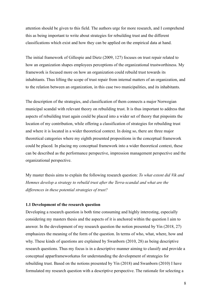attention should be given to this field. The authors urge for more research, and I comprehend this as being important to write about strategies for rebuilding trust and the different classifications which exist and how they can be applied on the empirical data at hand.

The initial framework of Gillespie and Dietz (2009, 127) focuses on trust repair related to how an organization shapes employees perceptions of the organizational trustworthiness. My framework is focused more on how an organization could rebuild trust towards its inhabitants. Thus lifting the scope of trust repair from internal matters of an organization, and to the relation between an organization, in this case two municipalities, and its inhabitants.

The description of the strategies, and classification of them connects a major Norwegian municipal scandal with relevant theory on rebuilding trust. It is thus important to address that aspects of rebuilding trust again could be placed into a wider set of theory that pinpoints the location of my contribution, while offering a classification of strategies for rebuilding trust and where it is located in a wider theoretical context. In doing so, there are three major theoretical categories where my eighth presented propositions in the conceptual framework could be placed. In placing my conceptual framework into a wider theoretical context, these can be described as the performance perspective, impression management perspective and the organizational perspective.

My master thesis aims to explain the following research question: *To what extent did Vik and Hemnes develop a strategy to rebuild trust after the Terra-scandal and what are the differences in these potential strategies of trust?*

#### **1.1 Development of the research question**

Developing a research question is both time consuming and highly interesting, especially considering my masters thesis and the aspects of it is anchored within the question I aim to answer. In the development of my research question the notion presented by Yin (2018, 27) emphasizes the meaning of the form of the question. In terms of who, what, where, how and why. These kinds of questions are explained by Swanborn (2010, 28) as being descriptive research questions. Thus my focus is in a descriptive manner aiming to classify and provide a conceptual apparframeworkatus for understanding the development of strategies for rebuilding trust. Based on the notions presented by Yin (2018) and Swanborn (2010) I have formulated my research question with a descriptive perspective. The rationale for selecting a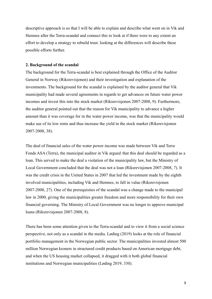descriptive approach is so that I will be able to explain and describe what went on in Vik and Hemnes after the Terra-scandal and connect this to look at if there were to any extent an effort to develop a strategy to rebuild trust. looking at the differences will describe these possible efforts further.

#### **2. Background of the scandal**

The background for the Terra-scandal is best explained through the Office of the Auditor General in Norway (Riksrevisjonen) and their investigation and explanation of the investments. The background for the scandal is explained by the auditor general that Vik municipality had made several agreements in regards to get advances on future water power incomes and invest this into the stock market (Riksrevisjonen 2007-2008, 9). Furthermore, the auditor general pointed out that the reason for Vik municipality to advance a higher amount than it was coverage for in the water power income, was that the municipality would make use of its low rents and thus increase the yield in the stock market (Riksrevisjonen 2007-2008, 38).

The deal of financial sales of the water power income was made between Vik and Terra Fonds ASA (Terra), the municipal auditor in Vik argued that this deal should be regarded as a loan. This served to make the deal a violation of the municipality law, but the Ministry of Local Government concluded that the deal was not a loan (Riksrevisjonen 2007-2008, 7). It was the credit crisis in the United States in 2007 that led the investment made by the eighth involved municipalities, including Vik and Hemnes, to fall in value (Riksrevisjonen 2007-2008, 27). One of the prerequisites of the scandal was a change made to the municipal law in 2000, giving the municipalities greater freedom and more responsibility for their own financial governing. The Ministry of Local Government was no longer to approve municipal loans (Riksrevisjonen 2007-2008, 8).

There has been some attention given to the Terra-scandal and to view it from a social science perspective, not only as a scandal in the media. Løding (2019) looks at the role of financial portfolio management in the Norwegian public sector. The municipalities invested almost 500 million Norwegian kroners in structured credit products based on American mortgage debt, and when the US housing market collapsed, it dragged with it both global financial institutions and Norwegian municipalities (Løding 2019, 330).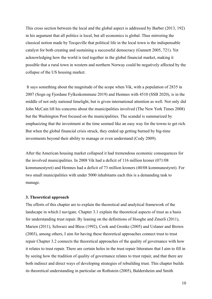This cross section between the local and the global aspect is addressed by Barber (2013, 192) in his argument that all politics is local, but all economics is global. Thus mirroring the classical notion made by Tocquville that political life in the local town is the indispensable catalyst for both creating and sustaining a successful democracy (Gannett 2005, 721). Yet acknowledging how the world is tied together in the global financial market, making it possible that a rural town in western and northern Norway could be negatively affected by the collapse of the US housing market.

It says something about the magnitude of the scope when Vik, with a population of 2835 in 2007 (Sogn og Fjordane Fylkeskommune 2019) and Hemnes with 4510 (SSB 2020), is in the middle of not only national limelight, but is given international attention as well. Not only did John McCain lift his concerns about the municipalities involved (The New York Times 2008) but the Washington Post focused on the municipalities. The scandal is summarized by emphasizing that the investment at the time seemed like an easy way for the towns to get rich. But when the global financial crisis struck, they ended up getting burned by big-time investments beyond their ability to manage or even understand (Cody 2009).

After the American housing market collapsed it had tremendous economic consequences for the involved municipalities. In 2008 Vik had a deficit of 116 million kroner (071/08 kommunestyret) and Hemnes had a deficit of 73 million kroners (40/08 kommunestyret). For two small municipalities with under 5000 inhabitants each this is a demanding task to manage.

#### **3. Theoretical approach**

The efforts of this chapter are to explain the theoretical and analytical framework of the landscape in which I navigate. Chapter 3.1 explain the theoretical aspects of trust as a basis for understanding trust repair. By leaning on the definitions of Hooghe and Zmerli (2011), Marien (2011), Schwarz and Bless (1992), Cook and Gronke (2005) and Uslaner and Brown (2003), among others, I aim for having these theoretical approaches connect trust to trust repair Chapter 3.2 connects the theoretical approaches of the quality of governance with how it relates to trust repair. There are certain holes in the trust repair litterature that I aim to fill in by seeing how the tradition of quality of governance relates to trust repair, and that there are both indirect and direct ways of developing strategies of rebuilding trust. This chapter builds its theoretical understanding in particular on Rothstein (2005), Baldersheim and Smith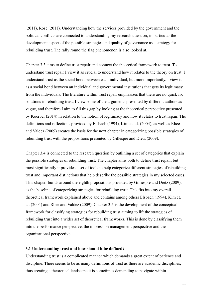(2011), Rose (2011). Understanding how the services provided by the government and the political conflicts are connected to understanding my research question, in particular the development aspect of the possible strategies and quality of governance as a strategy for rebuilding trust. The rally round the flag phenomenon is also looked at.

Chapter 3.3 aims to define trust repair and connect the theoretical framework to trust. To understand trust repair I view it as crucial to understand how it relates to the theory on trust. I understand trust as the social bond between each individual, but more importantly. I view it as a social bond between an individual and governmental institutions that gets its legitimacy from the individuals. The literature within trust repair emphasizes that there are no quick fix solutions in rebuilding trust, I view some of the arguments presented by different authors as vague, and therefore I aim to fill this gap by looking at the theoretical perspective presented by Koerber (2014) in relation to the notion of legitimacy and how it relates to trust repair. The definitions and reflections provided by Elsbach (1994), Kim et. al. (2004), as well as Rhee and Valdez (2009) creates the basis for the next chapter in categorizing possible strategies of rebuilding trust with the propositions presented by Gillespie and Dietz (2009).

Chapter 3.4 is connected to the research question by outlining a set of categories that explain the possible strategies of rebuilding trust. The chapter aims both to define trust repair, but most significantly it provides a set of tools to help categorize different strategies of rebuilding trust and important distinctions that help describe the possible strategies in my selected cases. This chapter builds around the eighth propositions provided by Gilliespie and Dietz (2009), as the baseline of categorizing strategies for rebuilding trust. This fits into my overall theoretical framework explained above and contains among others Elsbach (1994), Kim et. al. (2004) and Rhee and Valdez (2009). Chapter 3.5 is the development of the conceptual framework for classifying strategies for rebuilding trust aiming to lift the strategies of rebuilding trust into a wider set of theoretical frameworks. This is done by classifying them into the performance perspective, the impression management perspective and the organizational perspective.

#### **3.1 Understanding trust and how should it be defined?**

Understanding trust is a complicated manner which demands a great extent of patience and discipline. There seems to be as many definitions of trust as there are academic disciplines, thus creating a theoretical landscape it is sometimes demanding to navigate within.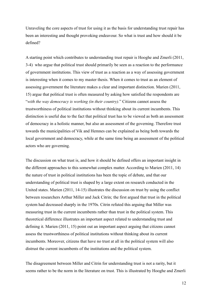Unraveling the core aspects of trust for using it as the basis for understanding trust repair has been an interesting and thought provoking endeavour. So what is trust and how should it be defined?

A starting point which contributes to understanding trust repair is Hooghe and Zmerli (2011, 3-4) who argue that political trust should primarily be seen as a reaction to the performance of government institutions. This view of trust as a reaction as a way of assessing government is interesting when it comes to my master thesis. When it comes to trust as an element of assessing government the literature makes a clear and important distinction. Marien (2011, 15) argue that political trust is often measured by asking how satisfied the respondents are "*with the way democracy is working (in their country).*" Citizens cannot assess the trustworthiness of political institutions without thinking about its current incumbents. This distinction is useful due to the fact that political trust has to be viewed as both an assessment of democracy in a holistic manner, but also an assessment of the governing. Therefore trust towards the municipalities of Vik and Hemnes can be explained as being both towards the local government and democracy, while at the same time being an assessment of the political actors who are governing.

The discussion on what trust is, and how it should be defined offers an important insight in the different approaches to this somewhat complex matter. According to Marien (2011, 14) the nature of trust in political institutions has been the topic of debate, and that our understanding of political trust is shaped by a large extent on research conducted in the United states. Marien (2011, 14-15) illustrates the discussion on trust by using the conflict between researchers Arthur Miller and Jack Citrin; the first argued that trust in the political system had decreased sharply in the 1970s. Citrin refuted this arguing that Miller was measuring trust in the current incumbents rather than trust in the political system. This theoretical difference illustrates an important aspect related to understanding trust and defining it. Marien (2011, 15) point out an important aspect arguing that citizens cannot assess the trustworthiness of political institutions without thinking about its current incumbents. Moreover, citizens that have no trust at all in the political system will also distrust the current incumbents of the institutions and the political system.

The disagreement between Miller and Citrin for understanding trust is not a rarity, but it seems rather to be the norm in the literature on trust. This is illustrated by Hooghe and Zmerli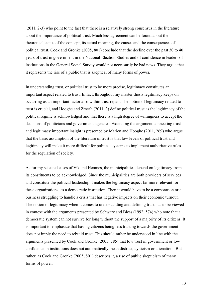(2011, 2-3) who point to the fact that there is a relatively strong consensus in the literature about the importance of political trust. Much less agreement can be found about the theoretical status of the concept, its actual meaning, the causes and the consequences of political trust. Cook and Gronke (2005, 801) conclude that the decline over the past 30 to 40 years of trust in government in the National Election Studies and of confidence in leaders of institutions in the General Social Survey would not necessarily be bad news. They argue that it represents the rise of a public that is skeptical of many forms of power.

In understanding trust, or political trust to be more precise, legitimacy constitutes an important aspect related to trust. In fact, throughout my master thesis legitimacy keeps on occurring as an important factor also within trust repair. The notion of legitimacy related to trust is crucial, and Hooghe and Zmerli (2011, 3) define political trust as the legitimacy of the political regime is acknowledged and that there is a high degree of willingness to accept the decisions of politicians and government agencies. Extending the argument connecting trust and legitimacy important insight is presented by Marien and Hooghe (2011, 269) who argue that the basic assumption of the literature of trust is that low levels of political trust and legitimacy will make it more difficult for political systems to implement authoritative rules for the regulation of society.

As for my selected cases of Vik and Hemnes, the municipalities depend on legitimacy from its constituents to be acknowledged. Since the municipalities are both providers of services and constitute the political leadership it makes the legitimacy aspect far more relevant for these organizations, as a democratic institution. Then it would have to be a corporation or a business struggling to handle a crisis that has negative impacts on their economic turnout. The notion of legitimacy when it comes to understanding and defining trust has to be viewed in context with the arguments presented by Schwarz and Bless (1992, 574) who note that a democratic system can not survive for long without the support of a majority of its citizens. It is important to emphasize that having citizens being less trusting towards the government does not imply the need to rebuild trust. This should rather be understood in line with the arguments presented by Cook and Gronke (2005, 785) that low trust in government or low confidence in institutions does not automatically mean distrust, cynicism or alienation. But rather, as Cook and Gronke (2005, 801) describes it, a rise of public skepticism of many forms of power.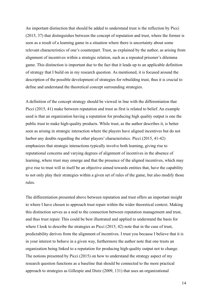An important distinction that should be added to understand trust is the reflection by Picci (2015, 37) that distinguishes between the concept of reputation and trust, where the former is seen as a result of a learning game in a situation where there is uncertainty about some relevant characteristics of one's counterpart. Trust, as explained by the author, as arising from alignment of incentives within a strategic relation, such as a repeated prisoner's dilemma game. This distinction is important due to the fact that it leads up to an applicable definition of strategy that I build on in my research question. As mentioned, it is focused around the description of the possible development of strategies for rebuilding trust, thus it is crucial to define and understand the theoretical concept surrounding strategies.

A definition of the concept strategy should be viewed in line with the differentiation that Picci (2015, 41) make between reputation and trust as first is related to belief. An example used is that an organization having a reputation for producing high quality output is one the public trust to make high-quality products. While trust, as the author describes it, is better seen as arising in strategic interaction where the players have aligned incentives but do not harbor any doubts regarding the other players' characteristics. Picci (2015, 41-42) emphasizes that strategic interactions typically involve both learning, giving rise to reputational concerns and varying degrees of alignment of incentives in the absence of learning, where trust may emerge and that the presence of the aligned incentives, which may give rise to trust will in itself be an objective aimed towards entities that, have the capability to not only play their strategies within a given set of rules of the game, but also modify those rules.

The differentiation presented above between reputation and trust offers an important insight to where I have chosen to approach trust repair within the wider theoretical context. Making this distinction serves as a nod to the connection between reputation management and trust, and thus trust repair. This could be best illustrated and applied to understand the basis for where I look to describe the strategies as Picci (2015, 42) note that in the case of trust, predictability derives from the alignment of incentives. I trust you because I believe that it is in your interest to behave in a given way, furthermore the author note that one trusts an organization being linked to a reputation for producing high-quality output not to change. The notions presented by Picci (2015) on how to understand the strategy aspect of my research question functions as a baseline that should be connected to the more practical approach to strategies as Gillespie and Dietz (2009, 131) that uses an organizational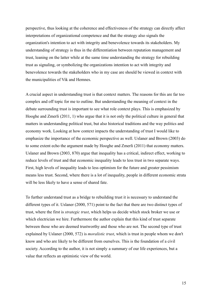perspective, thus looking at the coherence and effectiveness of the strategy can directly affect interpretations of organizational competence and that the strategy also signals the organization's intention to act with integrity and benevolence towards its stakeholders. My understanding of strategy is thus in the differentiation between reputation management and trust, leaning on the latter while at the same time understanding the strategy for rebuilding trust as signaling, or symbolizing the organizations intention to act with integrity and benevolence towards the stakeholders who in my case are should be viewed in context with the municipalities of Vik and Hemnes.

A crucial aspect in understanding trust is that context matters. The reasons for this are far too complex and off topic for me to outline. But understanding the meaning of context in the debate surrounding trust is important to see what role context plays. This is emphasized by Hooghe and Zmerli (2011, 1) who argue that it is not only the political culture in general that matters in understanding political trust, but also historical traditions and the way politics and economy work. Looking at how context impacts the understanding of trust I would like to emphasize the importance of the economic perspective as well. Uslaner and Brown (2003) do to some extent echo the argument made by Hooghe and Zmerli (2011) that economy matters. Uslaner and Brown (2003, 870) argue that inequality has a critical, indirect effect, working to reduce levels of trust and that economic inequality leads to less trust in two separate ways. First, high levels of inequality leads to less optimism for the future and greater pessimism means less trust. Second, where there is a lot of inequality, people in different economic strata will be less likely to have a sense of shared fate.

To further understand trust as a bridge to rebuilding trust it is necessary to understand the different types of it. Uslaner (2000, 571) point to the fact that there are two distinct types of trust, where the first is *strategic trust*, which helps us decide which stock broker we use or which electrician we hire. Furthermore the author explain that this kind of trust separate between those who are deemed trustworthy and those who are not. The second type of trust explained by Uslaner (2000, 572) is *moralistic trust*, which is trust in people whom we don't know and who are likely to be different from ourselves. This is the foundation of a civil society. According to the author, it is not simply a summary of our life experiences, but a value that reflects an optimistic view of the world.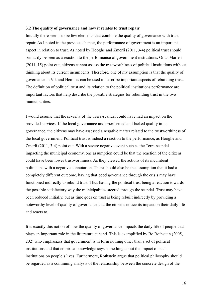#### **3.2 The quality of governance and how it relates to trust repair**

Initially there seems to be few elements that combine the quality of governance with trust repair. As I noted in the previous chapter, the performance of government is an important aspect in relation to trust. As noted by Hooghe and Zmerli (2011, 3-4) political trust should primarily be seen as a reaction to the performance of government institutions. Or as Marien (2011, 15) point out, citizens cannot assess the trustworthiness of political institutions without thinking about its current incumbents. Therefore, one of my assumption is that the quality of governance in Vik and Hemnes can be used to describe important aspects of rebuilding trust. The definition of political trust and its relation to the political institutions performance are important factors that help describe the possible strategies for rebuilding trust in the two municipalities.

I would assume that the severity of the Terra-scandal could have had an impact on the provided services. If the local governance underperformed and lacked quality in its governance, the citizens may have assessed a negative matter related to the trustworthiness of the local government. Political trust is indeed a reaction to the performance, as Hooghe and Zmerli (2011, 3-4) point out. With a severe negative event such as the Terra-scandal impacting the municipal economy, one assumption could be that the reaction of the citizens could have been lower trustworthiness. As they viewed the actions of its incumbent politicians with a negative connotation. There should also be the assumption that it had a completely different outcome, having that good governance through the crisis may have functioned indirectly to rebuild trust. Thus having the political trust being a reaction towards the possible satisfactory way the municipalities steered through the scandal. Trust may have been reduced initially, but as time goes on trust is being rebuilt indirectly by providing a noteworthy level of quality of governance that the citizens notice its impact on their daily life and reacts to.

It is exactly this notion of how the quality of governance impacts the daily life of people that plays an important role in the litterature at hand. This is exemplified by Bo Rothstein (2005, 202) who emphasizes that government is in form nothing other than a set of political institutions and that empirical knowledge says something about the impact of such institutions on people's lives. Furthermore, Rothstein argue that political philosophy should be regarded as a continuing analysis of the relationship between the concrete design of the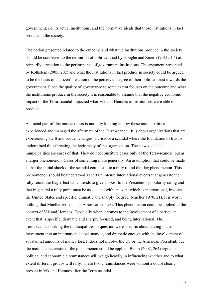government, i.e. its actual institutions, and the normative ideals that those institutions in fact produce in the society.

The notion presented related to the outcome and what the institutions produce in the society should be connected to the definition of political trust by Hooghe and Zmerli (2011, 3-4) as primarily a reaction to the performance of government institutions. The argument presented by Rothstein (2005, 202) and what the institutions in fact produce in society could be argued to be the basis of a citizen's reaction to the perceived degree of their political trust towards the government. Since the quality of governance to some extent focuses on the outcome and what the institutions produce in the society it is reasonable to assume that the negative economic impact of the Terra-scandal impacted what Vik and Hemnes as institutions were able to produce.

A crucial part of this master thesis is not only looking at how these municipalities experienced and managed the aftermath of the Terra-scandal. It is about organizations that are experiencing swift and sudden changes, a crisis or a scandal where the foundation of trust is undermined thus threeting the legitimacy of the organization. These two selected municipalities are cases of that. They do not constitute cases only of the Terra-scandal, but as a larger phenomenon. Cases of something more generally. An assumption that could be made is that the initial shock of the scandal could lead to a rally round the flag phenomenon. This phenomenon should be understood as certain intense international events that generate the rally round the flag effect which tends to give a boost to the President's popularity rating and that in general a rally point must be associated with an event which is international, involves the United States and specific, dramatic and sharply focused (Mueller 1970, 21). It is worth nothing that Mueller writes in an American context. This phenomenon could be applied to the context of Vik and Hemnes. Especially when it comes to the involvement of a particular event that is specific, dramatic and sharply focused, and being international. The Terra-scandal striking the municipalities in question were specific about having made investment into an international stock market, and dramatic enough with the involvement of substantial amounts of money lost. It does not involve the US or the American President, but the main characteristic of the phenomenon could be applied. Baum (2002, 264) argue that political and economic circumstances will weigh heavily in influencing whether and to what extent different groups will rally. These two circumstances were without a doubt clearly present in Vik and Hemnes after the Terra-scandal.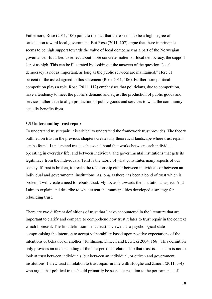Futhernore, Rose (2011, 106) point to the fact that there seems to be a high degree of satisfaction toward local government. But Rose (2011, 107) argue that there in principle seems to be high support towards the value of local democracy as a part of the Norwegian governance. But asked to reflect about more concrete matters of local democracy, the support is not as high. This can be illustrated by looking at the answers of the question "local democracy is not as important, as long as the public services are maintained." Here 31 percent of the asked agreed to this statement (Rose 2011, 106). Furthermore political competition plays a role. Rose (2011, 112) emphasises that politicians, due to competition, have a tendency to meet the public's demand and adjust the production of public goods and services rather than to align production of public goods and services to what the community actually benefits from.

#### **3.3 Understanding trust repair**

To understand trust repair, it is critical to understand the framework trust provides. The theory outlined on trust in the previous chapters creates my theoretical landscape where trust repair can be found. I understand trust as the social bond that works between each individual operating in everyday life, and between individual and governmental institutions that gets its legitimacy from the individuals. Trust is the fabric of what constitutes many aspects of our society. If trust is broken, it breaks the relationship either between individuals or between an individual and governmental institutions. As long as there has been a bond of trust which is broken it will create a need to rebuild trust. My focus is towards the institutional aspect. And I aim to explain and describe to what extent the municipalities developed a strategy for rebuilding trust.

There are two different definitions of trust that I have encountered in the literature that are important to clarify and compare to comprehend how trust relates to trust repair in the context which I present. The first definition is that trust is viewed as a psychological state compromising the intention to accept vulnerability based upon positive expectations of the intentions or behavior of another (Tomlinson, Dineen and Lewicki 2004, 166). This definition only provides an understanding of the interpersonal relationship that trust is. The aim is not to look at trust between individuals, but between an individual, or citizen and government institutions. I view trust in relation to trust repair in line with Hooghe and Zmerli (2011, 3-4) who argue that political trust should primarily be seen as a reaction to the performance of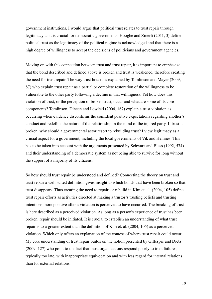government institutions. I would argue that political trust relates to trust repair through legitimacy as it is crucial for democratic governments. Hooghe and Zmerli (2011, 3) define political trust as the legitimacy of the political regime is acknowledged and that there is a high degree of willingness to accept the decisions of politicians and government agencies.

Moving on with this connection between trust and trust repair, it is important to emphasize that the bond described and defined above is broken and trust is weakened, therefore creating the need for trust repair. The way trust breaks is explained by Tomlinson and Mayer (2009, 87) who explain trust repair as a partial or complete restoration of the willingness to be vulnerable to the other party following a decline in that willingness. Yet how does this violation of trust, or the perception of broken trust, occur and what are some of its core components? Tomlinson, Dineen and Lewicki (2004, 167) explain a trust violation as occurring when evidence disconfirms the confident positive expectations regarding another's conduct and redefine the nature of the relationship in the mind of the injured party. If trust is broken, why should a governmental actor resort to rebuilding trust? I view legitimacy as a crucial aspect for a government, including the local governments of Vik and Hemnes. This has to be taken into account with the arguments presented by Schwarz and Bless (1992, 574) and their understanding of a democratic system as not being able to survive for long without the support of a majority of its citizens.

So how should trust repair be understood and defined? Connecting the theory on trust and trust repair a well suited definition gives insight to which bonds that have been broken so that trust disappears. Thus creating the need to repair, or rebuild it. Kim et. al. (2004, 105) define trust repair efforts as activities directed at making a trustor's trusting beliefs and trusting intentions more positive after a violation is perceived to have occurred. The breaking of trust is here described as a perceived violation. As long as a person's experience of trust has been broken, repair should be initiated. It is crucial to establish an understanding of what trust repair is to a greater extent than the definition of Kim et. al. (2004, 105) as a perceived violation. Which only offers an explanation of the context of where trust repair could occur. My core understanding of trust repair builds on the notion presented by Gillespie and Dietz (2009, 127) who point to the fact that most organizations respond poorly to trust failures, typically too late, with inappropriate equivocation and with less regard for internal relations than for external relations.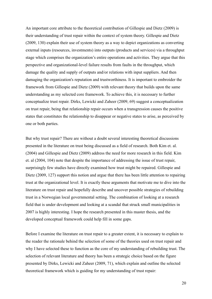An important core attribute to the theoretical contribution of Gillespie and Dietz (2009) is their understanding of trust repair within the context of system theory. Gillespie and Dietz (2009, 130) explain their use of system theory as a way to depict organizations as converting external inputs (resources, investments) into outputs (products and services) via a throughput stage which comprises the organization's entire operations and activities. They argue that this perspective and organizational-level failure results from faults in the throughput, which damage the quality and supply of outputs and/or relations with input suppliers. And then damaging the organization's reputation and trustworthiness. It is important to embroider the framework from Gillespie and Dietz (2009) with relevant theory that builds upon the same understanding as my selected core framework. To achieve this, it is necessary to further conceptualize trust repair. Dirks, Lewicki and Zaheer (2009, 69) suggest a conceptualization on trust repair, being that relationship repair occurs when a transgression causes the positive states that constitutes the relationship to disappear or negative states to arise, as perceived by one or both parties.

But why trust repair? There are without a doubt several interesting theoretical discussions presented in the literature on trust being discussed as a field of research. Both Kim et. al. (2004) and Gillespie and Dietz (2009) address the need for more research in this field. Kim et. al (2004, 104) note that despite the importance of addressing the issue of trust repair, surprisingly few studies have directly examined how trust might be repaired. Gillespie and Dietz (2009, 127) support this notion and argue that there has been little attention to repairing trust at the organizational level. It is exactly these arguments that motivate me to dive into the literature on trust repair and hopefully describe and uncover possible strategies of rebuilding trust in a Norwegian local governmental setting. The combination of looking at a research field that is under development and looking at a scandal that struck small municipalities in 2007 is highly interesting. I hope the research presented in this master thesis, and the developed conceptual framework could help fill in some gaps.

Before I examine the literature on trust repair to a greater extent, it is necessary to explain to the reader the rationale behind the selection of some of the theories used on trust repair and why I have selected these to function as the core of my understanding of rebuilding trust. The selection of relevant literature and theory has been a strategic choice based on the figure presented by Dirks, Lewicki and Zaheer (2009, 71), which explain and outline the selected theoretical framework which is guiding for my understanding of trust repair: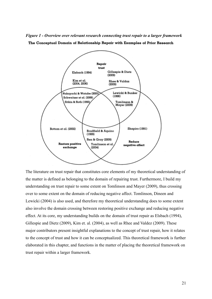*Figure 1 - Overview over relevant research connecting trust repair to a larger framework* The Conceptual Domain of Relationship Repair with Examples of Prior Research



The literature on trust repair that constitutes core elements of my theoretical understanding of the matter is defined as belonging to the domain of repairing trust. Furthermore, I build my understanding on trust repair to some extent on Tomlinson and Mayer (2009), thus crossing over to some extent on the domain of reducing negative affect. Tomlinson, Dineen and Lewicki (2004) is also used, and therefore my theoretical understanding does to some extent also involve the domain crossing between restoring positive exchange and reducing negative effect. At its core, my understanding builds on the domain of trust repair as Elsbach (1994), Gillespie and Dietz (2009), Kim et. al. (2004), as well as Rhee and Valdez (2009). These major contributors present insightful explanations to the concept of trust repair, how it relates to the concept of trust and how it can be conceptualized. This theoretical framework is further elaborated in this chapter, and functions in the matter of placing the theoretical framework on trust repair within a larger framework.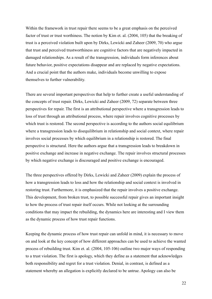Within the framework in trust repair there seems to be a great emphasis on the perceived factor of trust or trust worthiness. The notion by Kim et. al. (2004, 105) that the breaking of trust is a perceived violation built upon by Dirks, Lewicki and Zaheer (2009, 70) who argue that trust and perceived trustworthiness are cognitive factors that are negatively impacted in damaged relationships. As a result of the transgression, individuals form inferences about future behavior, positive expectations disappear and are replaced by negative expectations. And a crucial point that the authors make, individuals become unwilling to expose themselves to further vulnerability.

There are several important perspectives that help to further create a useful understanding of the concepts of trust repair. Dirks, Lewicki and Zaheer (2009, 72) separate between three perspectives for repair. The first is an attributional perspective where a transgression leads to loss of trust through an attributional process, where repair involves cognitive processes by which trust is restored. The second perspective is according to the authors social equilibrium where a transgression leads to disequilibrium in relationship and social context, where repair involves social processes by which equilibrium in a relationship is restored. The final perspective is structural. Here the authors argue that a transgression leads to breakdown in positive exchange and increase in negative exchange. The repair involves structural processes by which negative exchange is discouraged and positive exchange is encouraged.

The three perspectives offered by Dirks, Lewicki and Zaheer (2009) explain the process of how a transgression leads to loss and how the relationship and social context is involved in restoring trust. Furthermore, it is emphasized that the repair involves a positive exchange. This development, from broken trust, to possible successful repair gives an important insight to how the process of trust repair itself occurs. While not looking at the surrounding conditions that may impact the rebuilding, the dynamics here are interesting and I view them as the dynamic process of how trust repair functions.

Keeping the dynamic process of how trust repair can unfold in mind, it is necessary to move on and look at the key concept of how different approaches can be used to achieve the wanted process of rebuilding trust. Kim et. al. (2004, 105-106) outline two major ways of responding to a trust violation. The first is apology, which they define as a statement that acknowledges both responsibility and regret for a trust violation. Denial, in contrast, is defined as a statement whereby an allegation is explicitly declared to be untrue. Apology can also be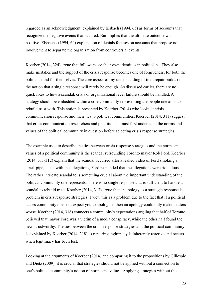regarded as an acknowledgment, explained by Elsbach (1994, 65) as forms of accounts that recognize the negative events that occured. But implies that the ultimate outcome was positive. Elsbach's (1994, 64) explanation of denials focuses on accounts that propose no involvement to separate the organization from controversial events.

Koerber (2014, 324) argue that followers see their own identities in politicians. They also make mistakes and the support of the crisis response becomes one of forgiveness, for both the politician and for themselves. The core aspect of my understanding of trust repair builds on the notion that a single response will rarely be enough. As discussed earlier, there are no quick fixes to how a scandal, crisis or organizational level failure should be handled. A strategy should be embedded within a core community representing the people one aims to rebuild trust with. This notion is presented by Koerber (2014) who looks at crisis communication response and their ties to political communities. Koerber (2014, 311) suggest that crisis communication researchers and practitioners must first understand the norms and values of the political community in question before selecting crisis response strategies.

The example used to describe the ties between crisis response strategies and the norms and values of a political community is the scandal surrounding Toronto mayor Rob Ford. Koerber (2014, 311-312) explain that the scandal occurred after a leaked video of Ford smoking a crack pipe, faced with the allegations, Ford responded that the allegations were ridiculous. The rather intricate scandal tells something crucial about the important understanding of the political community one represents. There is no single response that is sufficient to handle a scandal to rebuild trust. Koerber (2014, 313) argue that an apology as a strategic response is a problem in crisis response strategies. I view this as a problem due to the fact that if a political actors community does not expect you to apologize, then an apology could only make matters worse. Koerber (2014, 316) connects a community's expectations arguing that half of Toronto believed that mayor Ford was a victim of a media conspiracy, while the other half found the news trustworthy. The ties between the crisis response strategies and the political community is explained by Koerber (2014, 318) as repairing legitimacy is inherently reactive and occurs when legitimacy has been lost.

Looking at the arguments of Koerber (2014) and comparing it to the propositions by Gillespie and Dietz (2009), it is crucial that strategies should not be applied without a connection to one's political community's notion of norms and values. Applying strategies without this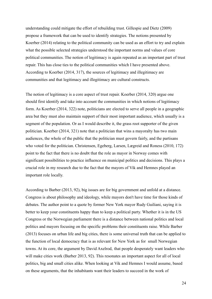understanding could mitigate the effort of rebuilding trust. Gillespie and Dietz (2009) propose a framework that can be used to identify strategies. The notions presented by Koerber (2014) relating to the political community can be used as an effort to try and explain what the possible selected strategies understood the important norms and values of core political communities. The notion of legitimacy is again repeated as an important part of trust repair. This has close ties to the political communities which I have presented above. According to Koerber (2014, 317), the sources of legitimacy and illegitimacy are communities and that legitimacy and illegitimacy are cultural constructs.

The notion of legitimacy is a core aspect of trust repair. Koerber (2014, 320) argue one should first identify and take into account the communities in which notions of legitimacy form. As Koerber (2014, 322) note, politicians are elected to serve all people in a geographic area but they must also maintain support of their most important audience, which usually is a segment of the population. Or as I would describe it, the grass root supporter of the given politician. Koerber (2014, 321) note that a politician that wins a mayoralty has two main audiences, the whole of the public that the politician must govern fairly, and the partisans who voted for the politician. Christensen, Egeberg, Larsen, Lægreid and Roness (2010, 172) point to the fact that there is no doubt that the role as mayor in Norway comes with significant possibilities to practice influence on municipal politics and decisions. This plays a crucial role in my research due to the fact that the mayors of Vik and Hemnes played an important role locally.

According to Barber (2013, 92), big issues are for big government and unfold at a distance. Congress is about philosophy and ideology, while mayors don't have time for those kinds of debates. The author point to a quote by former New York mayor Rudy Guiliani, saying it is better to keep your constituents happy than to keep a political party. Whether it is in the US Congress or the Norwegian parliament there is a distance between national politics and local politics and mayors focusing on the specific problems their constituents raise. While Barber (2013) focuses on urban life and big cities, there is some universal truth that can be applied to the function of local democracy that is as relevant for New York as for small Norwegian towns. At its core, the argument by David Axelrod, that people desperately want leaders who will make cities work (Barber 2013, 92). This resonates an important aspect for all of local politics, big and small cities alike. When looking at Vik and Hemnes I would assume, based on these arguments, that the inhabitants want their leaders to succeed in the work of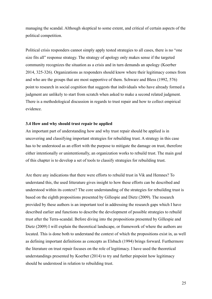managing the scandal. Although skeptical to some extent, and critical of certain aspects of the political competition.

Political crisis responders cannot simply apply tested strategies to all cases, there is no "one size fits all" response strategy. The strategy of apology only makes sense if the targeted community recognizes the situation as a crisis and in turn demands an apology (Koerber 2014, 325-326). Organizations as responders should know where their legitimacy comes from and who are the groups that are most supportive of them. Schwarz and Bless (1992, 576) point to research in social cognition that suggests that individuals who have already formed a judgment are unlikely to start from scratch when asked to make a second related judgment. There is a methodological discussion in regards to trust repair and how to collect empirical evidence.

#### **3.4 How and why should trust repair be applied**

An important part of understanding how and why trust repair should be applied is in uncovering and classifying important strategies for rebuilding trust. A strategy in this case has to be understood as an effort with the purpose to mitigate the damage on trust, therefore either intentionally or unintentionally, an organization works to rebuild trust. The main goal of this chapter is to develop a set of tools to classify strategies for rebuilding trust.

Are there any indications that there were efforts to rebuild trust in Vik and Hemnes? To understand this, the used litterature gives insight to how these efforts can be described and understood within its context? The core understanding of the strategies for rebuilding trust is based on the eighth propositions presented by Gillespie and Dietz (2009). The research provided by these authors is an important tool in addressing the research gaps which I have described earlier and functions to describe the development of possible strategies to rebuild trust after the Terra-scandal. Before diving into the propositions presented by Gillespie and Dietz (2009) I will explain the theoretical landscape, or framework of where the authors are located. This is done both to understand the context of which the propositions exist in, as well as defining important definitions as concepts as Elsbach (1994) brings forward. Furthermore the literature on trust repair focuses on the role of legitimacy. I have used the theoretical understandings presented by Koerber (2014) to try and further pinpoint how legitimacy should be understood in relation to rebuilding trust.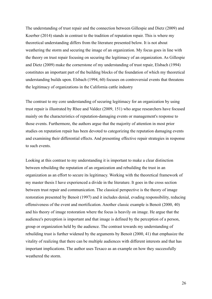The understanding of trust repair and the connection between Gillespie and Dietz (2009) and Koerber (2014) stands in contrast to the tradition of reputation repair. This is where my theoretical understanding differs from the literature presented below. It is not about weathering the storm and securing the image of an organization. My focus goes in line with the theory on trust repair focusing on securing the legitimacy of an organization. As Gillespie and Dietz (2009) make the cornerstone of my understanding of trust repair, Elsbach (1994) constitutes an important part of the building blocks of the foundation of which my theoretical understanding builds upon. Elsbach (1994, 60) focuses on controversial events that threatens the legitimacy of organizations in the California cattle industry

The contrast to my core understanding of securing legitimacy for an organization by using trust repair is illustrated by Rhee and Valdez (2009, 151) who argue researchers have focused mainly on the characteristics of reputation-damaging events or management's response to those events. Furthermore, the authors argue that the majority of attention in most prior studies on reputation repair has been devoted to categorizing the reputation damaging events and examining their differential effects. And presenting effective repair strategies in response to such events.

Looking at this contrast to my understanding it is important to make a clear distinction between rebuilding the reputation of an organization and rebuilding the trust in an organization as an effort to secure its legitimacy. Working with the theoretical framework of my master thesis I have experienced a divide in the literature. It goes in the cross section between trust repair and communication. The classical perspective is the theory of image restoration presented by Benoit (1997) and it includes denial, evading responsibility, reducing offensiveness of the event and mortification. Another classic example is Benoit (2000, 40) and his theory of image restoration where the focus is heavily on image. He argue that the audience's perception is important and that image is defined by the perception of a person, group or organization held by the audience. The contrast towards my understanding of rebuilding trust is further widened by the arguments by Benoit (2000, 41) that emphasize the vitality of realizing that there can be multiple audiences with different interests and that has important implications. The author uses Texaco as an example on how they successfully weathered the storm.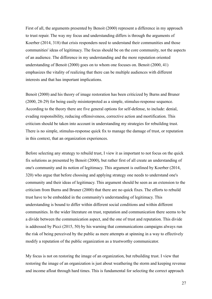First of all, the arguments presented by Benoit (2000) represent a difference in my approach to trust repair. The way my focus and understanding differs is through the arguments of Koerber (2014, 318) that crisis responders need to understand their communities and those communities' ideas of legitimacy. The focus should be on the core community, not the aspects of an audience. The difference in my understanding and the more reputation oriented understanding of Benoit (2000) goes on to whom one focuses on. Benoit (2000, 41) emphasizes the vitality of realizing that there can be multiple audiences with different interests and that has important implications.

Benoit (2000) and his theory of image restoration has been criticized by Burns and Bruner (2000, 28-29) for being easily misinterpreted as a simple, stimulus-response sequence. According to the theory there are five general options for self-defense, to include: denial, evading responsibility, reducing offensiveness, corrective action and mortification. This criticism should be taken into account in understanding my strategies for rebuilding trust. There is no simple, stimulus-response quick fix to manage the damage of trust, or reputation in this context, that an organization experiences.

Before selecting any strategy to rebuild trust, I view it as important to not focus on the quick fix solutions as presented by Benoit (2000), but rather first of all create an understanding of one's community and its notion of legitimacy. This argument is outlined by Koerber (2014, 320) who argue that before choosing and applying strategy one needs to understand one's community and their ideas of legitimacy. This argument should be seen as an extension to the criticism from Burns and Bruner (2000) that there are no quick fixes. The efforts to rebuild trust have to be embedded in the community's understanding of legitimacy. This understanding is bound to differ within different social conditions and within different communities. In the wider literature on trust, reputation and communication there seems to be a divide between the communication aspect, and the one of trust and reputation. This divide is addressed by Picci (2015, 50) by his warning that communications campaigns always run the risk of being perceived by the public as mere attempts at spinning in a way to effectively modify a reputation of the public organization as a trustworthy communicator.

My focus is not on restoring the image of an organization, but rebuilding trust. I view that restoring the image of an organization is just about weathering the storm and keeping revenue and income afloat through hard times. This is fundamental for selecting the correct approach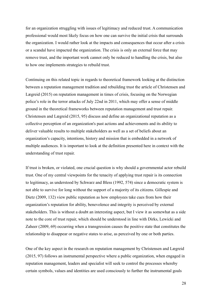for an organization struggling with issues of legitimacy and reduced trust. A communication professional would most likely focus on how one can survive the initial crisis that surrounds the organization. I would rather look at the impacts and consequences that occur after a crisis or a scandal have impacted the organization. The crisis is only an external force that may remove trust, and the important work cannot only be reduced to handling the crisis, but also to how one implements strategies to rebuild trust.

Continuing on this related topic in regards to theoretical framework looking at the distinction between a reputation management tradition and rebuilding trust the article of Christensen and Lægreid (2015) on reputation management in times of crisis, focusing on the Norwegian police's role in the terror attacks of July 22nd in 2011, which may offer a sense of middle ground in the theoretical frameworks between reputation management and trust repair. Christensen and Lægreid (2015, 95) discuss and define an organizational reputation as a collective perception of an organization's past actions and achievements and its ability to deliver valuable results to multiple stakeholders as well as a set of beliefs about an organization's capacity, intentions, history and mission that is embedded in a network of multiple audiences. It is important to look at the definition presented here in context with the understanding of trust repair.

If trust is broken, or violated, one crucial question is why should a governmental actor rebuild trust. One of my central viewpoints for the tenacity of applying trust repair is its connection to legitimacy, as understood by Schwarz and Bless (1992, 574) since a democratic system is not able to survive for long without the support of a majority of its citizens. Gillespie and Dietz (2009, 132) view public reputation as how employees take cues from how their organization's reputation for ability, benevolence and integrity is perceived by external stakeholders. This is without a doubt an interesting aspect, but I view it as somewhat as a side note to the core of trust repair, which should be understood in line with Dirks, Lewicki and Zaheer (2009, 69) occurring when a transgression causes the positive state that constitutes the relationship to disappear or negative states to arise, as perceived by one or both parties.

One of the key aspect in the research on reputation management by Christensen and Lægreid (2015, 97) follows an instrumental perspective where a public organization, when engaged in reputation management, leaders and specialist will seek to control the processes whereby certain symbols, values and identities are used consciously to further the instrumental goals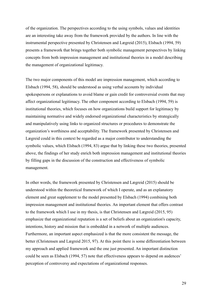of the organization. The perspectives according to the using symbols, values and identities are an interesting take away from the framework provided by the authors. In line with the instrumental perspective presented by Christensen and Lægreid (2015), Elsbach (1994, 59) presents a framework that brings together both symbolic management perspectives by linking concepts from both impression management and institutional theories in a model describing the management of organizational legitimacy.

The two major components of this model are impression management, which according to Elsbach (1994, 58), should be understood as using verbal accounts by individual spokespersons or explanations to avoid blame or gain credit for controversial events that may affect organizational legitimacy. The other component according to Elsbach (1994, 59) is institutional theories, which focuses on how organizations build support for legitimacy by maintaining normative and widely endorsed organizational characteristics by strategically and manipulatively using links to organized structures or procedures to demonstrate the organization's worthiness and acceptability. The framework presented by Christensen and Lægreid could in this context be regarded as a major contributor to understanding the symbolic values, which Elsbach (1994, 83) argue that by linking these two theories, presented above, the findings of her study enrich both impression management and institutional theories by filling gaps in the discussion of the construction and effectiveness of symbolic management.

In other words, the framework presented by Christensen and Lægreid (2015) should be understood within the theoretical framework of which I operate, and as an explanatory element and great supplement to the model presented by Elsbach (1994) combining both impression management and institutional theories. An important element that offers contrast to the framework which I use in my thesis, is that Christensen and Lægreid (2015, 95) emphasize that organizational reputation is a set of beliefs about an organization's capacity, intentions, history and mission that is embedded in a network of multiple audiences. Furthermore, an important aspect emphasized is that the more consistent the message, the better (Christensen and Lægreid 2015, 97). At this point there is some differentiation between my approach and applied framework and the one just presented. An important distinction could be seen as Elsbach (1994, 57) note that effectiveness appears to depend on audences' perception of controversy and expectations of organizational responses.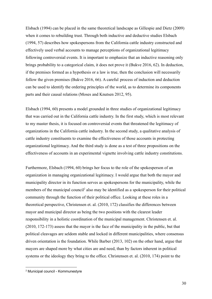Elsbach (1994) can be placed in the same theoretical landscape as Gillespie and Dietz (2009) when it comes to rebuilding trust. Through both inductive and deductive studies Elsbach (1994, 57) describes how spokespersons from the California cattle industry constructed and effectively used verbal accounts to manage perceptions of organizational legitimacy following controversial events. It is important to emphasize that an inductive reasoning only brings probability to a categorical claim, it does not prove it (Bukve 2016, 62). In deduction, if the premises formed as a hypothesis or a law is true, then the conclusion will necessarily follow the given premises (Bukve 2016, 66). A careful process of induction and deduction can be used to identify the ordering principles of the world, as to determine its components parts and their causal relations (Moses and Knutsen 2012, 95).

Elsbach (1994, 60) presents a model grounded in three studies of organizational legitimacy that was carried out in the California cattle industry. In the first study, which is most relevant to my master thesis, it is focused on controversial events that threatened the legitimacy of organizations in the California cattle industry. In the second study, a qualitative analysis of cattle industry constituents to examine the effectiveness of those accounts in protecting organizational legitimacy. And the third study is done as a test of three propositions on the effectiveness of accounts in an experimental vignette involving cattle industry constitutions.

Furthermore, Elsbach (1994, 60) brings her focus to the role of the spokesperson of an organization in managing organizational legitimacy. I would argue that both the mayor and municipality director in its function serves as spokespersons for the municipality, while the members of the municipal council<sup>2</sup> also may be identified as a spokesperson for their political community through the function of their political office. Looking at these roles in a theoretical perspective, Christensen et. al. (2010, 172) classifies the differences between mayor and municipal director as being the two positions with the clearest leader responsibility in a holistic coordination of the municipal management. Christensen et. al. (2010, 172-173) assess that the mayor is the face of the municipality in the public, but that political cleavages are seldom stable and locked in different municipalities, where consensus driven orientation is the foundation. While Barber (2013, 102) on the other hand, argue that mayors are shaped more by what cities are and need, than by factors inherent in political systems or the ideology they bring to the office. Christensen et. al. (2010, 174) point to the

<sup>2</sup> Municipal council - Kommunestyre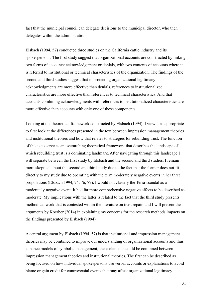fact that the municipal council can delegate decisions to the municipal director, who then delegates within the administration.

Elsbach (1994, 57) conducted three studies on the California cattle industry and its spokespersons. The first study suggest that organizational accounts are constructed by linking two forms of accounts: acknowledgement or denials, with two contents of accounts where it is referred to institutional or technical characteristics of the organization. The findings of the second and third studies suggest that in protecting organizational legitimacy acknowledgments are more effective than denials, references to institutionalized characteristics are more effective than references to technical characteristics. And that accounts combining acknowledgments with references to institutionalized characteristics are more effective than accounts with only one of these components.

Looking at the theoretical framework constructed by Elsbach (1994), I view it as appropriate to first look at the differences presented in the text between impression management theories and institutional theories and how that relates to strategies for rebuilding trust. The function of this is to serve as an overarching theoretical framework that describes the landscape of which rebuilding trust is a dominating landmark. After navigating through this landscape I will separate between the first study by Elsbach and the second and third studies. I remain more skeptical about the second and third study due to the fact that the former does not fit directly to my study due to operating with the term moderately negative events in her three propositions (Elsbach 1994, 74, 76, 77). I would not classify the Terra-scandal as a moderately negative event. It had far more comprehensive negative effects to be described as moderate. My implications with the latter is related to the fact that the third study presents methodical work that is contested within the literature on trust repair, and I will present the arguments by Koerber (2014) in explaining my concerns for the research methods impacts on the findings presented by Elsbach (1994).

A central argument by Elsbach (1994, 57) is that institutional and impression management theories may be combined to improve our understanding of organizational accounts and thus enhance models of symbolic management; these elements could be combined between impression management theories and institutional theories. The first can be described as being focused on how individual spokespersons use verbal accounts or explanations to avoid blame or gain credit for controversial events that may affect organizational legitimacy.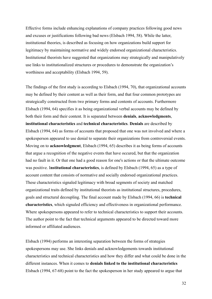Effective forms include enhancing explanations of company practices following good news and excuses or justifications following bad news (Elsbach 1994, 58). While the latter, institutional theories, is described as focusing on how organizations build support for legitimacy by maintaining normative and widely endorsed organizational characteristics. Institutional theorists have suggested that organizations may strategically and manipulatively use links to institutionalized structures or procedures to demonstrate the organization's worthiness and acceptability (Elsbach 1994, 59).

The findings of the first study is according to Elsbach (1994, 70), that organizational accounts may be defined by their content as well as their form, and that four common prototypes are strategically constructed from two primary forms and contents of accounts. Furthermore Elsbach (1994, 64) specifies it as being organizational verbal accounts may be defined by both their form and their content. It is separated between **denials**, **acknowledgments**, **institutional characteristics** and **technical characteristics**. **Denials** are described by Elsbach (1994, 64) as forms of accounts that proposed that one was not involved and where a spokesperson appeared to use denial to separate their organizations from controversial events. Moving on to **acknowledgment**, Elsbach (1994, 65) describes it as being forms of accounts that argue a recognition of the negative events that have occured, but that the organization had no fault in it. Or that one had a good reason for one's actions or that the ultimate outcome was positive. I**nstitutional characteristics**, is defined by Elsbach (1994, 65) as a type of account content that consists of normative and socially endorsed organizational practices. These characteristics signaled legitimacy with broad segments of society and matched organizational traits defined by institutional theorists as institutional structures, procedures, goals and structural decoupling. The final account made by Elsbach (1994, 66) is **technical characteristics**, which signaled efficiency and effectiveness in organizational performance. Where spokespersons appeared to refer to technical characteristics to support their accounts. The author point to the fact that technical arguments appeared to be directed toward more informed or affiliated audiences.

Elsbach (1994) performs an interesting separation between the forms of strategies spokespersons may use. She links denials and acknowledgements towards institutional characteristics and technical characteristics and how they differ and what could be done in the different instances. When it comes to **denials linked to the institutional characteristics** Elsbach (1994, 67-68) point to the fact the spokesperson in her study appeared to argue that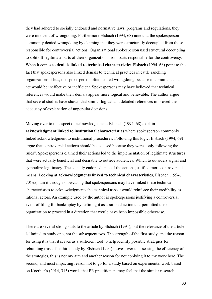they had adhered to socially endorsed and normative laws, programs and regulations, they were innocent of wrongdoing. Furthermore Elsbach (1994, 68) note that the spokesperson commonly denied wrongdoing by claiming that they were structurally decoupled from those responsible for controversial actions. Organizational spokesperson used structural decoupling to split off legitimate parts of their organizations from parts responsible for the controversy. When it comes to **denials linked to technical characteristics** Elsbach (1994, 68) point to the fact that spokespersons also linked denials to technical practices in cattle ranching organizations. Thus, the spokesperson often denied wrongdoing because to commit such an act would be ineffective or inefficient. Spokespersons may have believed that technical references would make their denials appear more logical and believable. The author argue that several studies have shown that similar logical and detailed references improved the adequacy of explanation of unpopular decisions.

Moving over to the aspect of acknowledgement. Elsbach (1994, 68) explain **acknowledgment linked to institutional characteristics** where spokesperson commonly linked acknowledgment to institutional procedures. Following this logic, Elsbach (1994, 69) argue that controversial actions should be excused because they were "only following the rules". Spokespersons claimed their actions led to the implementation of legitimate structures that were actually beneficial and desirable to outside audiences. Which to outsiders signal and symbolize legitimacy. The socially endorsed ends of the actions justified more controversial means. Looking at **acknowledgments linked to technical characteristics**, Elsbach (1994, 70) explain it through showcasing that spokespersons may have linked these technical characteristics to acknowledgments the technical aspect would reinforce their credibility as rational actors. An example used by the author is spokespersons justifying a controversial event of filing for bankruptcy by defining it as a rational action that permitted their organization to proceed in a direction that would have been impossible otherwise.

There are several strong suits to the article by Elsbach (1994), but the relevance of the article is limited to study one, not the subsequent two. The strength of the first study, and the reason for using it is that it serves as a sufficient tool to help identify possible strategies for rebuilding trust. The third study by Elsbach (1994) moves over to assessing the efficiency of the strategies, this is not my aim and another reason for not applying it to my work here. The second, and most impacting reason not to go for a study based on experimental work based on Koerber's (2014, 315) words that PR practitioners may feel that the similar research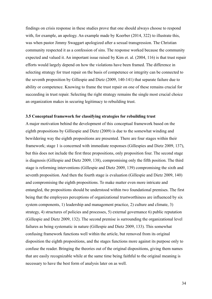findings on crisis response in these studies prove that one should always choose to respond with, for example, an apology. An example made by Koerber (2014, 322) to illustrate this, was when pastor Jimmy Swaggart apologized after a sexual transgression. The Christian community respected it as a confession of sins. The response worked because the community expected and valued it. An important issue raised by Kim et. al. (2004, 116) is that trust repair efforts would largely depend on how the violations have been framed. The difference in selecting strategy for trust repair on the basis of competence or integrity can be connected to the seventh proposition by Gillespie and Dietz (2009, 140-141) that separate failure due to ability or competence. Knowing to frame the trust repair on one of these remains crucial for succeeding in trust repair. Selecting the right strategy remains the single most crucial choice an organization makes in securing legitimacy to rebuilding trust.

#### **3.5 Conceptual framework for classifying strategies for rebuilding trust**

A major motivation behind the development of this conceptual framework based on the eighth propositions by Gilliespie and Dietz (2009) is due to the somewhat winding and bewildering way the eighth propositions are presented. There are four stages within their framework; stage 1 is concerned with immediate responses (Gillespies and Dietz 2009, 137), but this does not include the first three propositions, only proposition four. The second stage is diagnosis (Gillespie and Dietz 2009, 138), compromising only the fifth position. The third stage is reforming interventions (Gillespie and Dietz 2009, 139) compromising the sixth and seventh proposition. And then the fourth stage is evaluation (Gillespie and Dietz 2009, 140) and compromising the eighth propositions. To make matter even more intricate and entangled, the propositions should be understood within two foundational premises. The first being that the employees perceptions of organizational trustworthiness are influenced by six system components, 1) leadership and management practice, 2) culture and climate, 3) strategy, 4) structures of policies and processes, 5) external governance 6) public reputation (Gillespie and Dietz 2009, 132). The second premise is surrounding the organizational level failures as being systematic in nature (Gillespie and Dietz 2009, 133). This somewhat confusing framework functions well within the article, but removed from its original disposition the eighth propositions, and the stages functions more against its purpose only to confuse the reader. Bringing the theories out of the original dispositions, giving them names that are easily recognizable while at the same time being faithful to the original meaning is necessary to have the best form of analysis later on as well.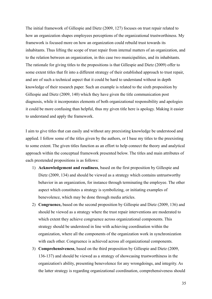The initial framework of Gillespie and Dietz (2009, 127) focuses on trust repair related to how an organization shapes employees perceptions of the organizational trustworthiness. My framework is focused more on how an organization could rebuild trust towards its inhabitants. Thus lifting the scope of trust repair from internal matters of an organization, and to the relation between an organization, in this case two municipalities, and its inhabitants. The rationale for giving titles to the propositions is that Gillespie and Dietz (2009) offer to some extent titles that fit into a different strategy of their established approach to trust repair, and are of such a technical aspect that it could be hard to understand without in depth knowledge of their research paper. Such an example is related to the sixth proposition by Gillespie and Dietz (2009, 140) which they have given the title communication post diagnosis, while it incorporates elements of both organizational responsibility and apologies it could be more confusing than helpful, thus my given title here is apology. Making it easier to understand and apply the framework.

I aim to give titles that can easily and without any preexisting knowledge be understood and applied. I follow some of the titles given by the authors, or I base my titles to the preexisting to some extent. The given titles function as an effort to help connect the theory and analytical approach within the conceptual framework presented below. The titles and main attributes of each prestended propositions is as follows:

- 1) **Acknowledgement and readiness**, based on the first proposition by Gillespie and Dietz (2009, 134) and should be viewed as a strategy which contains untrustworthy behavior in an organization, for instance through terminating the employee. The other aspect which constitutes a strategy is symbolizing, or initiating examples of benevolence, which may be done through media articles.
- 2) **Congruence,** based on the second proposition by Gillespie and Dietz (2009, 136) and should be viewed as a strategy where the trust repair interventions are moderated to which extent they achieve congruence across organizational components. This strategy should be understood in line with achieving coordination within the organization, where all the components of the organization work in synchronization with each other. Congruence is achieved across all organizational components.
- 3) **Comprehensiveness**, based on the third proposition by Gillespie and Dietz (2009, 136-137) and should be viewed as a strategy of showcasing trustworthiness in the organization's ability, presenting benevolence for any wrongdoings, and integrity. As the latter strategy is regarding organizational coordination, comprehensiveness should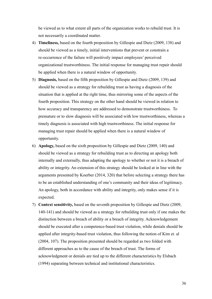be viewed as to what extent all parts of the organization works to rebuild trust. It is not necessarily a coordinated matter.

- 4) **Timeliness,** based on the fourth proposition by Gillespie and Dietz (2009, 138) and should be viewed as a timely, initial interventions that prevent or constrain a re-occurrence of the failure will positively impact employees' perceived organizational trustworthiness. The initial response for managing trust repair should be applied when there is a natural window of opportunity.
- 5) **Diagnosis,** based on the fifth proposition by Gillespie and Dietz (2009, 139) and should be viewed as a strategy for rebuilding trust as having a diagnosis of the situation that is applied at the right time, thus mirroring some of the aspects of the fourth proposition. This strategy on the other hand should be viewed in relation to how accuracy and transparency are addressed to demonstrate trustworthiness. To premature or to slow diagnosis will be associated with low trustworthiness, whereas a timely diagnosis is associated with high trustworthiness. The initial response for managing trust repair should be applied when there is a natural window of opportunity.
- 6) **Apology,** based on the sixth proposition by Gillespie and Dietz (2009, 140) and should be viewed as a strategy for rebuilding trust as to directing an apology both internally and externally, thus adapting the apology to whether or not it is a breach of ability or integrity. An extension of this strategy should be looked at in line with the arguments presented by Koerber (2014, 320) that before selecting a strategy there has to be an established understanding of one's community and their ideas of legitimacy. An apology, both in accordance with ability and integrity, only makes sense if it is expected.
- 7) **Context sensitivity,** based on the seventh proposition by Gillespie and Dietz (2009, 140-141) and should be viewed as a strategy for rebuilding trust only if one makes the distinction between a breach of ability or a breach of integrity. Acknowledgement should be executed after a competence-based trust violation, while denials should be applied after integrity-based trust violation, thus following the notion of Kim et. al (2004, 107). The proposition presented should be regarded as two folded with different approaches as to the cause of the breach of trust. The forms of acknowledgment or denials are tied up to the different characteristics by Elsbach (1994) separating between technical and institutional characteristics.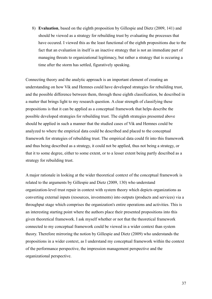8) **Evaluation**, based on the eighth proposition by Gillespie and Dietz (2009, 141) and should be viewed as a strategy for rebuilding trust by evaluating the processes that have occured. I viewed this as the least functional of the eighth propositions due to the fact that an evaluation in itself is an inactive strategy that is not an immediate part of managing threats to organizational legitimacy, but rather a strategy that is occuring a time after the storm has settled, figuratively speaking.

Connecting theory and the analytic approach is an important element of creating an understanding on how Vik and Hemnes could have developed strategies for rebuilding trust, and the possible difference between them, through these eighth classification, be described in a matter that brings light to my research question. A clear strength of classifying these propositions is that it can be applied as a conceptual framework that helps describe the possible developed strategies for rebuilding trust. The eighth strategies presented above should be applied in such a manner that the studied cases of Vik and Hemnes could be analyzed to where the empirical data could be described and placed to the conceptual framework for strategies of rebuilding trust. The empirical data could fit into this framework and thus being described as a strategy, it could not be applied, thus not being a strategy, or that it to some degree, either to some extent, or to a lesser extent being partly described as a strategy for rebuilding trust.

A major rationale in looking at the wider theoretical context of the conceptual framework is related to the arguments by Gillespie and Dietz (2009, 130) who understand organization-level trust repair in context with system theory which depicts organizations as converting external inputs (resources, investments) into outputs (products and services) via a throughput stage which comprises the organization's entire operations and activities. This is an interesting starting point where the authors place their presented propositions into this given theoretical framework. I ask myself whether or not that the theoretical framework connected to my conceptual framework could be viewed in a wider context than system theory. Therefore mirroring the notion by Gillespie and Dietz (2009) who understands the propositions in a wider context, as I understand my conceptual framework within the context of the performance perspective, the impression management perspective and the organizational perspective.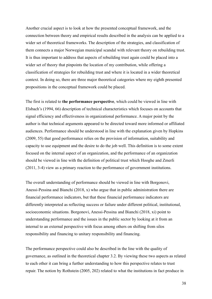Another crucial aspect is to look at how the presented conceptual framework, and the connection between theory and empirical results described in the analysis can be applied to a wider set of theoretical frameworks. The description of the strategies, and classification of them connects a major Norwegian municipal scandal with relevant theory on rebuilding trust. It is thus important to address that aspects of rebuilding trust again could be placed into a wider set of theory that pinpoints the location of my contribution, while offering a classification of strategies for rebuilding trust and where it is located in a wider theoretical context. In doing so, there are three major theoretical categories where my eighth presented propositions in the conceptual framework could be placed.

The first is related to **the performance perspective**, which could be viewed in line with Elsbach's (1994, 66) description of technical characteristics which focuses on accounts that signal efficiency and effectiveness in organizational performance. A major point by the author is that technical arguments appeared to be directed toward more informed or affiliated audiences. Performance should be understood in line with the explanation given by Hopkins (2009, 55) that good performance relies on the provision of information, suitability and capacity to use equipment and the desire to do the job well. This definition is to some extent focused on the internal aspect of an organization, and the performance of an organization should be viewed in line with the definition of political trust which Hooghe and Zmerli (2011, 3-4) view as a primary reaction to the performance of government institutions.

The overall understanding of performance should be viewed in line with Borgonovi, Anessi-Pessina and Bianchi (2018, x) who argue that in public administration there are financial performance indicators, but that these financial performance indicators are differently interpreted as reflecting success or failure under different political, institutional, socioeconomic situations. Borgonovi, Anessi-Pessina and Bianchi (2018, xi) point to understanding performance and the issues in the public sector by looking at it from an internal to an external perspective with focus among others on shifting from silos responsibility and financing to unitary responsibility and financing.

The performance perspective could also be described in the line with the quality of governance, as outlined in the theoretical chapter 3.2. By viewing these two aspects as related to each other it can bring a further understanding to how this perspective relates to trust repair. The notion by Rothstein (2005, 202) related to what the institutions in fact produce in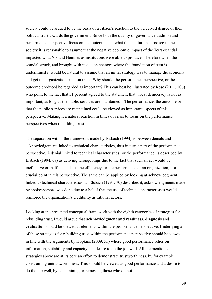society could be argued to be the basis of a citizen's reaction to the perceived degree of their political trust towards the government. Since both the quality of governance tradition and performance perspective focus on the outcome and what the institutions produce in the society it is reasonable to assume that the negative economic impact of the Terra-scandal impacted what Vik and Hemnes as institutions were able to produce. Therefore when the scandal struck, and brought with it sudden changes where the foundation of trust is undermined it would be natural to assume that an initial strategy was to manage the economy and get the organization back on track. Why should the performance perspective, or the outcome produced be regarded as important? This can best be illustrated by Rose (2011, 106) who point to the fact that 31 percent agreed to the statement that "local democracy is not as important, as long as the public services are maintained." The performance, the outcome or that the public services are maintained could be viewed as important aspects of this perspective. Making it a natural reaction in times of crisis to focus on the performance perspectives when rebuilding trust.

The separation within the framework made by Elsbach (1994) is between denials and acknowledgement linked to technical characteristics, thus in turn a part of the performance perspective. A denial linked to technical characteristics, or the performance, is described by Elsbach (1994, 68) as denying wrongdoings due to the fact that such an act would be ineffective or inefficient. Thus the efficiency, or the performance of an organization, is a crucial point in this perspective. The same can be applied by looking at acknowledgment linked to technical characteristics, as Elsbach (1994, 70) describes it, acknowledgments made by spokespersons was done due to a belief that the use of technical characteristics would reinforce the organization's credibility as rational actors.

Looking at the presented conceptual framework with the eighth categories of strategies for rebuilding trust, I would argue that **acknowledgment and readiness**, **diagnosis** and **evaluation** should be viewed as elements within the performance perspective. Underlying all of these strategies for rebuilding trust within the performance perspective should be viewed in line with the arguments by Hopkins (2009, 55) where good performance relies on information, suitability and capacity and desire to do the job well. All the mentioned strategies above are at its core an effort to demonstrate trustworthiness, by for example constraining untrustworthiness. This should be viewed as good performance and a desire to do the job well, by constraining or removing those who do not.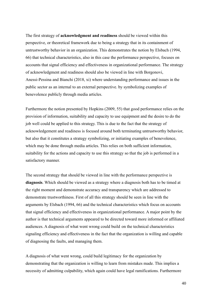The first strategy of **acknowledgment and readiness** should be viewed within this perspective, or theoretical framework due to being a strategy that in its containment of untrustworthy behavior in an organization. This demonstrates the notion by Elsbach (1994, 66) that technical characteristics, also in this case the performance perspective, focuses on accounts that signal efficiency and effectiveness in organizational performance. The strategy of acknowledgment and readiness should also be viewed in line with Borgonovi, Anessi-Pessina and Bianchi (2018, xi) where understanding performance and issues in the public sector as an internal to an external perspective. by symbolizing examples of benevolence publicly through media articles.

Furthermore the notion presented by Hopkins (2009, 55) that good performance relies on the provision of information, suitability and capacity to use equipment and the desire to do the job well could be applied to this strategy. This is due to the fact that the strategy of acknowledgement and readiness is focused around both terminating untrustworthy behavior, but also that it constitutes a strategy symbolizing, or initiating examples of benevolence, which may be done through media articles. This relies on both sufficient information, suitability for the actions and capacity to use this strategy so that the job is performed in a satisfactory manner.

The second strategy that should be viewed in line with the performance perspective is **diagnosis**. Which should be viewed as a strategy where a diagnosis both has to be timed at the right moment and demonstrate accuracy and transparency which are addressed to demonstrate trustworthiness. First of all this strategy should be seen in line with the arguments by Elsbach (1994, 66) and the technical characteristics which focus on accounts that signal efficiency and effectiveness in organizational performance. A major point by the author is that technical arguments appeared to be directed toward more informed or affiliated audiences. A diagnosis of what went wrong could build on the technical characteristics signaling efficiency and effectiveness in the fact that the organization is willing and capable of diagnosing the faults, and managing them.

A diagnosis of what went wrong, could build legitimacy for the organization by demonstrating that the organization is willing to learn from mistakes made. This implies a necessity of admitting culpability, which again could have legal ramifications. Furthermore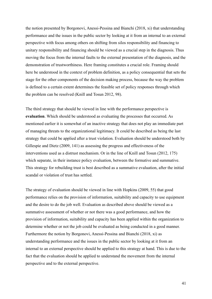the notion presented by Borgonovi, Anessi-Pessina and Bianchi (2018, xi) that understanding performance and the issues in the public sector by looking at it from an internal to an external perspective with focus among others on shifting from silos responsibility and financing to unitary responsibility and financing should be viewed as a crucial step in the diagnosis. Thus moving the focus from the internal faults to the external presentation of the diagnosis, and the demonstration of trustworthiness. Here framing constitutes a crucial role. Framing should here be understood in the context of problem definition, as a policy consequential that sets the stage for the other components of the decision making process, because the way the problem is defined to a certain extent determines the feasible set of policy responses through which the problem can be resolved (Knill and Tosun 2012, 98).

The third strategy that should be viewed in line with the performance perspective is **evaluation**. Which should be understood as evaluating the processes that occurred. As mentioned earlier it is somewhat of an inactive strategy that does not play an immediate part of managing threats to the organizational legitimacy. It could be described as being the last strategy that could be applied after a trust violation. Evaluation should be understood both by Gillespie and Dietz (2009, 141) as assessing the progress and effectiveness of the interventions used as a distrust mechanism. Or in the line of Knill and Tosun (2012, 175) which separate, in their instance policy evaluation, between the formative and summative. This strategy for rebuilding trust is best described as a summative evaluation, after the initial scandal or violation of trust has settled.

The strategy of evaluation should be viewed in line with Hopkins (2009, 55) that good performance relies on the provision of information, suitability and capacity to use equipment and the desire to do the job well. Evaluation as described above should be viewed as a summative assessment of whether or not there was a good performance, and how the provision of information, suitability and capacity has been applied within the organization to determine whether or not the job could be evaluated as being conducted in a good manner. Furthermore the notion by Borgonovi, Anessi-Pessina and Bianchi (2018, xi) as understanding performance and the issues in the public sector by looking at it from an internal to an external perspective should be applied to this strategy at hand. This is due to the fact that the evaluation should be applied to understand the movement from the internal perspective and to the external perspective.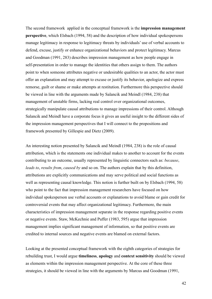The second framework applied in the conceptual framework is the **impression management perspective**, which Elsbach (1994, 58) and the description of how individual spokespersons manage legitimacy in response to legitimacy threats by individuals' use of verbal accounts to defend, excuse, justify or enhance organizational behaviors and protect legitimacy. Marcus and Goodman (1991, 283) describes impression management as how people engage in self-presentation in order to manage the identities that others assign to them. The authors point to when someone attributes negative or undesirable qualities to an actor, the actor must offer an explanation and may attempt to excuse or justify its behavior, apologize and express remorse, guilt or shame or make attempts at restitution. Furthermore this perspective should be viewed in line with the arguments made by Salancik and Meindl (1984, 238) that management of unstable firms, lacking real control over organizational outcomes, strategically manipulate causal attributions to manage impressions of their control. Although Salancik and Meindl have a corporate focus it gives an useful insight to the different sides of the impression management perspectives that I will connect to the propositions and framework presented by Gillespie and Dietz (2009).

An interesting notion presented by Salancik and Meindl (1984, 238) is the role of causal attribution, which is the statements one individual makes to another to account for the events contributing to an outcome, usually represented by linguistic connectors such as: *because*, *leads to*, *results from*, *caused by* and so on. The authors explain that by this definition, attributions are explicitly communications and may serve political and social functions as well as representing causal knowledge. This notion is further built on by Elsbach (1994, 58) who point to the fact that impression management researchers have focused on how individual spokesperson use verbal accounts or explanations to avoid blame or gain credit for controversial events that may affect organizational legitimacy. Furthermore, the main characteristics of impression management separate in the response regarding positive events or negative events. Staw, McKechnie and Puffer (1983, 595) argue that impression management implies significant management of information, so that positive events are credited to internal sources and negative events are blamed on external factors.

Looking at the presented conceptual framework with the eighth categories of strategies for rebuilding trust, I would argue **timeliness**, **apology** and **context sensitivity** should be viewed as elements within the impression management perspective. At the core of these three strategies, it should be viewed in line with the arguments by Marcus and Goodman (1991,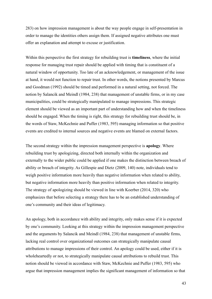283) on how impression management is about the way people engage in self-presentation in order to manage the identities others assign them. If assigned negative attributes one must offer an explanation and attempt to excuse or justification.

Within this perspective the first strategy for rebuilding trust is **timeliness**, where the initial response for managing trust repair should be applied with timing that is constituent of a natural window of opportunity. Too late of an acknowledgement, or management of the issue at hand, it would not function to repair trust. In other words, the notions presented by Marcus and Goodman (1992) should be timed and performed in a natural setting, not forced. The notion by Salancik and Meindl (1984, 238) that management of unstable firms, or in my case municipalities, could be strategically manipulated to manage impressions. This strategic element should be viewed as an important part of understanding how and when the timeliness should be engaged. When the timing is right, this strategy for rebuilding trust should be, in the words of Staw, McKechnie and Puffer (1983, 595) managing information so that positive events are credited to internal sources and negative events are blamed on external factors.

The second strategy within the impression management perspective is **apology**. Where rebuilding trust by apologizing, directed both internally within the organization and externally to the wider public could be applied if one makes the distinction between breach of ability or breach of integrity. As Gillespie and Dietz (2009, 140) note, individuals tend to weigh positive information more heavily than negative information when related to ability, but negative information more heavily than positive information when related to integrity. The strategy of apologizing should be viewed in line with Koerber (2014, 320) who emphasizes that before selecting a strategy there has to be an established understanding of one's community and their ideas of legitimacy.

An apology, both in accordance with ability and integrity, only makes sense if it is expected by one's community. Looking at this strategy within the impression management perspective and the arguments by Salancik and Meindl (1984, 238) that management of unstable firms, lacking real control over organizational outcomes can strategically manipulate causal attributions to manage impressions of their control. An apology could be used, either if it is wholeheartedly or not, to strategically manipulate causal attributions to rebuild trust. This notion should be viewed in accordance with Staw, McKechnie and Puffer (1983, 595) who argue that impression management implies the significant management of information so that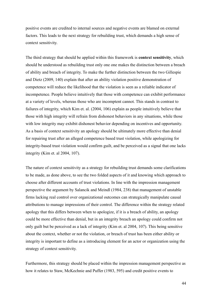positive events are credited to internal sources and negative events are blamed on external factors. This leads to the next strategy for rebuilding trust, which demands a high sense of context sensitivity.

The third strategy that should be applied within this framework is **context sensitivity**, which should be understood as rebuilding trust only one one makes the distinction between a breach of ability and breach of integrity. To make the further distinction between the two Gillespie and Dietz (2009, 140) explain that after an ability violation positive demonstration of competence will reduce the likelihood that the violation is seen as a reliable indicator of incompetence. People believe intuitively that those with competence can exhibit performance at a variety of levels, whereas those who are incomptent cannot. This stands in contrast to failures of integrity, which Kim et. al. (2004, 106) explain as people intuitively believe that those with high integrity will refrain from dishonest behaviors in any situations, while those with low integrity may exhibit dishonest behavior depending on incentives and opportunity. As a basis of context sensitivity an apology should be ultimately more effective than denial for repairing trust after an alleged competence based trust violation, while apologizing for integrity-based trust violation would confirm guilt, and be perceived as a signal that one lacks integrity (Kim et. al 2004, 107).

The nature of context sensitivity as a strategy for rebuilding trust demands some clarifications to be made, as done above, to see the two folded aspects of it and knowing which approach to choose after different accounts of trust violations. In line with the impression management perspective the argument by Salancik and Meindl (1984, 238) that management of unstable firms lacking real control over organizational outcomes can strategically manipulate causal attributions to manage impressions of their control. The difference within the strategy related apology that this differs between when to apologize, if it is a breach of ability, an apology could be more effective than denial, but in an integrity breach an apology could confirm not only guilt but be perceived as a lack of integrity (Kim et. al 2004, 107). This being sensitive about the context, whether or not the violation, or breach of trust has been either ability or integrity is important to define as a introducing element for an actor or organization using the strategy of context sensitivity.

Furthermore, this strategy should be placed within the impression management perspective as how it relates to Staw, McKechnie and Puffer (1983, 595) and credit positive events to

44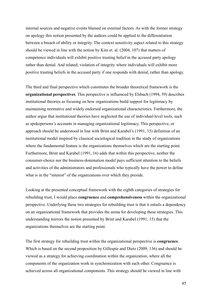internal sources and negative events blamed on external factors. As with the former strategy on apology this notion presented by the authors could be applied to the differentiation between a breach of ability or integrity. The context sensitivity aspect related to this strategy should be viewed in line with the notion by Kim et. al. (2004, 107) that matters of competence individuals will exhibit positive trusting belief in the accused party apology rather than denial. And related; violation of integrity where individuals will exhibit more positive trusting beliefs in the accused party if one responds with denial, rather than apology.

The third and final perspective which constitutes the broader theoretical framework is the **organizational perspectives**. This perspective is influenced by Elsbach (1994, 59) describes institutional theories as focusing on how organizations build support for legitimacy by maintaining normative and widely endorsed organizational characteristics. Furthermore, the author argue that institutional theories have neglected the use of individual-level tools, such as spokepersons's accounts in managing organizational legitimacy. This perspective, or approach should be understood in line with Brint and Karabel's (1991, 15) definition of an institutional model inspired by classical sociological tradition in the study of organizations where the fundamental feature is the organizations themselves which are the starting point. Furthermore, Brint and Karabel (1991, 16) adds that within this perspective, neither the consumer-choice nor the business-domination model pays sufficient attention to the beliefs and activities of the administrators and professionals who typically have the power to define what is in the "interest" of the organizations over which they preside.

Looking at the presented conceptual framework with the eighth categories of strategies for rebuilding trust, I would place **congruence** and **comprehensiveness** within the organizational perspective. Underlying these two strategies for rebuilding trust is that it entails a dependency on an organizational framework that provides the arena for developing these strategies. This understanding mirrors the notion presented by Brint and Karabel (1991, 15) that the organizations themselves are the starting point.

The first strategy for rebuilding trust within the organizational perspective is **congruence**. Which is based on the second proposition by Gillespie and Dietz (2009, 136) and should be viewed as a strategy for achieving coordination within the organization, where all the components of the organization work in synchronization with each other. Congruence is achieved across all organizational components. This strategy should be viewed in line with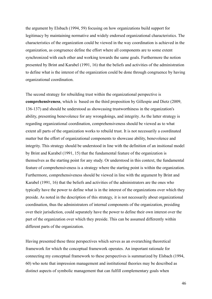the argument by Elsbach (1994, 59) focusing on how organizations build support for legitimacy by maintaining normative and widely endorsed organizational characteristics. The characteristics of the organization could be viewed in the way coordination is achieved in the organization, as congruence define the effort where all components are to some extent synchronized with each other and working towards the same goals. Furthermore the notion presented by Brint and Karabel (1991, 16) that the beliefs and activities of the administration to define what is the interest of the organization could be done through congruence by having organizational coordination.

The second strategy for rebuilding trust within the organizational perspective is **comprehensiveness**, which is based on the third proposition by Gillespie and Dietz (2009, 136-137) and should be understood as showcasing trustworthiness in the organization's ability, presenting benevolence for any wrongdoings, and integrity. As the latter strategy is regarding organizational coordination, comprehensiveness should be viewed as to what extent all parts of the organization works to rebuild trust. It is not necessarily a coordinated matter but the effort of organizational components to showcase ability, benevolence and integrity. This strategy should be understood in line with the definition of an insitional model by Brint and Karabel (1991, 15) that the fundamental feature of the organization is themselves as the starting point for any study. Or understood in this context, the fundamental feature of comprehensiveness is a strategy where the starting point is within the organization. Furthermore, comprehensiveness should be viewed in line with the argument by Brint and Karabel (1991, 16) that the beliefs and activities of the administrators are the ones who typically have the power to define what is in the interest of the organizations over which they preside. As noted in the description of this strategy, it is not necessarily about organizational coordination, thus the administrators of internal components of the organization, presiding over their jurisdiction, could separately have the power to define their own interest over the part of the organization over which they preside. This can be assumed differently within different parts of the organization.

Having presented these three perspectives which serves as an overarching theoretical framework for which the conceptual framework operates. An important rationale for connecting my conceptual framework to these perspectives is summarized by Elsbach (1994, 60) who note that impression management and institutional theories may be described as distinct aspects of symbolic management that can fulfill complementary goals when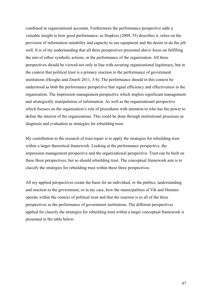combined in organizational accounts. Furthermore the performance perspective adds a valuable insight to how good performance, as Hopkins (2009, 55) describes it, relies on the provision of information suitability and capacity to use equipment and the desire to do the job well. It is of my understanding that all three perspectives presented above focus on fulfilling the aim of either symbolic actions, or the performance of the organization. All three perspectives should be viewed not only in line with securing organizational legitimacy, but in the context that political trust is a primary reaction to the performance of government institutions (Hooghe and Zmerli 2011, 3-4). The performance should in this context be understood as both the performance perspective that signal efficiency and effectiveness in the organization. The impression management perspective which implies significant management and strategically manipulation of information. As well as the organizatioanl perspective which focuses on the organization's role of procedures with attention to who has the power to define the interest of the organizations. This could be done through institutional processes as diagnosis and evaluation as strategies for rebuilding trust.

My contribution to the research of trust repair is to apply the strategies for rebuilding trust within a larger theoretical framework. Looking at the performance perspective, the impression management perspective and the organizational perspective. Trust can be built on these three perspectives, but so should rebuilding trust. The conceptual framework aim is to classify the strategies for rebuilding trust within these three perspectives.

All my applied perspectives create the basis for an individual, or the publics, understanding and reaction to the government, or in my case, how the municipalities of Vik and Hemnes operate within the context of political trust and that the reaction is to all of the three perspectives as the performance of government institutions. The different perspectives applied for classify the strategies for rebuilding trust within a larger conceptual framework is presented in the table below: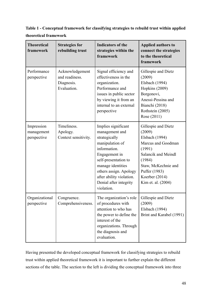# **Table 1 - Conceptual framework for classifying strategies to rebuild trust within applied theoretical framework**

| <b>Theoretical</b><br>framework         | <b>Strategies for</b><br>rebuilding trust                      | <b>Indicators of the</b><br>strategies within the<br>framework                                                                                                                                                                                        | <b>Applied authors to</b><br>connect the strategies<br>to the theoretical<br>framework                                                                                                           |  |  |
|-----------------------------------------|----------------------------------------------------------------|-------------------------------------------------------------------------------------------------------------------------------------------------------------------------------------------------------------------------------------------------------|--------------------------------------------------------------------------------------------------------------------------------------------------------------------------------------------------|--|--|
| Performance<br>perspective              | Acknowledgement<br>and readiness.<br>Diagnosis.<br>Evaluation. | Signal efficiency and<br>effectiveness in the<br>organization.<br>Performance and<br>issues in public sector<br>by viewing it from an<br>internal to an external<br>perspective                                                                       | Gillespie and Dietz<br>(2009)<br>Elsbach (1994)<br>Hopkins (2009)<br>Borgonovi,<br>Anessi-Pessina and<br>Bianchi (2018)<br>Rothstein (2005)<br>Rose (2011)                                       |  |  |
| Impression<br>management<br>perspective | Timeliness.<br>Apology.<br>Context sensitivity.                | Implies significant<br>management and<br>strategically<br>manipulation of<br>information.<br>Engagement in<br>self-presentation to<br>manage identities<br>others assign. Apology<br>after ability violation.<br>Denial after integrity<br>violation. | Gillespie and Dietz<br>(2009)<br>Elsbach (1994)<br>Marcus and Goodman<br>(1991)<br>Salancik and Meindl<br>(1984)<br>Staw, McKechnie and<br>Puffer (1983)<br>Koerber (2014)<br>Kim et. al. (2004) |  |  |
| Organizational<br>perspective           | Congruence<br>Comprehensiveness.                               | The organization's role  <br>of procedures with<br>attention to who has<br>the power to define the<br>interest of the<br>organizations. Through<br>the diagnosis and<br>evaluation.                                                                   | Gillespie and Dietz<br>(2009)<br>Elsbach (1994)<br>Brint and Karabel (1991)                                                                                                                      |  |  |

Having presented the developed conceptual framework for classifying strategies to rebuild trust within applied theoretical framework it is important to further explain the different sections of the table. The section to the left is dividing the conceptual framework into three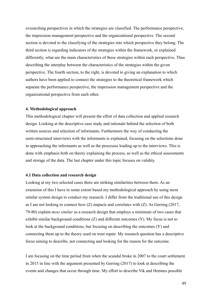overarching perspectives in which the strategies are classified. The performance perspective, the impression management perspective and the organizational perspective. The second section is devoted to the classifying of the strategies into which perspective they belong. The third section is regarding indicators of the strategies within the framework, or explained differently, what are the main characteristics of these strategies within each perspective. Thus describing the interplay between the characteristics of the strategies within the given perspective. The fourth section, to the right, is devoted to giving an explanation to which authors have been applied to connect the strategies to the theoretical framework which separate the performance perspective, the impression management perspective and the organizational perspective from each other.

#### **4. Methodological approach**

This methodological chapter will present the effort of data collection and applied research design. Looking at the descriptive case study and rationale behind the selection of both written sources and selection of informants. Furthermore the way of conducting the semi-structured interviews with the informants is explained, focusing on the selections done in approaching the informants as well as the processes leading up to the interviews. This is done with emphasis both on theory explaining the process, as well as the ethical assessments and storage of the data. The last chapter under this topic focuses on validity.

## **4.1 Data collection and research design**

Looking at my two selected cases there are striking similarities between them. As an extension of this I have to some extent based my methodological approach by using most similar system design to conduct my research. I differ from the traditional use of this design as I am not looking to connect how (Z) impacts and correlates with (Z). As Gerring (2017, 79-80) explain *most similar* as a research design that employs a minimum of two cases that exhibit similar background conditions (Z) and different outcomes (Y). My focus is not to look at the background conditions, but focusing on describing the outcomes (Y) and connecting them up to the theory used on trust repair. My research question has a descriptive focus aiming to describe, not connecting and looking for the reason for the outcome.

I am focusing on the time period from when the scandal broke in 2007 to the court settlement in 2015 in line with the argument presented by Gerring (2017) to look at describing the events and changes that occur through time. My effort to describe Vik and Hemnes possible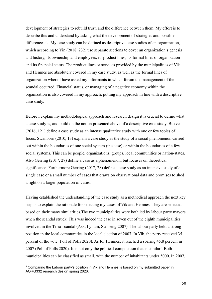development of strategies to rebuild trust, and the difference between them. My effort is to describe this and understand by asking what the development of strategies and possible differences is. My case study can be defined as descriptive case studies of an organization, which according to Yin (2018, 232) use separate sections to cover an organization's genesis and history, its ownership and employees, its product lines, its formal lines of organization and its financial status. The product lines or services provided by the municipalities of Vik and Hemnes are absolutely covered in my case study, as well as the formal lines of organization where I have asked my informants in which forum the management of the scandal occurred. Financial status, or managing of a negative economy within the organization is also covered in my approach, putting my approach in line with a descriptive case study.

Before I explain my methodological approach and research design it is crucial to define what a case study is, and build on the notion presented above of a descriptive case study. Bukve (2016, 121) define a case study as an intense qualitative study with one or few topics of focus. Swanborn (2010, 13) explain a case study as the study of a social phenomenon carried out within the boundaries of one social system (the case) or within the boundaries of a few social systems. This can be people, organizations, groups, local communities or nation-states. Also Gerring (2017, 27) define a case as a phenomenon, but focuses on theoretical significance. Furthermore Gerring (2017, 28) define a case study as an intensive study of a single case or a small number of cases that draws on observational data and promises to shed a light on a larger population of cases.

Having established the understanding of the case study as a methodical approach the next key step is to explain the rationale for selecting my cases of Vik and Hemnes. They are selected based on their many similarities.The two municipalities were both led by labour party mayors when the scandal struck. This was indeed the case in seven out of the eighth municipalities involved in the Terra-scandal (Ask, Lynum, Stenseng 2007). The labour party held a strong position in the local communities in the local election of 2007. In Vik, the party received 35 percent of the vote (Poll of Polls 2020). As for Hemnes, it reached a soaring 45,8 percent in 2007 (Poll of Polls 2020). It is not only the political composition that is similar<sup>3</sup>. Both municipalities can be classified as small, with the number of inhabitants under 5000. In 2007,

 $3$  Comparing the Labour party's position in Vik and Hemnes is based on my submitted paper in AORG332 research design spring 2020.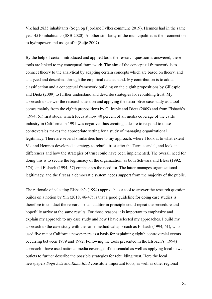Vik had 2835 inhabitants (Sogn og Fjordane Fylkeskommune 2019). Hemnes had in the same year 4510 inhabitants (SSB 2020). Another similarity of the municipalities is their connection to hydropower and usage of it (Sølje 2007).

By the help of certain introduced and applied tools the research question is answered, these tools are linked to my conceptual framework. The aim of the conceptual framework is to connect theory to the analytical by adapting certain concepts which are based on theory, and analyzed and described through the empirical data at hand. My contribution is to add a classification and a conceptual framework building on the eighth propositions by Gillespie and Dietz (2009) to further understand and describe strategies for rebuilding trust. My approach to answer the research question and applying the descriptive case study as a tool comes mainly from the eighth propositions by Gillespie and Dietz (2009) and from Elsbach's (1994, 61) first study, which focus at how 40 percent of all media coverage of the cattle industry in California in 1991 was negative, thus creating a desire to respond to these controversies makes the appropriate setting for a study of managing organizational legitimacy. There are several similarities here to my approach, where I look at to what extent Vik and Hemnes developed a strategy to rebuild trust after the Terra-scandal, and look at differences and how the strategies of trust could have been implemented. The overall need for doing this is to secure the legitimacy of the organization, as both Schwarz and Bless (1992, 574), and Elsbach (1994, 57) emphasizes the need for. The latter manages organizational legitimacy, and the first as a democratic system needs support from the majority of the public.

The rationale of selecting Elsbach's (1994) approach as a tool to answer the research question builds on a notion by Yin (2018, 46-47) is that a good guideline for doing case studies is therefore to conduct the research so an auditor in principle could repeat the procedure and hopefully arrive at the same results. For those reasons it is important to emphasize and explain my approach to my case study and how I have selected my approaches. I build my approach to the case study with the same methodical approach as Elsbach (1994, 61), who used five major California newspapers as a basis for explaining eighth controversial events occurring between 1989 and 1992. Following the tools presented in the Elsbach's (1994) approach I have used national media coverage of the scandal as well as applying local news outlets to further describe the possible strategies for rebuilding trust. Here the local newspapers *Sogn Avis* and *Rana Blad* constitute important tools, as well as other regional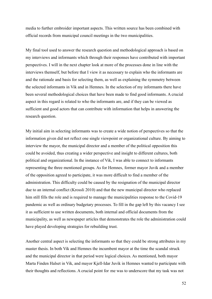media to further embroider important aspects. This written source has been combined with official records from municipal council meetings in the two municipalities.

My final tool used to answer the research question and methodological approach is based on my interviews and informants which through their responses have contributed with important perspectives. I will in the next chapter look at more of the processes done in line with the interviews themself, but before that I view it as necessary to explain who the informants are and the rationale and basis for selecting them, as well as explaining the symmetry between the selected informants in Vik and in Hemnes. In the selection of my informants there have been several methodological choices that have been made to find good informants. A crucial aspect in this regard is related to who the informants are, and if they can be viewed as sufficient and good actors that can contribute with information that helps in answering the research question.

My initial aim in selecting informants was to create a wide notion of perspectives so that the information given did not reflect one single viewpoint or organizational culture. By aiming to interview the mayor, the municipal director and a member of the political opposition this could be avoided, thus creating a wider perspective and insight to different cultures, both political and organizational. In the instance of Vik, I was able to connect to informants representing the three mentioned groups. As for Hemnes, former mayor Juvik and a member of the opposition agreed to participate, it was more difficult to find a member of the administration. This difficulty could be caused by the resignation of the municipal director due to an internal conflict (Krossli 2010) and that the new municipal director who replaced him still fills the role and is required to manage the municipalities response to the Covid-19 pandemic as well as ordinary budgetary processes. To fill in the gap left by this vacancy I see it as sufficient to use written documents, both internal and official documents from the municipality, as well as newspaper articles that demonstrates the role the administration could have played developing strategies for rebuilding trust.

Another central aspect is selecting the informants so that they could be strong attributes in my master thesis. In both Vik and Hemnes the incumbent mayor at the time the scandal struck and the municipal director in that period were logical choices. As mentioned, both mayor Marta Finden Halset in Vik, and mayor Kjell-Idar Juvik in Hemnes wanted to participate with their thoughts and reflections. A crucial point for me was to underscore that my task was not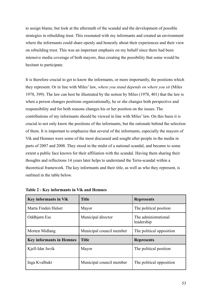to assign blame, but look at the aftermath of the scandal and the development of possible strategies in rebuilding trust. This resonated with my informants and created an environment where the informants could share openly and honestly about their experiences and their view on rebuilding trust. This was an important emphasis on my behalf since there had been intensive media coverage of both mayors, thus creating the possibility that some would be hesitant to participate.

It is therefore crucial to get to know the informants, or more importantly, the positions which they represent. Or in line with Miles' law, *where you stand depends on where you sit* (Miles 1978, 399). The law can best be illustrated by the notion by Miles (1978, 401) that the law is when a person changes positions organizationally, he or she changes both perspective and responsibility and for both reasons changes his or her position on the issues. The contributions of my informants should be viewed in line with Miles' law. On this basis it is crucial to not only know the positions of the informants, but the rationale behind the selection of them. It is important to emphasize that several of the informants, especially the mayors of Vik and Hemnes were some of the most discussed and sought after people in the media in parts of 2007 and 2008. They stood in the midst of a national scandal, and became to some extent a public face known for their affiliation with the scandal. Having them sharing their thoughts and reflections 14 years later helps to understand the Terra-scandal within a theoretical framework. The key informants and their title, as well as who they represent, is outlined in the table below.

| <b>Key informants in Vik</b>    | <b>Title</b>             | <b>Represents</b>                  |  |  |
|---------------------------------|--------------------------|------------------------------------|--|--|
| Marta Finden Halset             | Mayor                    | The political position             |  |  |
| Oddbjørn Ese                    | Municipal director       | The administrational<br>leadership |  |  |
| Morten Midlang                  | Municipal council member | The political opposition           |  |  |
| <b>Key informants in Hemnes</b> | <b>Title</b>             | <b>Represents</b>                  |  |  |
| Kjell-Idar Juvik                | Mayor                    | The political position             |  |  |
| Inga Kvalbukt                   | Municipal council member | The political opposition           |  |  |

| Table 2 - Key informants in Vik and Hemnes |  |  |  |  |  |  |  |
|--------------------------------------------|--|--|--|--|--|--|--|
|--------------------------------------------|--|--|--|--|--|--|--|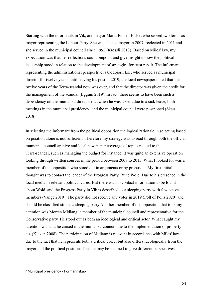Starting with the informants in Vik, and mayor Marta Finden Halset who served two terms as mayor representing the Labour Party. She was elected mayor in 2007, reelected in 2011 and she served in the municipal council since 1992 (Krossli 2013). Based on Miles' law, my expectation was that her reflections could pinpoint and give insight to how the political leadership stood in relation to the development of strategies for trust repair. The informant representing the administrational perspective is Oddbjørn Ese, who served as municipal director for twelve years, until leaving his post in 2019, the local newspaper noted that the twelve years of the Terra-scandal now was over, and that the director was given the credit for the management of the scandal (Eggum 2019). In fact, there seems to have been such a dependency on the municipal director that when he was absent due to a sick leave, both meetings in the municipal presidency<sup>4</sup> and the municipal council were postponed (Skau 2018).

In selecting the informant from the political opposition the logical rationale in selecting based on position alone is not sufficient. Therefore my strategy was to read through both the official municipal council archive and local newspaper coverage of topics related to the Terra-scandal, such as managing the budget for instance. It was quite an extensive operation looking through written sources in the period between 2007 to 2015. What I looked for was a member of the opposition who stood out in arguments or by proposals. My first initial thought was to contact the leader of the Progress Party, Rune Wold. Due to his presence in the local media in relevant political cases. But there was no contact information to be found about Wold, and the Progress Party in Vik is described as a sleeping party with few active members (Vange 2010). The party did not receive any votes in 2019 (Poll of Polls 2020) and should be classified still as a sleeping party Another member of the opposition that took my attention was Morten Midlang, a member of the municipal council and representative for the Conservative party. He stood out as both an ideological and critical actor. What caught my attention was that he cursed in the municipal council due to the implementation of property tax (Kleven 2008). The participation of Midlang is relevant in accordance with Miles' law due to the fact that he represents both a critical voice, but also differs ideologically from the mayor and the political position. Thus he may be inclined to give different perspectives.

<sup>4</sup> Municipal presidency - Formannskap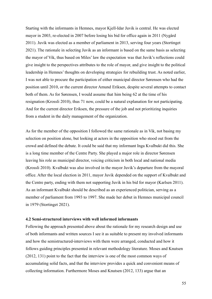Starting with the informants in Hemnes, mayor Kjell-Idar Juvik is central. He was elected mayor in 2003, re-elected in 2007 before losing his bid for office again in 2011 (Nygård 2011). Juvik was elected as a member of parliament in 2013, serving four years (Stortinget 2021). The rationale in selecting Juvik as an informant is based on the same basis as selecting the mayor of Vik, thus based on Miles' law the expectation was that Juvik's reflections could give insight to the perspectives attributes to the role of mayor, and give insight to the political leadership in Hemnes' thoughts on developing strategies for rebuilding trust. As noted earlier, I was not able to procure the participation of either municipal director Sørensen who had the position until 2010, or the current director Amund Eriksen, despite several attempts to contact both of them. As for Sørensen, I would assume that him being 62 at the time of his resignation (Krossli 2010), thus 71 now, could be a natural explanation for not participating. And for the current director Eriksen, the pressure of the job and not prioritizing inquiries from a student in the daily management of the organization.

As for the member of the opposition I followed the same rationale as in Vik, not basing my selection on position alone, but looking at actors in the opposition who stood out from the crowd and defined the debate. It could be said that my informant Inga Kvalbukt did this. She is a long time member of the Centre Party. She played a major role in director Sørensen leaving his role as municipal director, voicing criticism in both local and national media (Krossli 2010). Kvalbukt was also involved in the mayor Juvik's departure from the mayoral office. After the local election in 2011, mayor Juvik depended on the support of Kvalbukt and the Centre party, ending with them not supporting Juvik in his bid for mayor (Karlsen 2011). As an informant Kvalbukt should be described as an experienced politician, serving as a member of parliament from 1993 to 1997. She made her debut in Hemnes municipal council in 1979 (Stortinget 2021).

# **4.2 Semi-structured interviews with well informed informants**

Following the approach presented above about the rationale for my research design and use of both informants and written sources I see it as suitable to present my involved informants and how the semistructured-interviews with them were arranged, conducted and how it follows guiding principles presented in relevant methodology literature. Moses and Knutsen (2012, 131) point to the fact that the interview is one of the most common ways of accumulating solid facts, and that the interview provides a quick and convenient means of collecting information. Furthermore Moses and Knutsen (2012, 133) argue that an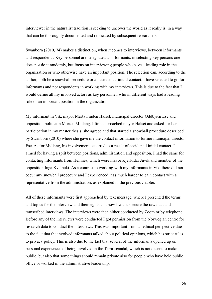interviewer in the naturalist tradition is seeking to uncover the world as it really is, in a way that can be thoroughly documented and replicated by subsequent researchers.

Swanborn (2010, 74) makes a distinction, when it comes to interviews, between informants and respondents. Key personnel are designated as informants, in selecting key persons one does not do it randomly, but focus on interviewing people who have a leading role in the organization or who otherwise have an important position. The selection can, according to the author, both be a snowball procedure or an accidental initial contact. I have selected to go for informants and not respondents in working with my interviews. This is due to the fact that I would define all my involved actors as key personnel, who in different ways had a leading role or an important position in the organization.

My informant in Vik, mayor Marta Finden Halset, municipal director Oddbjørn Ese and opposition politician Morten Midlang. I first approached mayor Halset and asked for her participation in my master thesis, she agreed and that started a snowball procedure described by Swanborn (2010) where she gave me the contact information to former municipal director Ese. As for Midlang, his involvement occurred as a result of accidental initial contact. I aimed for having a split between positions, administration and opposition. I had the same for contacting informants from Hemnes, which were mayor Kjell-Idar Juvik and member of the opposition Inga Kvalbukt. As a contrast to working with my informants in Vik, there did not occur any snowball procedure and I experienced it as much harder to gain contact with a representative from the administration, as explained in the previous chapter.

All of these informants were first approached by text message, where I presented the terms and topics for the interview and their rights and how I was to secure the raw data and transcribed interviews. The interviews were then either conducted by Zoom or by telephone. Before any of the interviews were conducted I got permission from the Norwegian centre for research data to conduct the interviews. This was important from an ethical perspective due to the fact that the involved informants talked about political opinions, which has strict rules to privacy policy. This is also due to the fact that several of the informants opened up on personal experiences of being involved in the Terra-scandal, which is not decent to make public, but also that some things should remain private also for people who have held public office or worked in the administrative leadership.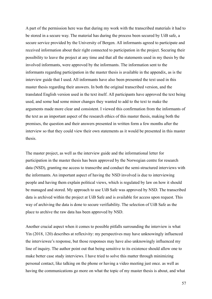A part of the permission here was that during my work with the transcribed materials it had to be stored in a secure way. The material has during the process been secured by UiB safe, a secure service provided by the University of Bergen. All informants agreed to participate and received information about their right connected to participation in the project. Securing their possibility to leave the project at any time and that all the statements used in my thesis by the involved informants, were approved by the informants. The information sent to the informants regarding participation in the master thesis is available in the appendix, as is the interview guide that I used. All informants have also been presented the text used in this master thesis regarding their answers. In both the original transcribed version, and the translated English version used in the text itself. All participants have approved the text being used, and some had some minor changes they wanted to add to the text to make the arguments made more clear and consistent. I viewed this confirmation from the informants of the text as an important aspect of the research ethics of this master thesis, making both the premises, the question and their answers presented in written form a few months after the interview so that they could view their own statements as it would be presented in this master thesis.

The master project, as well as the interview guide and the informational letter for participation in the master thesis has been approved by the Norwegian centre for research data (NSD), granting me access to transcribe and conduct the semi-structured interviews with the informants. An important aspect of having the NSD involved is due to interviewing people and having them explain political views, which is regulated by law on how it should be managed and stored. My approach to use UiB Safe was approved by NSD. The transcribed data is archived within the project at UiB Safe and is available for access upon request. This way of archiving the data is done to secure verifiability. The selection of UiB Safe as the place to archive the raw data has been approved by NSD.

Another crucial aspect when it comes to possible pitfalls surrounding the interview is what Yin (2018, 120) describes at reflexivity: my perspectives may have unknowingly influenced the interviewee's response, but those responses may have also unknowingly influenced my line of inquiry. The author point out that being sensitive to its existence should allow one to make better case study interviews. I have tried to solve this matter through minimizing personal contact, like talking on the phone or having a video meeting just once. as well as having the communications go more on what the topic of my master thesis is about, and what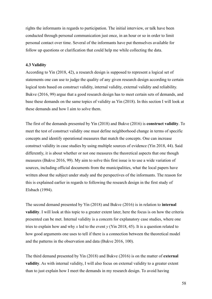rights the informants in regards to participation. The initial interview, or talk have been conducted through personal communication just once, in an hour or so in order to limit personal contact over time. Several of the informants have put themselves available for follow up questions or clarification that could help me while collecting the data.

## **4.3 Validity**

According to Yin (2018, 42), a research design is supposed to represent a logical set of statements one can use to judge the quality of any given research design according to certain logical tests based on construct validity, internal validity, external validity and reliability. Bukve (2016, 99) argue that a good research design has to meet certain sets of demands, and base these demands on the same topics of validity as Yin (2018). In this section I will look at these demands and how I aim to solve them.

The first of the demands presented by Yin (2018) and Bukve (2016) is **construct validity**. To meet the test of construct validity one must define neighborhood change in terms of specific concepts and identify operational measures that match the concepts. One can increase construct validity in case studies by using multiple sources of evidence (Yin 2018, 44). Said differently, it is about whether or not one measures the theoretical aspects that one though measures (Bukve 2016, 99). My aim to solve this first issue is to use a wide variation of sources, including official documents from the municipalities, what the local papers have written about the subject under study and the perspectives of the informants. The reason for this is explained earlier in regards to following the research design in the first study of Elsbach (1994).

The second demand presented by Yin (2018) and Bukve (2016) is in relation to **internal validity**. I will look at this topic to a greater extent later, here the focus is on how the criteria presented can be met. Internal validity is a concern for explanatory case studies, where one tries to explain how and why *x* led to the event *y* (Yin 2018, 45). It is a question related to how good arguments one uses to tell if there is a connection between the theoretical model and the patterns in the observation and data (Bukve 2016, 100).

The third demand presented by Yin (2018) and Bukve (2016) is on the matter of **external validity**. As with internal validity, I will also focus on external validity to a greater extent than to just explain how I meet the demands in my research design. To avoid having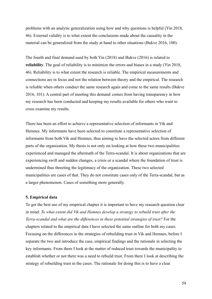problems with an analytic generalization using how and why questions is helpful (Yin 2018, 46). External validity is to what extent the conclusions made about the causality in the material can be generalized from the study at hand to other situations (Bukve 2016, 100).

The fourth and final demand used by both Yin (2018) and Bukve (2016) is related to **reliability**. The goal of reliability is to minimize the errors and biases in a study (Yin 2018, 46). Reliability is to what extent the research is reliable. The empirical measurements and connections are in focus and not the relation between theory and the empirical. The research is reliable when others conduct the same research again and come to the same results (Bukve 2016, 101). A central part of meeting this demand comes from having transparency in how my research has been conducted and keeping my results available for others who want to cross examine my results.

There has been an effort to achieve a representative selection of informants in Vik and Hemnes. My informants have been selected to constitute a representative selection of informants from both Vik and Hemnes, thus aiming to have the selected actors from different parts of the organization. My thesis is not only on looking at how these two municipalities experienced and managed the aftermath of the Terra-scandal. It is about organizations that are experiencing swift and sudden changes, a crisis or a scandal where the foundation of trust is undermined thus threeting the legitimacy of the organization. These two selected municipalities are cases of that. They do not constitute cases only of the Terra-scandal, but as a larger phenomenon. Cases of something more generally.

#### **5. Empirical data**

To get the best use of my empirical chapter it is important to have my research question clear in mind: *To what extent did Vik and Hemnes develop a strategy to rebuild trust after the Terra-scandal and what are the differences in these potential strategies of trust?* For the chapters related to the empirical data I have selected the same outline for both my cases. Focusing on the differences in the strategies of rebuilding trust in Vik and Hemnes, before I separate the two and introduce the case, empirical findings and the rationale in selecting the key informants. From there I look at the matter of reduced trust towards the municipality to establish whether or not there was a need to rebuild trust. From there I look at describing the strategy of rebuilding trust in the cases. The rationale for doing this is to have a clear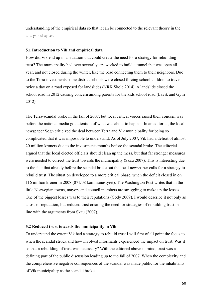understanding of the empirical data so that it can be connected to the relevant theory in the analysis chapter.

## **5.1 Introduction to Vik and empirical data**

How did Vik end up in a situation that could create the need for a strategy for rebuilding trust? The municipality had over several years worked to build a tunnel that was open all year, and not closed during the winter, like the road connecting them to their neighbors. Due to the Terra investments some district schools were closed forcing school children to travel twice a day on a road exposed for landslides (NRK Skole 2014). A landslide closed the school road in 2012 causing concern among parents for the kids school road (Lavik and Gytri 2012).

The Terra-scandal broke in the fall of 2007, but local critical voices raised their concern way before the national media got attention of what was about to happen. In an editorial, the local newspaper Sogn criticized the deal between Terra and Vik municipality for being so complicated that it was impossible to understand. As of July 2007, Vik had a deficit of almost 20 million kroners due to the investments months before the scandal broke. The editorial argued that the local elected officials should clean up the mess, but that far stronger measures were needed to correct the trust towards the municipality (Skau 2007). This is interesting due to the fact that already before the scandal broke out the local newspaper calls for a strategy to rebuild trust. The situation developed to a more critical phase, when the deficit closed in on 116 million kroner in 2008 (071/08 kommunestyret). The Washington Post writes that in the little Norwegian towns, mayors and council members are struggling to make up the losses. One of the biggest losses was to their reputations (Cody 2009). I would describe it not only as a loss of reputation, but reduced trust creating the need for strategies of rebuilding trust in line with the arguments from Skau (2007).

## **5.2 Reduced trust towards the municipality in Vik**

To understand the extent Vik had a strategy to rebuild trust I will first of all point the focus to when the scandal struck and how involved informants experienced the impact on trust. Was it so that a rebuilding of trust was necessary? With the editorial above in mind, trust was a defining part of the public discussion leading up to the fall of 2007. When the complexity and the comprehensive negative consequences of the scandal was made public for the inhabitants of Vik municipality as the scandal broke.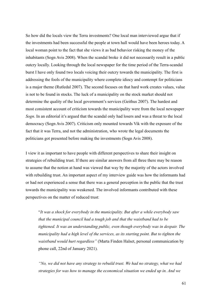So how did the locals view the Terra investments? One local man interviewed argue that if the investments had been successful the people at town hall would have been heroes today. A local woman point to the fact that she views it as bad behavior risking the money of the inhabitants (Sogn Avis 2008). When the scandal broke it did not necessarily result in a public outcry locally. Looking through the local newspaper for the time period of the Terra-scandal burst I have only found two locals voicing their outcry towards the municipality. The first is addressing the fools of the municipality where complete idiocy and contempt for politicians is a major theme (Rutledal 2007). The second focuses on that hard work creates values, value is not to be found in stocks. The luck of a municipality on the stock market should not determine the quality of the local government's services (Geithus 2007). The hardest and most consistent account of criticism towards the municipality were from the local newspaper *Sogn*. In an editorial it's argued that the scandal only had losers and was a threat to the local democracy (Sogn Avis 2007). Criticism only mounted towards Vik with the exposure of the fact that it was Terra, and not the administration, who wrote the legal documents the politicians got presented before making the investments (Sogn Avis 2008).

I view it as important to have people with different perspectives to share their insight on strategies of rebuilding trust. If there are similar answers from all three there may be reason to assume that the notion at hand was viewed that way by the majority of the actors involved with rebuilding trust. An important aspect of my interview guide was how the informants had or had not experienced a sense that there was a general perception in the public that the trust towards the municipality was weakened. The involved informants contributed with these perspectives on the matter of reduced trust:

"*It was a shock for everybody in the municipality. But after a while everybody saw that the municipal council had a tough job and that the waistband had to be tightened. It was an understanding public, even though everybody was in despair. The municipality had a high level of the services, as its starting point. But to tighten the waistband would hurt regardless"* (Marta Finden Halset, personal communication by phone call, 22nd of January 2021).

*"No, we did not have any strategy to rebuild trust. We had no strategy, what we had strategies for was how to manage the economical situation we ended up in. And we*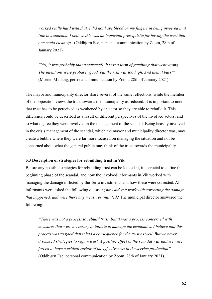*worked really hard with that. I did not have blood on my fingers in being involved in it (the investments). I believe this was an important prerequisite for having the trust that one could clean up"* (Oddbjørn Ese, personal communication by Zoom, 28th of January 2021).

*"Yes, it was probably that (weakened). It was a form of gambling that went wrong. The intentions were probably good, but the risk was too high. And then it burst"* (Morten Midlang, personal communication by Zoom. 28th of January 2021).

The mayor and municipality director share several of the same reflections, while the member of the opposition views the trust towards the municipality as reduced. It is important to note that trust has to be perceived as weakened by an actor so they are able to rebuild it. This difference could be described as a result of different perspectives of the involved actors, and to what degree they were involved in the management of the scandal. Being heavily involved in the crisis management of the scandal, which the mayor and municipality director was, may create a bubble where they were far more focused on managing the situation and not be concerned about what the general public may think of the trust towards the municipality.

## **5.3 Description of strategies for rebuilding trust in Vik**

Before any possible strategies for rebuilding trust can be looked at, it is crucial to define the beginning phase of the scandal, and how the involved informants in Vik worked with managing the damage inflicted by the Terra investments and how these were corrected. All informants were asked the following question; *how did you work with correcting the damage that happened, and were there any measures initiated?* The municipal director answered the following:

*"There was not a process to rebuild trust. But it was a process concerned with measures that were necessary to initiate to manage the economics. I believe that this process was so good that it had a consequence for the trust as well. But we never discussed strategies to regain trust. A positive effect of the scandal was that we were forced to have a critical review of the effectiveness in the service production"* (Oddbjørn Ese, personal communication by Zoom, 28th of January 2021).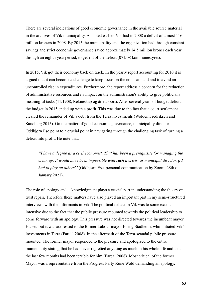There are several indications of good economic governance in the available source material in the archives of Vik municipality. As noted earlier, Vik had in 2008 a deficit of almost 116 million kroners in 2008. By 2015 the municipality and the organization had through constant savings and strict economic governance saved approximately 14,5 million kroner each year, through an eighth year period, to get rid of the deficit (071/08 kommunestyret).

In 2015, Vik got their economy back on track. In the yearly report accounting for 2010 it is argued that it can become a challenge to keep focus on the crisis at hand and to avoid an uncontrolled rise in expenditures. Furthermore, the report address a concern for the reduction of administrative resources and its impact on the administration's ability to give politicians meaningful tasks (11/1908, Rekneskap og årsrapport). After several years of budget deficit, the budget in 2015 ended up with a profit. This was due to the fact that a court settlement cleared the remainder of Vik's debt from the Terra investments (Wolden Fredriksen and Sundberg 2015). On the matter of good economic governance, municipality director Oddbjørn Ese point to a crucial point in navigating through the challenging task of turning a deficit into profit. He note that:

*"I have a degree as a civil economist. That has been a prerequisite for managing the clean up. It would have been impossible with such a crisis, as municipal director, if I had to play on others' '* (Oddbjørn Ese, personal communication by Zoom, 28th of January 2021).

The role of apology and acknowledgment plays a crucial part in understanding the theory on trust repair. Therefore these matters have also played an important part in my semi-structured interviews with the informants in Vik. The political debate in Vik was to some extent intensive due to the fact that the public pressure mounted towards the political leadership to come forward with an apology. This pressure was not directed towards the incumbent mayor Halset, but it was addressed to the former Labour mayor Elring Stadheim, who initiated Vik's investments in Terra (Fardal 2008). In the aftermath of the Terra-scandal public pressure mounted. The former mayor responded to the pressure and apologized to the entire municipality stating that he had never regretted anything as much in his whole life and that the last few months had been terrible for him (Fardal 2008). Most critical of the former Mayor was a representative from the Progress Party Rune Wold demanding an apology.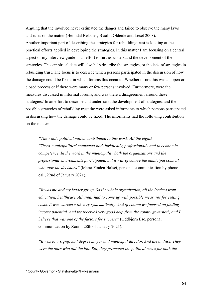Arguing that the involved never estimated the danger and failed to observe the many laws and rules on the matter (Heimdal Reksnes, Blaalid Oldeide and Løset 2008). Another important part of describing the strategies for rebuilding trust is looking at the practical efforts applied in developing the strategies. In this matter I am focusing on a central aspect of my interview guide in an effort to further understand the development of the strategies. This empirical data will also help describe the strategies, or the lack of strategies in rebuilding trust. The focus is to describe which persons participated in the discussion of how the damage could be fixed, in which forums this occured. Whether or not this was an open or closed process or if there were many or few persons involved. Furthermore, were the measures discussed in informal forums, and was there a disagreement around these strategies? In an effort to describe and understand the development of strategies, and the possible strategies of rebuilding trust the were asked informants to which persons participated in discussing how the damage could be fixed. The informants had the following contribution on the matter:

*"The whole political milieu contributed to this work. All the eighth "Terra-municipalities' connected both juridically, professionally and to economic competence. In the work in the municipality both the organizations and the professional environments participated, but it was of course the municipal council who took the decisions"* (Marta Finden Halset, personal communication by phone call, 22nd of January 2021).

*"It was me and my leader group. So the whole organization, all the leaders from education, healthcare. All areas had to come up with possible measures for cutting costs. It was worked with very systematically. And of course we focused on finding income potential. And we received very good help from the county governor<sup>5</sup> , and I believe that was one of the factors for success"* (Oddbjørn Ese, personal communication by Zoom, 28th of January 2021).

*"It was to a significant degree mayor and municipal director. And the auditor. They were the ones who did the job. But, they presented the political cases for both the*

<sup>5</sup> County Governor - Statsforvalter/Fylkesmann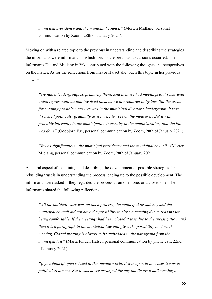*municipal presidency and the municipal council"* (Morten Midlang, personal communication by Zoom, 28th of January 2021).

Moving on with a related topic to the previous in understanding and describing the strategies the informants were informants in which forums the previous discussions occurred. The informants Ese and Midlang in Vik contributed with the following thoughts and perspectives on the matter. As for the reflections from mayor Halset she touch this topic in her previous answer:

*"We had a leadergroup, so primarily there. And then we had meetings to discuss with union representatives and involved them as we are required to by law. But the arena for creating possible measures was in the municipal director's leadergroup. It was discussed politically gradually as we were to vote on the measures. But it was probably internally in the municipality, internally in the administration, that the job was done"* (Oddbjørn Ese, personal communication by Zoom, 28th of January 2021).

*"It was significantly in the municipal presidency and the municipal council"* (Morten Midlang, personal communication by Zoom, 28th of January 2021).

A central aspect of explaining and describing the development of possible strategies for rebuilding trust is in understanding the process leading up to the possible development. The informants were asked if they regarded the process as an open one, or a closed one. The informants shared the following reflections:

*"All the political work was an open process, the municipal presidency and the municipal council did not have the possibility to close a meeting due to reasons for being comfortable, If the meetings had been closed it was due to the investigation, and then it is a paragraph in the municipal law that gives the possibility to close the meeting, Closed meeting is always to be embedded in the paragraph from the municipal law"* (Marta Finden Halset, personal communication by phone call, 22nd of January 2021).

*"If you think of open related to the outside world, it was open in the cases it was to political treatment. But it was never arranged for any public town hall meeting to*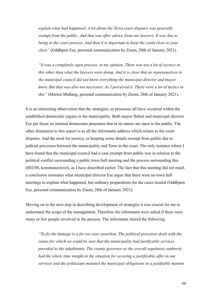*explain what had happened. A lot about the Terra court disputes was generally exempt from the public. And that was after advice from our lawyers. It was due to being in the court process. And then it is important to keep the cards close to your chest"* (Oddbjørn Ese, personal communication by Zoom, 28th of January 2021).

*"It was a completely open process, in my opinion. There was not a lot of secrecy in this other than what the lawyers were doing. And it is clear that us represenatives in the municipal council did not know everything the municipal director and mayor knew. But that was also not necessary. As I perceived it. There were a lot of tactics in this"* (Morten Midlang, personal communication by Zoom, 28th of January 2021).

It is an interesting observation that the strategies, or processes all have occurred within the established democratic organs in the municipality. Both mayor Halset and municipal director Ese put focus on internal democratic processes that in its nature are open to the public. The other dimension to this aspect is as all the informants address which relates to the court disputes. And the need for secrecy, or keeping some details exempt from public due to judicial processes between the municipality and Terra in the court. The only instance where I have found that the municipal council had a case exempt from public was in relation to the political conflict surrounding a public town hall meeting and the process surrounding this (002/08, kommunestyret), as I have described earlier. The fact that this meeting did not reach a conclusion resonates what municipal director Ese argue that there were no town hall meetings to explain what happened, but ordinary preparations for the cases treated (Oddbjørn Ese, personal communication by Zoom, 28th of January 2021).

Moving on to the next step in describing development of strategies it was crucial for me to understand the scope of the management. Therefore the informants were asked if there were many or few people involved in the process. The informants shared the following:

*"To fix the damage is a far too easy assertion. The political processes dealt with the issues for which we could be sure that the municipality had justificable services provided to the inhabitants. The county governor as the overall regulatory authority had the whole time insight in the situation for securing a justificable offer in our services and the politicians mainted the municipal obligations in a justifiable manner.*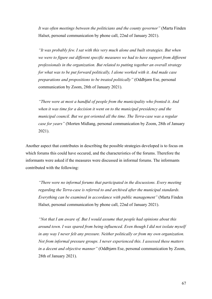*It was often meetings between the politicians and the county governor"* (Marta Finden Halset, personal communication by phone call, 22nd of January 2021).

*"It was probably few. I sat with this very much alone and built strategies. But when we were to figure out different specific measures we had to have support from different professionals in the organization. But related to putting together an overall strategy for what was to be put forward politically, I alone worked with it. And made case preparations and propositions to be treated politically"* (Oddbjørn Ese, personal communication by Zoom, 28th of January 2021).

*"There were at most a handful of people from the municipality who fronted it. And when it was time for a decision it went on to the municipal presidency and the municipal council. But we got oriented all the time. The Terra-case was a regular case for years"* (Morten Midlang, personal communication by Zoom, 28th of January 2021).

Another aspect that contributes in describing the possible strategies developed is to focus on which forums this could have occured, and the characteristics of the forums. Therefore the informants were asked if the measures were discussed in informal forums. The informants contributed with the following:

*"There were no informal forums that participated in the discussions. Every meeting regarding the Terra-case is referred to and archived after the municipal standards. Everything can be examined in accordance with public management"* (Marta Finden Halset, personal communication by phone call, 22nd of January 2021).

*"Not that I am aware of. But I would assume that people had opinions about this around town. I was spared from being influenced. Even though I did not isolate myself in any way I never felt any pressure. Neither politically or from my own organization. Not from informal pressure groups. I never experienced this. I assessed these matters in a decent and objective manner"* (Oddbjørn Ese, personal communication by Zoom, 28th of January 2021).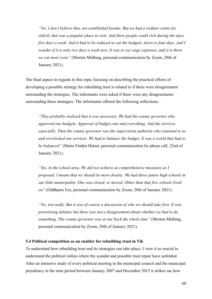*"No, I don't believe that, not established forums. But we had a welfare centre for elderly that was a popular place to visit. And there people could visit during the days, five days a week. And it had to be reduced to cut the budgets, down to four days, and I wonder if it is only two days a week now. It was to cut wage expenses, and it is there we cut most costs"* (Morten Midlang, personal communication by Zoom, 28th of January 2021).

The final aspect in regards to this topic focusing on describing the practical efforts of developing a possible strategy for rebuilding trust is related to if there were disagreement surrounding the strategies. The informants were asked if there were any disagreements surrounding these strategies. The informants offered the following reflections:

*"They probably realized that it was necessary. We had the county governor who approved our budgets. Approval of budget cuts and everything. And the services, especially. Then the county governor was the supervision authority who returned to us and overlooked our services. We had to balance the budget. It was a world that had to be balanced"* (Marta Finden Halset, personal communication by phone call, 22nd of January 2021).

*"Yes, in the school area. We did not achieve as comprehensive measures as I proposed. I meant that we should be more drastic. We had three junior high schools in our little municipality. One was closed, or moved. Other than that five schools lived on"* (Oddbjørn Ese, personal communication by Zoom, 28th of January 2021).

*"No, not really. But it was of course a discussion of who we should take first. It was prioritizing debates but there was not a disagreement about whether we had to do something. The county governor was at our back the whole time"* (Morten Midlang, personal communication by Zoom, 28th of January 2021).

# **5.4 Political competition as an enabler for rebuilding trust in Vik**

To understand how rebuilding trust and its strategies can take place, I view it as crucial to understand the political milieu where the scandal and possible trust repair have unfolded. After an intensive study of every political meeting in the municipal council and the municipal presidency in the time period between January 2007 and December 2015 it strikes me how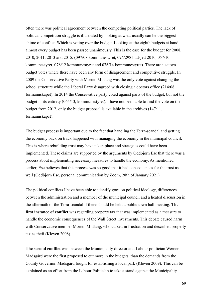often there was political agreement between the competing political parties. The lack of political competition struggle is illustrated by looking at what usually can be the biggest chime of conflict. Which is voting over the budget. Looking at the eighth budgets at hand, almost every budget has been passed unanimously. This is the case for the budget for 2008, 2010, 2011, 2013 and 2015. (097/08 kommunestyret, 09/7298 budsjett 2010, 057/10 kommunestyret, 078/12 kommunestyret and 076/14 kommunestyret). There are just two budget votes where there have been any form of disagreement and competitive struggle. In 2009 the Conservative Party with Morten Midlang was the only vote against changing the school structure while the Liberal Party disagreed with closing a doctors office (214/08, formannskapet). In 2014 the Conservative party voted against parts of the budget, but not the budget in its entirety (065/13, kommunestyret). I have not been able to find the vote on the budget from 2012, only the budget proposal is available in the archives (147/11, formannskapet).

The budget process is important due to the fact that handling the Terra-scandal and getting the economy back on track happened with managing the economy in the municipal council. This is where rebuilding trust may have taken place and strategies could have been implemented. These claims are supported by the arguments by Oddbjørn Ese that there was a process about implementing necessary measures to handle the economy. As mentioned earlier, Ese believes that this process was so good that it had consequences for the trust as well (Oddbjørn Ese, personal communication by Zoom, 28th of January 2021).

The political conflicts I have been able to identify goes on political ideology, differences between the administration and a member of the municipal council and a heated discussion in the aftermath of the Terra-scandal if there should be held a public town hall meeting. **The first instance of conflict** was regarding property tax that was implemented as a measure to handle the economic consequences of the Wall Street investments. This debate caused harm with Conservative member Morten Midlang, who cursed in frustration and described property tax as theft (Kleven 2008).

**The second conflict** was between the Municipality director and Labour politician Werner Madsgård were the first proposed to cut more in the budgets, than the demands from the County Governor. Madsgård fought for establishing a local park (Kleven 2009). This can be explained as an effort from the Labour Politician to take a stand against the Municipality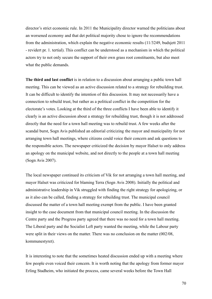director's strict economic rule. In 2011 the Municipality director warned the politicians about an worsened economy and that det political majority chose to ignore the recommendations from the administration, which explain the negative economic results (11/3249, budsjett 2011 - revidert pr. 1. tertial). This conflict can be understood as a mechanism in which the political actors try to not only secure the support of their own grass root constituents, but also meet what the public demands.

**The third and last conflict** is in relation to a discussion about arranging a public town hall meeting. This can be viewed as an active discussion related to a strategy for rebuilding trust. It can be difficult to identify the intention of this discussion. It may not necessarily have a connection to rebuild trust, but rather as a political conflict in the competition for the electorate's votes. Looking at the third of the three conflicts I have been able to identify it clearly is an active discussion about a strategy for rebuilding trust, though it is not addressed directly that the need for a town hall meeting was to rebuild trust. A few weeks after the scandal burst, Sogn Avis published an editorial criticizing the mayor and municipality for not arranging town hall meetings, where citizens could voice their concern and ask questions to the responsible actors. The newspaper criticized the decision by mayor Halset to only address an apology on the municipal website, and not directly to the people at a town hall meeting (Sogn Avis 2007).

The local newspaper continued its criticism of Vik for not arranging a town hall meeting, and mayor Halset was criticized for blaming Terra (Sogn Avis 2008). Initially the political and administrative leadership in Vik struggled with finding the right strategy for apologizing, or as it also can be called, finding a strategy for rebuilding trust. The municipal council discussed the matter of a town hall meeting exempt from the public. I have been granted insight to the case document from that municipal council meeting. In the discussion the Centre party and the Progress party agreed that there was no need for a town hall meeting. The Liberal party and the Socialist Left party wanted the meeting, while the Labour party were split in their views on the matter. There was no conclusion on the matter (002/08, kommunestyret).

It is interesting to note that the sometimes heated discussion ended up with a meeting where few people even voiced their concern. It is worth noting that the apology from former mayor Erling Stadheim, who initiated the process, came several weeks before the Town Hall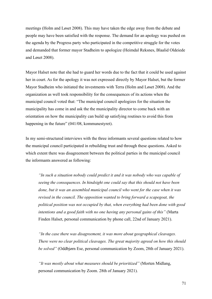meetings (Holm and Løset 2008). This may have taken the edge away from the debate and people may have been satisfied with the response. The demand for an apology was pushed on the agenda by the Progress party who participated in the competitive struggle for the votes and demanded that former mayor Stadheim to apologize (Heimdal Reksnes, Blaalid Oldeiede and Løset 2008).

Mayor Halset note that she had to guard her words due to the fact that it could be used against her in court. As for the apology it was not expressed directly by Mayor Halset, but the former Mayor Stadheim who initiated the investments with Terra (Holm and Løset 2008). And the organization as well took responsibility for the consequences of its actions when the municipal council voted that: "The municipal council apologizes for the situation the municipality has come in and ask the the municipality director to come back with an orientation on how the municipality can build up satisfying routines to avoid this from happening in the future" (041/08, kommunestyret).

In my semi-structured interviews with the three informants several questions related to how the municipal council participated in rebuilding trust and through these questions. Asked to which extent there was disagreement between the political parties in the municipal council the informants answered as following:

*"In such a situation nobody could predict it and it was nobody who was capable of seeing the consequences. In hindsight one could say that this should not have been done, but it was an assembled municipal council who went for the case when it was revised in the council. The opposition wanted to bring forward a scapegoat, the political position was not occupied by that, when everything had been done with good intentions and a good faith with no one having any personal gains of this"* (Marta Finden Halset, personal communication by phone call, 22nd of January 2021).

*"In the case there was disagreement, it was more about geographical cleavages. There were no clear political cleavages. The great majority agreed on how this should be solved"* (Oddbjørn Ese, personal communication by Zoom, 28th of January 2021).

*"It was mostly about what measures should be prioritized"* (Morten Midlang, personal communication by Zoom. 28th of January 2021).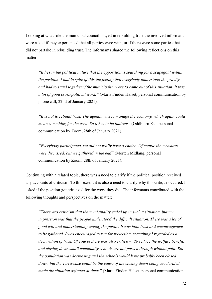Looking at what role the municipal council played in rebuilding trust the involved informants were asked if they experienced that all parties were with, or if there were some parties that did not partake in rebuilding trust. The informants shared the following reflections on this matter:

*"It lies in the political nature that the opposition is searching for a scapegoat within the position. I had in spite of this the feeling that everybody understood the gravity and had to stand together if the municipality were to come out of this situation. It was a lot of good cross-political work."* (Marta Finden Halset, personal communication by phone call, 22nd of January 2021).

*"It is not to rebuild trust. The agenda was to manage the economy, which again could mean something for the trust. So it has to be indirect"* (Oddbjørn Ese, personal communication by Zoom, 28th of January 2021).

*"Everybody participated, we did not really have a choice. Of course the measures were discussed, but we gathered in the end"* (Morten Midlang, personal communication by Zoom. 28th of January 2021).

Continuing with a related topic, there was a need to clarify if the political position received any accounts of criticism. To this extent it is also a need to clarify why this critique occured. I asked if the position got criticized for the work they did. The informants contributed with the following thoughts and perspectives on the matter:

*"There was criticism that the municipality ended up in such a situation, but my impression was that the people understood the difficult situation. There was a lot of good will and understanding among the public. It was both trust and encouragement to be gathered. I was encouraged to run for reelection, something I regarded as a declaration of trust. Of course there was also criticism. To reduce the welfare benefits and closing down small community schools are not passed through without pain. But the population was decreasing and the schools would have probably been closed down, but the Terra-case could be the cause of the closing down being accelerated, made the situation agitated at times"* (Marta Finden Halset, personal communication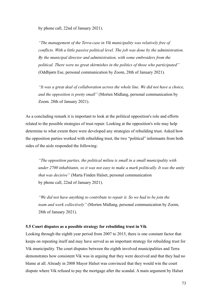by phone call, 22nd of January 2021).

*"The management of the Terra-case in Vik municipality was relatively free of conflicts. With a little passive political level. The job was done by the administration. By the municipal director and administration, with some embroiders from the political. There were no great skirmishes in the politics of those who participated"* (Oddbjørn Ese, personal communication by Zoom, 28th of January 2021).

*"It was a great deal of collaboration across the whole line. We did not have a choice, and the opposition is pretty small"* (Morten Midlang, personal communication by Zoom. 28th of January 2021).

As a concluding remark it is important to look at the political opposition's role and efforts related to the possible strategies of trust repair. Looking at the opposition's role may help determine to what extent there were developed any strategies of rebuilding trust. Asked how the opposition parties worked with rebuilding trust, the two "political" informants from both sides of the aisle responded the following:

*"The opposition parties, the political milieu is small in a small municipality with under 2700 inhabitants, so it was not easy to make a mark politically. It was the unity that was decisive"* (Marta Finden Halset, personal communication by phone call, 22nd of January 2021).

*"We did not have anything to contribute to repair it. So we had to be join the team and work collectively"* (Morten Midlang, personal communication by Zoom, 28th of January 2021).

### **5.5 Court disputes as a possible strategy for rebuilding trust in Vik**

Looking through the eighth year period from 2007 to 2015, there is one constant factor that keeps on repeating itself and may have served as an important strategy for rebuilding trust for Vik municipality. The court disputes between the eighth involved municipalities and Terra demonstrates how consistent Vik was in arguing that they were deceived and that they had no blame at all. Already in 2008 Mayor Halset was convinced that they would win the court dispute where Vik refused to pay the mortgage after the scandal. A main argument by Halset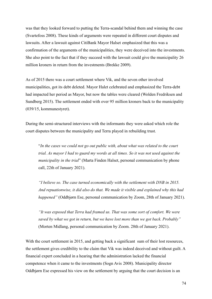was that they looked forward to putting the Terra-scandal behind them and winning the case (Svartefoss 2008). These kinds of arguments were repeated in different court disputes and lawsuits. After a lawsuit against CitiBank Mayor Halset emphasized that this was a confirmation of the arguments of the municipalities, they were deceived into the investments. She also point to the fact that if they succeed with the lawsuit could give the municipality 26 million kroners in return from the investments (Brekke 2009).

As of 2015 there was a court settlement where Vik, and the seven other involved municipalities, got its debt deleted. Mayor Halet celebrated and emphasized the Terra-debt had impacted her period as Mayor, but now the tables were cleared (Wolden Fredriksen and Sundberg 2015). The settlement ended with over 95 million kroners back to the municipality (039/15, kommunestyret).

During the semi-structured interviews with the informants they were asked which role the court disputes between the municipality and Terra played in rebuilding trust.

"*In the cases we could not go out public with, about what was related to the court trial. As mayor I had to guard my words at all times. So it was not used against the municipality in the trial*" (Marta Finden Halset, personal communication by phone call, 22th of January 2021).

*"I believe so. The case turned economically with the settlement with DNB in 2015. And repuationwise, it did also do that. We made it visible and explained why this had happened"* (Oddbjørn Ese, personal communication by Zoom, 28th of January 2021).

*"It was exposed that Terra had framed us. That was some sort of comfort. We were saved by what we got in return, but we have lost more than we got back. Probably"* (Morten Midlang, personal communication by Zoom. 28th of January 2021).

With the court settlement in 2015, and getting back a significant sum of their lost resources, the settlement gives credibility to the claim that Vik was indeed deceived and without guilt. A financial expert concluded in a hearing that the administration lacked the financial competence when it came to the investments (Sogn Avis 2008). Municipality director Oddbjørn Ese expressed his view on the settlement by arguing that the court decision is an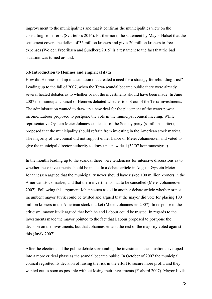improvement to the municipalities and that it confirms the municipalities view on the consulting from Terra (Svartefoss 2016). Furthermore, the statement by Mayor Halset that the settlement covers the deficit of 36 million kroners and gives 20 million kroners to free expenses (Wolden Fredriksen and Sundberg 2015) is a testament to the fact that the bad situation was turned around.

#### **5.6 Introduction to Hemnes and empirical data**

How did Hemnes end up in a situation that created a need for a strategy for rebuilding trust? Leading up to the fall of 2007, when the Terra-scandal became public there were already several heated debates as to whether or not the investments should have been made. In June 2007 the municipal council of Hemnes debated whether to opt out of the Terra-investments. The administration wanted to draw up a new deal for the placement of the water power income. Labour proposed to postpone the vote in the municipal council meeting. While representative Øystein Meier Johanessen, leader of the Society party (samfunnspartiet), proposed that the municipality should refrain from investing in the American stock market. The majority of the council did not support either Labor or Meier Johannessen and voted to give the municipal director authority to draw up a new deal (32/07 kommunestyret).

In the months leading up to the scandal there were tendencies for intensive discussions as to whether these investments should be made. In a debate article in August, Øystein Meier Johannessen argued that the municipality never should have risked 100 million kroners in the American stock market, and that these investments had to be cancelled (Meier Johannessen 2007). Following this argument Johannessen asked in another debate article whether or not incumbent mayor Juvik could be trusted and argued that the mayor did vote for placing 100 million kroners in the American stock market (Meier Johannessen 2007). In response to the criticism, mayor Juvik argued that both he and Labour could be trusted. In regards to the investments made the mayor pointed to the fact that Labour proposed to postpone the decision on the investments, but that Johannessen and the rest of the majority voted against this (Juvik 2007).

After the election and the public debate surrounding the investments the situation developed into a more critical phase as the scandal became public. In October of 2007 the municipal council regretted its decision of raising the risk in the effort to secure more profit, and they wanted out as soon as possible without losing their investments (Forbord 2007). Mayor Juvik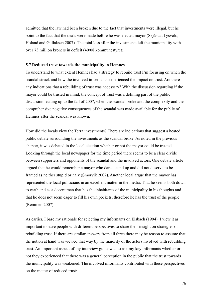admitted that the law had been broken due to the fact that investments were illegal, but he point to the fact that the deals were made before he was elected mayor (Skjåstad Lysvold, Holand and Gullaksen 2007). The total loss after the investments left the municipality with over 73 million kroners in deficit (40/08 kommunestyret).

#### **5.7 Reduced trust towards the municipality in Hemnes**

To understand to what extent Hemnes had a strategy to rebuild trust I'm focusing on when the scandal struck and how the involved informants experienced the impact on trust. Are there any indications that a rebuilding of trust was necessary? With the discussion regarding if the mayor could be trusted in mind, the concept of trust was a defining part of the public discussion leading up to the fall of 2007, when the scandal broke and the complexity and the comprehensive negative consequences of the scandal was made available for the public of Hemnes after the scandal was known.

How did the locals view the Terra investments? There are indications that suggest a heated public debate surrounding the investments as the scandal broke. As noted in the previous chapter, it was debated in the local election whether or not the mayor could be trusted. Looking through the local newspaper for the time period there seems to be a clear divide between supporters and opponents of the scandal and the involved actors. One debate article argued that he would remember a mayor who dared stand up and did not deserve to be framed as neither stupid or naiv (Smørvik 2007). Another local argue that the mayor has represented the local politicians in an excellent matter in the media. That he seems both down to earth and as a decent man that has the inhabitants of the municipality in his thoughts and that he does not seem eager to fill his own pockets, therefore he has the trust of the people (Remmen 2007).

As earlier, I base my rationale for selecting my informants on Elsbach (1994). I view it as important to have people with different perspectives to share their insight on strategies of rebuilding trust. If there are similar answers from all three there may be reason to assume that the notion at hand was viewed that way by the majority of the actors involved with rebuilding trust. An important aspect of my interview guide was to ask my key informants whether or not they experienced that there was a general perception in the public that the trust towards the municipality was weakened. The involved informants contributed with these perspectives on the matter of reduced trust: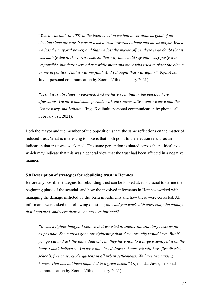"*Yes, it was that. In 2007 in the local election we had never done as good of an election since the war. It was at least a trust towards Labour and me as mayor. When we lost the mayoral power, and that we lost the mayor office, there is no doubt that it was mainly due to the Terra-case. So that way one could say that every party was responsible, but there were after a while more and more who tried to place the blame on me in politics. That it was my fault. And I thought that was unfair"* (Kjell-Idar Juvik, personal communication by Zoom. 25th of January 2021).

*"Yes, it was absolutely weakened. And we have seen that in the election here afterwards. We have had some periods with the Conservative, and we have had the Centre party and Labour"* (Inga Kvalbukt, personal communication by phone call. February 1st, 2021).

Both the mayor and the member of the opposition share the same reflections on the matter of reduced trust. What is interesting to note is that both point to the election results as an indication that trust was weakened. This same perception is shared across the political axis which may indicate that this was a general view that the trust had been affected in a negative manner.

#### **5.8 Description of strategies for rebuilding trust in Hemnes**

Before any possible strategies for rebuilding trust can be looked at, it is crucial to define the beginning phase of the scandal, and how the involved informants in Hemnes worked with managing the damage inflicted by the Terra investments and how these were corrected. All informants were asked the following question; *how did you work with correcting the damage that happened, and were there any measures initiated?*

*"It was a tighter budget. I believe that we tried to shelter the statutory tasks as far as possible. Some areas got more tightening than they normally would have. But if you go out and ask the individual citizen, they have not, to a large extent, felt it on the body. I don't believe so. We have not closed down schools. We still have five district schools, five or six kindergartens in all urban settlements. We have two nursing homes. That has not been impacted to a great extent"* (Kjell-Idar Juvik, personal communication by Zoom. 25th of January 2021).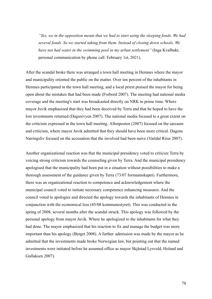*"Yes, we in the opposition meant that we had to start using the sleeping fonds. We had several fonds. So we started taking from them. Instead of closing down schools. We have not had water in the swimming pool in my urban settlement"* (Inga Kvalbukt, personal communication by phone call. February 1st, 2021).

After the scandal broke there was arranged a town hall meeting in Hemnes where the mayor and municipality oriented the public on the matter. Over ten percent of the inhabitants in Hemnes participated in the town hall meeting, and a local priest praised the mayor for being open about the mistakes that had been made (Forbord 2007). The meeting had national media coverage and the meeting's start was broadcasted directly on NRK in prime time. Where mayor Juvik emphasized that they had been deceived by Terra and that he hoped to have the lost investments returned (Dagsrevyen 2007). The national media focused to a great extent on the criticism expressed in the town hall meeting. Aftenposten (2007) focused on the sarcasm and criticism, where mayor Juvik admitted that they should have been more critical. Dagens Næringsliv focused on the accusation that the involved had been naive (Vartdal Riise 2007).

Another organizational reaction was that the municipal presidency voted to criticize Terra by voicing strong criticism towards the counseling given by Terra. And the municipal presidency apologised that the municipality had been put in a situation without possibilities to make a thorough assessment of the guidance given by Terra (73/07 formannskapet). Furthermore, there was an organizational reaction to competence and acknowledgement where the municipal council voted to initiate necessary competence enhancing measures. And the council voted to apologies and directed the apology towards the inhabitants of Hemnes in conjunction with the economical loss (45/08 kommunestyret). This was conducted in the spring of 2008, several months after the scandal struck. This apology was followed by the personal apology from mayor Juvik. Where he apologized to the inhabitants for what they had done. The mayor emphasized that his reaction to fix and manage the budget was more important than his apology (Berget 2008). A further admission was made by the mayor as he admitted that the investments made broke Norwegian law, but pointing out that the named investments were initiated before he assumed office as mayor Skjåstad Lysvold, Holand and Gullaksen 2007).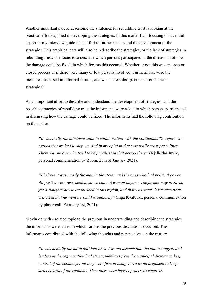Another important part of describing the strategies for rebuilding trust is looking at the practical efforts applied in developing the strategies. In this matter I am focusing on a central aspect of my interview guide in an effort to further understand the development of the strategies. This empirical data will also help describe the strategies, or the lack of strategies in rebuilding trust. The focus is to describe which persons participated in the discussion of how the damage could be fixed, in which forums this occured. Whether or not this was an open or closed process or if there were many or few persons involved. Furthermore, were the measures discussed in informal forums, and was there a disagreement around these strategies?

As an important effort to describe and understand the development of strategies, and the possible strategies of rebuilding trust the informants were asked to which persons participated in discussing how the damage could be fixed. The informants had the following contribution on the matter:

*"It was really the administration in collaboration with the politicians. Therefore, we agreed that we had to step up. And in my opinion that was really cross party lines. There was no one who tried to be populists in that period there"* (Kjell-Idar Juvik, personal communication by Zoom. 25th of January 2021).

*"I believe it was mostly the man in the street, and the ones who had political power. All parties were represented, so we can not exempt anyone. The former mayor, Juvik, got a slaughterhouse established in this region, and that was great. It has also been criticized that he went beyond his authority"* (Inga Kvalbukt, personal communication by phone call. February 1st, 2021).

Movin on with a related topic to the previous in understanding and describing the strategies the informants were asked in which forums the previous discussions occurred. The informants contributed with the following thoughts and perspectives on the matter:

*"It was actually the more political ones. I would assume that the unit managers and leaders in the organization had strict guidelines from the municipal director to keep control of the economy. And they were firm in using Terra as an argument to keep strict control of the economy. Then there were budget processes where the*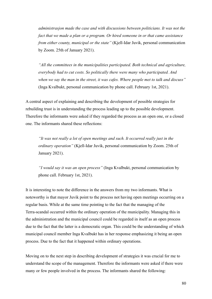*administrasjon made the case and with discussions between politicians. It was not the fact that we made a plan or a program. Or hired someone in or that came assistance from either county, municipal or the state"* (Kjell-Idar Juvik, personal communication by Zoom. 25th of January 2021).

*"All the committees in the municipalities participated. Both technical and agriculture, everybody had to cut costs. So politically there were many who participated. And when we say the man in the street, it was cafes. Where people met to talk and discuss"* (Inga Kvalbukt, personal communication by phone call. February 1st, 2021).

A central aspect of explaining and describing the development of possible strategies for rebuilding trust is in understanding the process leading up to the possible development. Therefore the informants were asked if they regarded the process as an open one, or a closed one. The informants shared these reflections:

*"It was not really a lot of open meetings and such. It occurred really just in the ordinary operation"* (Kjell-Idar Juvik, personal communication by Zoom. 25th of January 2021).

*"I would say it was an open process"* (Inga Kvalbukt, personal communication by phone call. February 1st, 2021).

It is interesting to note the difference in the answers from my two informants. What is noteworthy is that mayor Juvik point to the process not having open meetings occurring on a regular basis. While at the same time pointing to the fact that the managing of the Terra-scandal occurred within the ordinary operation of the municipality. Managing this in the administration and the municipal council could be regarded in itself as an open process due to the fact that the latter is a democratic organ. This could be the understanding of which municipal council member Inga Kvalbukt has in her response emphasizing it being an open process. Due to the fact that it happened within ordinary operations.

Moving on to the next step in describing development of strategies it was crucial for me to understand the scope of the management. Therefore the informants were asked if there were many or few people involved in the process. The informants shared the following: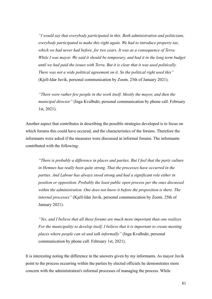*"I would say that everybody participated in this. Both administration and politicians, everybody participated to make this right again. We had to introduce property tax, which we had never had before, for two years. It was as a consequence of Terra. While I was mayor. We said it should be temporary, and had it in the long term budget until we had paid the issues with Terra. But it is clear that it was used politically. There was not a wide political agreement on it. So the political right used this"* (Kjell-Idar Juvik, personal communication by Zoom. 25th of January 2021).

*"There were rather few people in the work itself. Mostly the mayor, and then the municipal director"* (Inga Kvalbukt, personal communication by phone call. February 1st, 2021).

Another aspect that contributes in describing the possible strategies developed is to focus on which forums this could have occured, and the characteristics of the forums. Therefore the informants were asked if the measures were discussed in informal forums. The informants contributed with the following:

*"There is probably a difference in places and parties. But I feel that the party culture in Hemnes has really been quite strong. That the processes have occurred in the parties. And Labour has always stood strong and had a significant role either in position or opposition. Probably the least public open process per the ones discussed within the administration. One does not know it before the proposition is there. The internal processes"* (Kjell-Idar Juvik, personal communication by Zoom. 25th of January 2021).

*"Yes, and I believe that all these forums are much more important than one realizes. For the municipality to develop itself, I believe that it is important to create meeting places where people can sit and talk informally"* (Inga Kvalbukt, personal communication by phone call. February 1st, 2021).

It is interesting noting the difference in the answers given by my informants. As mayor Juvik point to the process occurring within the parties by elected officials he demonstrates more concern with the administration's informal processes of managing the process. While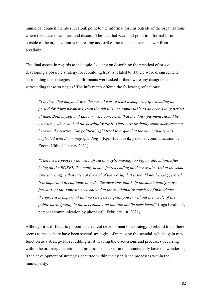municipal council member Kvalbuk point to the informal forums outside of the organizations where the citizens can meet and discuss. The fact that Kvalbukt point to informal forums outside of the organization is interesting and strikes me as a consistent answer from Kvalbukt.

The final aspect in regards to this topic focusing on describing the practical efforts of developing a possible strategy for rebuilding trust is related to if there were disagreement surrounding the strategies. The informants were asked if there were any disagreements surrounding these strategies? The informants offered the following reflections:

*"I believe that maybe it was the case. I was at least a supporter of extending the period for down payments, even though it is not comfortable to do over a long period of time. Both myself and Labour were concerned that the down payment should be over time, when we had the possibility for it. There was probably some disagreement between the parties. The political right tried to argue that the municipality was neglected with the money spending"* (Kjell-Idar Juvik, personal communication by Zoom. 25th of January 2021).

*"There were people who were afraid of maybe making too big an allocation. After being on the ROBEK list, many people feared ending up there again. And at the same time some argue that it is not the end of the world, that it should not be exaggerated. It is important to continue, to make the decisions that help the municipality move forward. At the same time we know that the municipality consists of individuals, therefore it is important that no one gets to great power without the whole of the public participating in the decisions. And that the public feels heard"* (Inga Kvalbukt, personal communication by phone call. February 1st, 2021).

Although it is difficult to pinpoint a clear cut development of a strategy to rebuild trust, there seems to me as there have been several strategies of managing the scandal, which again may function as a strategy for rebuilding trust. Having the discussions and processes occurring within the ordinary operation and processes that exist in the municipality have me wondering if the development of strategies occurred within the established processes within the municipality.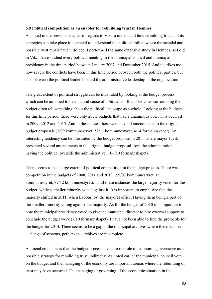#### **5.9 Political competition as an enabler for rebuilding trust in Hemnes**

As noted in the previous chapter in regards to Vik, to understand how rebuilding trust and its strategies can take place it is crucial to understand the political milieu where the scandal and possible trust repair have unfolded. I performed the same extensive study in Hemnes, as I did in Vik. I have studied every political meeting in the municipal council and municipal presidency in the time period between January 2007 and December 2015. And it strikes me how severe the conflicts have been in this time period between both the political parties, but also between the political leadership and the administrative leadership in the organization.

The great extent of political struggle can be illustrated by looking at the budget process, which can be assumed to be a natural cause of political conflict. The votes surrounding the budget often tell something about the political landscape as a whole. Looking at the budgets for this time period, there were only a few budgets that had a unanimous vote. This occured in 2009, 2012 and 2015. And in these cases there were several amendments to the original budget proposals (2/09 kommunestyret, 52/11 kommunestyret, 4/14 formannskapet). An interesting tendency can be illustrated by the budget proposal in 2011 where mayor Juvik presented several amendments to the original budget proposal from the administration, having the political override the administrative (106/10 formannskapet).

There seems to be a large extent of political competition in the budget process. There was competition in the budgets of 2008, 2011 and 2013. (59/07 kommunestyret, 1/11 kommunestyret, 79/12 kommunestyret). In all these instances the large majority voted for the budget, while a smaller minority voted against it. It is important to emphasize that the majority shifted in 2011, when Labour lost the mayoral office. Having them being a part of the smaller minority voting against the majority. As for the budget of 2010 it is important to note the municipal presidency voted to give the municipal director to hire external support to conclude the budget work (7/10 formannskapet). I have not been able to find the protocols for the budget for 2014. There seems to be a gap in the municipal archives where there has been a change of systems, perhaps the archives are incomplete.

A crucial emphasis is that the budget process is due to the role of economic governance as a possible strategy for rebuilding trust, indirectly. As noted earlier the municipal council vote on the budget and the managing of the economy are important arenas where the rebuilding of trust may have occurred. The managing or governing of the economic situation in the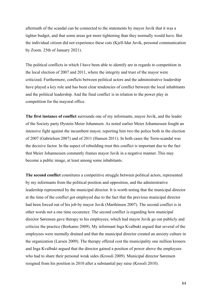aftermath of the scandal can be connected to the statements by mayor Juvik that it was a tighter budget, and that some areas got more tightening than they normally would have. But the individual citizen did not experience these cuts (Kjell-Idar Juvik, personal communication by Zoom. 25th of January 2021).

The political conflicts in which I have been able to identify are in regards to competition in the local election of 2007 and 2011, where the integrity and trust of the mayor were criticized. Furthermore, conflicts between political actors and the administrative leadership have played a key role and has been clear tendencies of conflict between the local inhabitants and the political leadership. And the final conflict is in relation to the power play in competition for the mayoral office.

**The first instance of conflict** surrounds one of my informants, mayor Juvik, and the leader of the Society party Øystein Meier Johannsen. As noted earlier Meier Johannessen fought an intensive fight against the incumbent mayor, reporting him two the police both in the election of 2007 (Gabrielsen 2007) and of 2011 (Hansen 2011). In both cases the Terra-scandal was the decisive factor. In the aspect of rebuilding trust this conflict is important due to the fact that Meier Johannessen constantly frames mayor Juvik in a negative manner. This may become a public image, at least among some inhabitants.

**The second conflict** constitutes a competitive struggle between political actors, represented by my informants from the political position and opposition, and the administrative leadership represented by the municipal director. It is worth noting that the municipal director at the time of the conflict got employed due to the fact that the previous municipal director had been forced out of his job by mayor Juvik (Marthinsen 2007). The second conflict is in other words not a one time occurence. The second conflict is regarding how municipal director Sørensen gave therapy to his employees, which had mayor Juvik go out publicly and criticize the practice (Borkamo 2009). My informant Inga Kvalbukt argued that several of the employees were mentally drained and that the municipal director created an anxiety culture in the organization (Larsen 2009). The therapy offered cost the municipality one million kroners and Inga Kvalbukt argued that the director gained a position of power above the employees who had to share their personal weak sides (Krossli 2009). Municipal director Sørensen resigned from his position in 2010 after a substantial pay raise (Krossli 2010).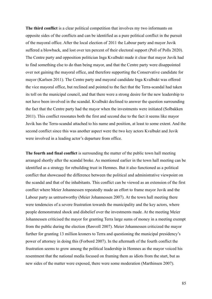**The third conflict** is a clear political competition that involves my two informants on opposite sides of the conflicts and can be identified as a pure political conflict in the pursuit of the mayoral office. After the local election of 2011 the Labour party and mayor Juvik suffered a blowback, and lost over ten percent of their electoral support (Poll of Polls 2020). The Centre party and opposition politician Inga Kvalbukt made it clear that mayor Juvik had to find something else to do than being mayor, and that the Centre party were disappointed over not gaining the mayoral office, and therefore supporting the Conservative candidate for mayor (Karlsen 2011). The Centre party and mayoral candidate Inga Kvalbukt was offered the vice mayoral office, but reclined and pointed to the fact that the Terra-scandal had taken its toll on the municipal council, and that there were a strong desire for the new leadership to not have been involved in the scandal. Kvalbukt declined to answer the question surrounding the fact that the Centre party had the mayor when the investments were initiated (Solbakken 2011). This conflict resonates both the first and second due to the fact it seems like mayor Juvik has the Terra-scandal attached to his name and position, at least to some extent. And the second conflict since this was another aspect were the two key actors Kvalbukt and Juvik were involved in a leading actor's departure from office.

**The fourth and final conflict** is surrounding the matter of the public town hall meeting arranged shortly after the scandal broke. As mentioned earlier in the town hall meeting can be identified as a strategy for rebuilding trust in Hemnes. But it also functioned as a political conflict that showcased the difference between the political and administrative viewpoint on the scandal and that of the inhabitants. This conflict can be viewed as an extension of the first conflict where Meier Johannessen repeatedly made an effort to frame mayor Juvik and the Labour party as untrustworthy (Meier Johannessen 2007). At the town hall meeting there were tendencies of a severe frustration towards the municipality and the key actors, where people demonstrated shock and disbelief over the investments made. At the meeting Meier Johannessen criticised the mayor for granting Terra large sums of money in a meeting exempt from the public during the election (Røsvoll 2007). Meier Johannessen criticized the mayor further for granting 13 million kroners to Terra and questioning the municipal presidency's power of attorney in doing this (Forbord 2007). In the aftermath of the fourth conflict the frustration seems to grow among the political leadership in Hemnes as the mayor voiced his resentment that the national media focused on framing them as idiots from the start, but as new sides of the matter were exposed, there were some moderation (Marthinsen 2007).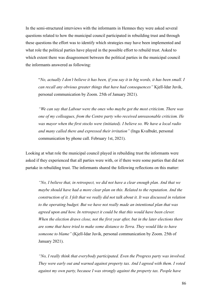In the semi-structured interviews with the informants in Hemnes they were asked several questions related to how the municipal council participated in rebuilding trust and through these questions the effort was to identify which strategies may have been implemented and what role the political parties have played in the possible effort to rebuild trust. Asked to which extent there was disagreement between the political parties in the municipal council the informants answered as following:

"*No, actually I don't believe it has been, if you say it in big words, it has been small. I can recall any obvious greater things that have had consequences"* Kjell-Idar Juvik, personal communication by Zoom. 25th of January 2021).

*"We can say that Labour were the ones who maybe got the most criticism. There was one of my colleagues, from the Centre party who received unreasonable criticism. He was mayor when the first stocks were (initiated). I believe so. We have a local radio and many called there and expressed their irritation"* (Inga Kvalbukt, personal communication by phone call. February 1st, 2021).

Looking at what role the municipal council played in rebuilding trust the informants were asked if they experienced that all parties were with, or if there were some parties that did not partake in rebuilding trust. The informants shared the following reflections on this matter:

*"No, I believe that, in retrospect, we did not have a clear enough plan. And that we maybe should have had a more clear plan on this. Related to the reputation. And the construction of it. I felt that we really did not talk about it. It was discussed in relation to the operating budget. But we have not really made an intentional plan that was agreed upon and how. In retrospect it could be that this would have been clever. When the election draws close, not the first year after, but in the later elections there are some that have tried to make some distance to Terra. They would like to have someone to blame"* (Kjell-Idar Juvik, personal communication by Zoom. 25th of January 2021).

*"No, I really think that everybody participated. Even the Progress party was involved. They were early out and warned against property tax. And I agreed with them. I voted against my own party, because I was strongly against the property tax. People have*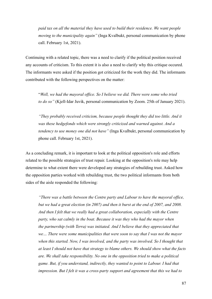*paid tax on all the material they have used to build their residence. We want people moving to the municipality again"* (Inga Kvalbukt, personal communication by phone call. February 1st, 2021).

Continuing with a related topic, there was a need to clarify if the political position received any accounts of criticism. To this extent it is also a need to clarify why this critique occured. The informants were asked if the position got criticized for the work they did. The informants contributed with the following perspectives on the matter:

"*Well, we had the mayoral office. So I believe we did. There were some who tried to do so"* (Kjell-Idar Juvik, personal communication by Zoom. 25th of January 2021).

*"They probably received criticism, because people thought they did too little. And it was these hedgefonds which were strongly criticized and warned against. And a tendency to use money one did not have"* (Inga Kvalbukt, personal communication by phone call. February 1st, 2021).

As a concluding remark, it is important to look at the political opposition's role and efforts related to the possible strategies of trust repair. Looking at the opposition's role may help determine to what extent there were developed any strategies of rebuilding trust. Asked how the opposition parties worked with rebuilding trust, the two political informants from both sides of the aisle responded the following:

*"There was a battle between the Centre party and Labour to have the mayoral office, but we had a great election (in 2007) and then it burst at the end of 2007, and 2008. And then I felt that we really had a great collaboration, especially with the Centre party, who sat calmly in the boat. Because it was they who had the mayor when the partnership (with Terra) was initiated. And I believe that they appreciated that we… There were some municipalities that were soon to say that I was not the mayor when this started. Now, I was involved, and the party was involved. So I thought that at least I should not have that strategy to blame others. We should show what the facts are. We shall take responsibility. No one in the opposition tried to make a political game. But, if you understand, indirectly, they wanted to point to Labour. I had that impression. But I felt it was a cross-party support and agreement that this we had to*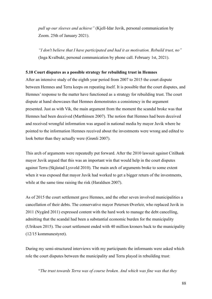*pull up our sleeves and achieve"* (Kjell-Idar Juvik, personal communication by Zoom. 25th of January 2021).

*"I don't believe that I have participated and had it as motivation. Rebuild trust, no"* (Inga Kvalbukt, personal communication by phone call. February 1st, 2021).

## **5.10 Court disputes as a possible strategy for rebuilding trust in Hemnes**

After an intensive study of the eighth year period from 2007 to 2015 the court dispute between Hemnes and Terra keeps on repeating itself. It is possible that the court disputes, and Hemnes' response to the matter have functioned as a strategy for rebuilding trust. The court dispute at hand showcases that Hemnes demonstrates a consistency in the argument presented. Just as with Vik, the main argument from the moment the scandal broke was that Hemnes had been deceived (Marthinsen 2007). The notion that Hemnes had been deceived and received wrongful information was argued in national media by mayor Juvik where he pointed to the information Hemnes received about the investments were wrong and edited to look better than they actually were (Grønli 2007).

This arch of arguments were repeatedly put forward. After the 2010 lawsuit against CitiBank mayor Juvik argued that this was an important win that would help in the court disputes against Terra (Skjåstad Lysvold 2010). The main arch of arguments broke to some extent when it was exposed that mayor Juvik had worked to get a bigger return of the investments, while at the same time raising the risk (Haraldsen 2007).

As of 2015 the court settlement gave Hemnes, and the other seven involved municipalities a cancellation of their debts. The conservative mayor Petersen Øverleir, who replaced Juvik in 2011 (Nygård 2011) expressed content with the hard work to manage the debt cancelling, admitting that the scandal had been a substantial economic burden for the municipality (Ulriksen 2015). The court settlement ended with 40 million kroners back to the municipality (12/15 kommunestyret).

During my semi-structured interviews with my participants the informants were asked which role the court disputes between the municipality and Terra played in rebuilding trust:

"*The trust towards Terra was of course broken. And which was fine was that they*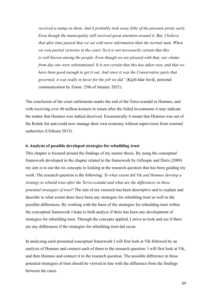*received a stamp on them. And it probably took away little of the pressure pretty early. Even though the municipality still received great attention around it. But, I believe that after time passed that we sat with more information than the normal man. When we won partial victories in the court. So it is not necessarily certain that this is well known among the people. Even though we are pleased with that, our claims from day one were substantiated. It is not certain that this has taken root, and that we have been good enough to get it out. And since it was the Conservative party that governed, it was really in favor for the job we did"* (Kjell-Idar Juvik, personal communication by Zoom. 25th of January 2021).

The conclusion of the court settlements marks the end of the Terra-scandal in Hemnes, and with receiving over 40 million kroners in return after the failed investments it may indicate the matter that Hemnes was indeed deceived. Economically it meant that Hemnes was out of the Robek list and could now manage their own economy without supervision from external authorities (Ulriksen 2015).

# **6. Analysis of possible developed strategies for rebuilding trust**

This chapter is focused around the findings of my master thesis. By using the conceptual framework developed in the chapter related to the framework by Gillespie and Dietz (2009) my aim is to use the six concepts in looking at the research question that has been guiding my work. The research question is the following: *To what extent did Vik and Hemnes develop a strategy to rebuild trust after the Terra-scandal and what are the differences in these potential strategies of trust*? The aim of my research has been descriptive and to explain and describe to what extent there have been any strategies for rebuilding trust as well as the possible differences. By working with the basis of the strategies for rebuilding trust within the conceptual framework I hope to both analyse if there has been any development of strategies for rebuilding trust. Through the concepts applied, I strive to look and see if there are any differences if the strategies for rebuilding trust did occur.

In analyzing each presented conceptual framework I will first look at Vik followed by an analysis of Hemnes and connect each of them to the research question. I will first look at Vik, and then Hemnes and connect it to the research question. The possible difference in these potential strategies of trust should be viewed in line with the difference from the findings between the cases.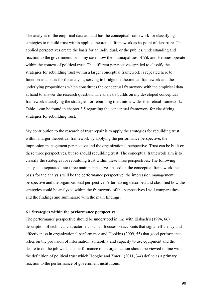The analysis of the empirical data at hand has the conceptual framework for classifying strategies to rebuild trust within applied theoretical framework as its point of departure. The applied perspectives create the basis for an individual, or the publics, understanding and reaction to the government, or in my case, how the municipalities of Vik and Hemnes operate within the context of political trust. The different perspectives applied to classify the strategies for rebuilding trust within a larger conceptual framework is repeated here to function as a basis for the analysis, serving to bridge the theoretical framework and the underlying propositions which constitutes the conceptual framework with the empirical data at hand to answer the research question. The analysis builds on my developed conceptual framework classifying the strategies for rebuilding trust into a wider theoretical framework. Table 1 can be found in chapter 3.5 regarding the conceptual framework for classifying strategies for rebuilding trust.

My contribution to the research of trust repair is to apply the strategies for rebuilding trust within a larger theoretical framework by applying the performance perspective, the impression management perspective and the organizational perspective. Trust can be built on these three perspectives, but so should rebuilding trust. The conceptual framework aim is to classify the strategies for rebuilding trust within these three perspectives. The following analysis is separated into three main perspectives, based on the conceptual framework the basis for the analysis will be the performance perspective, the impression management perspective and the organizational perspective. After having described and classified how the strategies could be analyzed within the framework of the perspectives I will compare these and the findings and summarize with the main findings.

### **6.1 Strategies within the performance perspective**

The performance perspective should be understood in line with Elsbach's (1994, 66) description of technical characteristics which focuses on accounts that signal efficiency and effectiveness in organizational performance and Hopkins (2009, 55) that good performance relies on the provision of information, suitability and capacity to use equipment and the desire to do the job well. The performance of an organization should be viewed in line with the definition of political trust which Hooghe and Zmerli (2011, 3-4) define as a primary reaction to the performance of government institutions.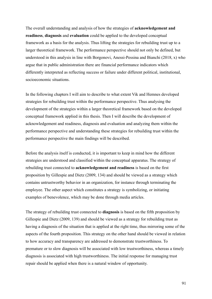The overall understanding and analysis of how the strategies of **acknowledgement and readiness**, **diagnosis** and **evaluation** could be applied to the developed conceptual framework as a basis for the analysis. Thus lifting the strategies for rebuilding trust up to a larger theoretical framework. The performance perspective should not only be defined, but understood in this analysis in line with Borgonovi, Anessi-Pessina and Bianchi (2018, x) who argue that in public administration there are financial performance indicators which differently interpreted as reflecting success or failure under different political, institutional, socioeconomic situations.

In the following chapters I will aim to describe to what extent Vik and Hemnes developed strategies for rebuilding trust within the performance perspective. Thus analysing the development of the strategies within a larger theoretical framework based on the developed conceptual framework applied in this thesis. Then I will describe the development of acknowledgement and readiness, diagnosis and evaluation and analyzing them within the performance perspective and understanding these strategies for rebuilding trust within the performance perspective the main findings will be described.

Before the analysis itself is conducted, it is important to keep in mind how the different strategies are understood and classified within the conceptual apparatus. The strategy of rebuilding trust connected to **acknowledgement and readiness** is based on the first proposition by Gillespie and Dietz (2009, 134) and should be viewed as a strategy which contains untrustworthy behavior in an organization, for instance through terminating the employee. The other aspect which constitutes a strategy is symbolizing, or initiating examples of benevolence, which may be done through media articles.

The strategy of rebuilding trust connected to **diagnosis** is based on the fifth proposition by Gillespie and Dietz (2009, 139) and should be viewed as a strategy for rebuilding trust as having a diagnosis of the situation that is applied at the right time, thus mirroring some of the aspects of the fourth proposition. This strategy on the other hand should be viewed in relation to how accuracy and transparency are addressed to demonstrate trustworthiness. To premature or to slow diagnosis will be associated with low trustworthiness, whereas a timely diagnosis is associated with high trustworthiness. The initial response for managing trust repair should be applied when there is a natural window of opportunity.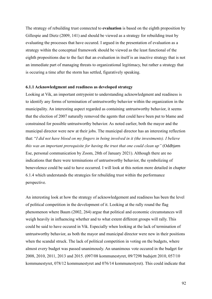The strategy of rebuilding trust connected to **evaluation** is based on the eighth proposition by Gillespie and Dietz (2009, 141) and should be viewed as a strategy for rebuilding trust by evaluating the processes that have occured. I argued in the presentation of evaluation as a strategy within the conceptual framework should be viewed as the least functional of the eighth propositions due to the fact that an evaluation in itself is an inactive strategy that is not an immediate part of managing threats to organizational legitimacy, but rather a strategy that is occuring a time after the storm has settled, figuratively speaking.

## **6.1.1 Acknowledgment and readiness as developed strategy**

Looking at Vik, an important entrypoint to understanding acknowledgment and readiness is to identify any forms of termination of untrustworthy behavior within the organization in the municipality. An interesting aspect regarded as containing untrustworthy behavior, it seems that the election of 2007 naturally removed the agents that could have been put to blame and constrained for possible untrustworthy behavior. As noted earlier, both the mayor and the municipal director were new at their jobs. The municipal director has an interesting reflection that: "*I did not have blood on my fingers in being involved in it (the investments). I believe this was an important prerequisite for having the trust that one could clean up"* (Oddbjørn Ese, personal communication by Zoom, 28th of January 2021). Although there are no indications that there were terminations of untrustworthy behavior, the symbolizing of benevolence could be said to have occurred. I will look at this notion more detailed in chapter 6.1.4 which understands the strategies for rebuilding trust within the performance perspective.

An interesting look at how the strategy of acknowledgement and readiness has been the level of political competition in the development of it. Looking at the rally round the flag phenomenon where Baum (2002, 264) argue that political and economic circumstances will weigh heavily in influencing whether and to what extent different groups will rally. This could be said to have occured in Vik. Especially when looking at the lack of termination of untrustworthy behavior, as both the mayor and municipal director were new in their positions when the scandal struck. The lack of political competition in voting on the budgets, where almost every budget was passed unanimously. An unanimous vote occured in the budget for 2008, 2010, 2011, 2013 and 2015. (097/08 kommunestyret, 09/7298 budsjett 2010, 057/10 kommunestyret, 078/12 kommunestyret and 076/14 kommunestyret). This could indicate that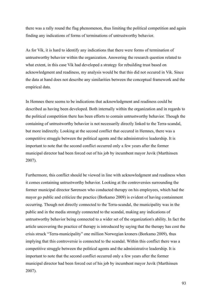there was a rally round the flag phenomenon, thus limiting the political competition and again finding any indications of forms of terminations of untrustworthy behavior.

As for Vik, it is hard to identify any indications that there were forms of termination of untrustworthy behavior within the organization. Answering the research question related to what extent, in this case Vik had developed a strategy for rebuilding trust based on acknowledgment and readiness, my analysis would be that this did not occured in Vik. Since the data at hand does not describe any similarities between the conceptual framework and the empirical data.

In Hemnes there seems to be indications that acknowledgment and readiness could be described as having been developed. Both internally within the organization and in regards to the political competition there has been efforts to contain untrustworthy behavior. Though the containing of untrustworthy behavior is not necessarily directly linked to the Terra-scandal, but more indirectly. Looking at the second conflict that occured in Hemnes, there was a competitive struggle between the political agents and the administrative leadership. It is important to note that the second conflict occurred only a few years after the former municipal director had been forced out of his job by incumbent mayor Juvik (Marthinsen 2007).

Furthermore, this conflict should be viewed in line with acknowledgment and readiness when it comes containing untrustworthy behavior. Looking at the controversies surrounding the former municipal director Sørensen who conducted therapy on his employees, which had the mayor go public and criticize the practice (Borkamo 2009) is evident of having containment occurring. Though not directly connected to the Terra-scandal, the municipality was in the public and in the media strongly connected to the scandal, making any indications of untrustworthy behavior being connected to a wider set of the organization's ability. In fact the article uncovering the practice of therapy is introduced by saying that the therapy has cost the crisis struck "Terra-municipality" one million Norwegian kroners (Borkamo 2009), thus implying that this controversie is connected to the scandal. Within this conflict there was a competitive struggle between the political agents and the administrative leadership. It is important to note that the second conflict occurred only a few years after the former municipal director had been forced out of his job by incumbent mayor Juvik (Marthinsen 2007).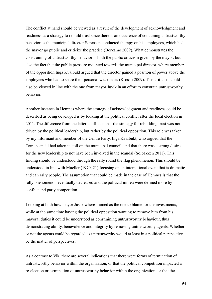The conflict at hand should be viewed as a result of the development of acknowledgment and readiness as a strategy to rebuild trust since there is an occurence of containing untrustworthy behavior as the municipal director Sørensen conducted therapy on his employees, which had the mayor go public and criticize the practice (Borkamo 2009). What demonstrates the constraining of untrustworthy behavior is both the public criticism given by the mayor, but also the fact that the public pressure mounted towards the municipal director, where member of the opposition Inga Kvalbukt argued that the director gained a position of power above the employees who had to share their personal weak sides (Krossli 2009). This criticism could also be viewed in line with the one from mayor Juvik in an effort to constrain untrustworthy behavior.

Another instance in Hemnes where the strategy of acknowledgment and readiness could be described as being developed is by looking at the political conflict after the local election in 2011. The difference from the latter conflict is that the strategy for rebuilding trust was not driven by the political leadership, but rather by the political opposition. This role was taken by my informant and member of the Centre Party, Inga Kvalbukt, who argued that the Terra-scandal had taken its toll on the municipal council, and that there was a strong desire for the new leadership to not have been involved in the scandal (Solbakken 2011). This finding should be understood through the rally round the flag phenomenon. This should be understood in line with Mueller (1970, 21) focusing on an international event that is dramatic and can rally people. The assumption that could be made in the case of Hemnes is that the rally phenomenon eventually decreased and the political milieu were defined more by conflict and party competition.

Looking at both how mayor Juvik where framed as the one to blame for the investments, while at the same time having the political opposition wanting to remove him from his mayoral duties it could be understood as constraining untrustworthy behaviour, thus demonstrating ability, benevolence and integrity by removing untrustworthy agents. Whether or not the agents could be regarded as untrustworthy would at least in a political perspective be the matter of perspectives.

As a contrast to Vik, there are several indications that there were forms of termination of untrustworthy behavior within the organization, or that the political competition impacted a re-election or termination of untrustworthy behavior within the organization, or that the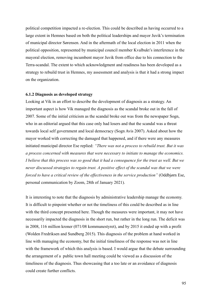political competition impacted a re-election. This could be described as having occurred to a large extent in Hemnes based on both the political leaderships and mayor Juvik's termination of municipal director Sørensen. And in the aftermath of the local election in 2011 when the political opposition, represented by municipal council member Kvalbukt's interference in the mayoral election, removing incumbent mayor Juvik from office due to his connection to the Terra-scandal. The extent to which acknowledgment and readiness has been developed as a strategy to rebuild trust in Hemnes, my assessment and analysis is that it had a strong impact on the organization.

## **6.1.2 Diagnosis as developed strategy**

Looking at Vik in an effort to describe the development of diagnosis as a strategy. An important aspect is how Vik managed the diagnosis as the scandal broke out in the fall of 2007. Some of the initial criticism as the scandal broke out was from the newspaper Sogn, who in an editorial argued that this case only had losers and that the scandal was a threat towards local self government and local democracy (Sogn Avis 2007). Asked about how the mayor worked with correcting the damaged that happened, and if there were any measures initiated municipal director Ese replied: *"There was not a process to rebuild trust. But it was a process concerned with measures that were necessary to initiate to manage the economics. I believe that this process was so good that it had a consequence for the trust as well. But we never discussed strategies to regain trust. A positive effect of the scandal was that we were forced to have a critical review of the effectiveness in the service production"* (Oddbjørn Ese, personal communication by Zoom, 28th of January 2021).

It is interesting to note that the diagnosis by administrative leadership manage the economy. It is difficult to pinpoint whether or not the timeliness of this could be described as in line with the third concept presented here. Though the measures were important, it may not have necessarily impacted the diagnosis in the short run, but rather in the long run. The deficit was in 2008, 116 million kroner (071/08 kommunestyret), and by 2015 it ended up with a profit (Wolden Fredriksen and Sundberg 2015). This diagnosis of the problem at hand worked in line with managing the economy, but the initial timeliness of the response was not in line with the framework of which this analysis is based. I would argue that the debate surrounding the arrangement of a public town hall meeting could be viewed as a discussion of the timeliness of the diagnosis. Thus showcasing that a too late or an avoidance of diagnosis could create further conflicts.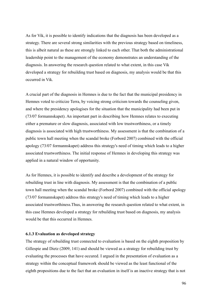As for Vik, it is possible to identify indications that the diagnosis has been developed as a strategy. There are several strong similarities with the previous strategy based on timeliness, this is albeit natural as these are strongly linked to each other. That both the administrational leadership point to the management of the economy demonstrates an understanding of the diagnosis. In answering the research question related to what extent, in this case Vik developed a strategy for rebuilding trust based on diagnosis, my analysis would be that this occurred in Vik.

A crucial part of the diagnosis in Hemnes is due to the fact that the municipal presidency in Hemnes voted to criticize Terra, by voicing strong criticism towards the counseling given, and where the presidency apologises for the situation that the municipality had been put in (73/07 formannskapet). An important part in describing how Hemnes relates to executing either a premature or slow diagnosis, associated with low trustworthiness, or a timely diagnosis is associated with high trustworthiness. My assessment is that the combination of a public town hall meeting when the scandal broke (Forbord 2007) combined with the official apology (73/07 formannskapet) address this strategy's need of timing which leads to a higher associated trustworthiness. The initial response of Hemnes in developing this strategy was applied in a natural window of opportunity.

As for Hemnes, it is possible to identify and describe a development of the strategy for rebuilding trust in line with diagnosis. My assessment is that the combination of a public town hall meeting when the scandal broke (Forbord 2007) combined with the official apology (73/07 formannskapet) address this strategy's need of timing which leads to a higher associated trustworthiness.Thus, in answering the research question related to what extent, in this case Hemnes developed a strategy for rebuilding trust based on diagnosis, my analysis would be that this occurred in Hemnes.

## **6.1.3 Evaluation as developed strategy**

The strategy of rebuilding trust connected to evaluation is based on the eighth proposition by Gillespie and Dietz (2009, 141) and should be viewed as a strategy for rebuilding trust by evaluating the processes that have occured. I argued in the presentation of evaluation as a strategy within the conceptual framework should be viewed as the least functional of the eighth propositions due to the fact that an evaluation in itself is an inactive strategy that is not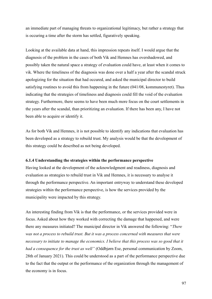an immediate part of managing threats to organizational legitimacy, but rather a strategy that is occuring a time after the storm has settled, figuratively speaking.

Looking at the available data at hand, this impression repeats itself. I would argue that the diagnosis of the problem in the cases of both Vik and Hemnes has overshadowed, and possibly taken the natural space a strategy of evaluation could have, at least when it comes to vik. Where the timeliness of the diagnosis was done over a half a year after the scandal struck apologizing for the situation that had occured, and asked the municipal director to build satisfying routines to avoid this from happening in the future (041/08, kommunestyret). Thus indicating that the strategies of timeliness and diagnosis could fill the void of the evaluation strategy. Furthermore, there seems to have been much more focus on the court settlements in the years after the scandal, than prioritizing an evaluation. If there has been any, I have not been able to acquire or identify it.

As for both Vik and Hemnes, it is not possible to identify any indications that evaluation has been developed as a strategy to rebuild trust. My analysis would be that the development of this strategy could be described as not being developed.

## **6.1.4 Understanding the strategies within the performance perspective**

Having looked at the development of the acknowledgment and readiness, diagnosis and evaluation as strategies to rebuild trust in Vik and Hemnes, it is necessary to analyse it through the performance perspective. An important entryway to understand these developed strategies within the performance perspective, is how the services provided by the municipality were impacted by this strategy.

An interesting finding from Vik is that the performance, or the services provided were in focus. Asked about how they worked with correcting the damage that happened, and were there any measures initiated? The municipal director in Vik answered the following: "*There was not a process to rebuild trust. But it was a process concerned with measures that were necessary to initiate to manage the economics. I believe that this process was so good that it had a consequence for the trust as well"* (Oddbjørn Ese, personal communication by Zoom, 28th of January 2021). This could be understood as a part of the performance perspective due to the fact that the output or the performance of the organization through the management of the economy is in focus.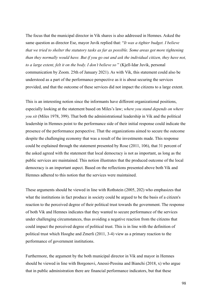The focus that the municipal director in Vik shares is also addressed in Hemnes. Asked the same question as director Ese, mayor Juvik replied that: "*It was a tighter budget. I believe that we tried to shelter the statutory tasks as far as possible. Some areas got more tightening than they normally would have. But if you go out and ask the individual citizen, they have not, to a large extent, felt it on the body. I don't believe so* " (Kjell-Idar Juvik, personal communication by Zoom. 25th of January 2021). As with Vik, this statement could also be understood as a part of the performance perspective as it is about securing the services provided, and that the outcome of these services did not impact the citizens to a large extent.

This is an interesting notion since the informants have different organizational positions, especially looking at the statement based on Miles's law; *where you stand depends on where you sit* (Miles 1978, 399). That both the administrational leadership in Vik and the political leadership in Hemnes point to the performance side of their initial response could indicate the presence of the performance perspective. That the organizations aimed to secure the outcome despite the challenging economy that was a result of the investments made. This response could be explained through the statement presented by Rose (2011, 106), that 31 percent of the asked agreed with the statement that local democracy is not as important, as long as the public services are maintained. This notion illustrates that the produced outcome of the local democracy is an important aspect. Based on the reflections presented above both Vik and Hemnes adhered to this notion that the services were maintained.

These arguments should be viewed in line with Rothstein (2005, 202) who emphasizes that what the institutions in fact produce in society could be argued to be the basis of a citizen's reaction to the perceived degree of their political trust towards the government. The response of both Vik and Hemnes indicates that they wanted to secure performance of the services under challenging circumstances, thus avoiding a negative reaction from the citizens that could impact the perceived degree of political trust. This is in line with the definition of political trust which Hooghe and Zmerli (2011, 3-4) view as a primary reaction to the performance of government institutions.

Furthermore, the argument by the both municipal director in Vik and mayor in Hemnes should be viewed in line with Borgonovi, Anessi-Pessina and Bianchi (2018, x) who argue that in public administration there are financial performance indicators, but that these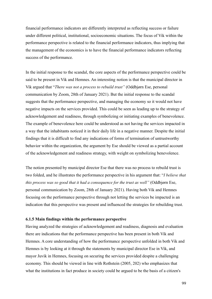financial performance indicators are differently interpreted as reflecting success or failure under different political, institutional, socioeconomic situations. The focus of Vik within the performance perspective is related to the financial performance indicators, thus implying that the management of the economics is to have the financial performance indicators reflecting success of the performance.

In the initial response to the scandal, the core aspects of the performance perspective could be said to be present in Vik and Hemnes. An interesting notion is that the municipal director in Vik argued that "*There was not a process to rebuild trust"* (Oddbjørn Ese, personal communication by Zoom, 28th of January 2021). But the initial response to the scandal suggests that the performance perspective, and managing the economy so it would not have negative impacts on the services provided. This could be seen as leading up to the strategy of acknowledgement and readiness, through symbolizing or initiating examples of benevolence. The example of benevolence here could be understood as not having the services impacted in a way that the inhabitants noticed it in their daily life in a negative manner. Despite the initial findings that it is difficult to find any indications of forms of termination of untrustworthy behavior within the organization, the argument by Ese should be viewed as a partial account of the acknowledgement and readiness strategy, with weight on symbolizing benevolence.

The notion presented by municipal director Ese that there was no process to rebuild trust is two folded, and he illustrates the performance perspective in his argument that: "*I believe that this process was so good that it had a consequence for the trust as well"* (Oddbjørn Ese, personal communication by Zoom, 28th of January 2021). Having both Vik and Hemnes focusing on the performance perspective through not letting the services be impacted is an indication that this perspective was present and influenced the strategies for rebuilding trust.

# **6.1.5 Main findings within the performance perspective**

Having analyzed the strategies of acknowledgement and readiness, diagnosis and evaluation there are indications that the performance perspective has been present in both Vik and Hemnes. A core understanding of how the performance perspective unfolded in both Vik and Hemnes is by looking at it through the statements by municipal director Ese in Vik, and mayor Juvik in Hemnes, focusing on securing the services provided despite a challenging economy. This should be viewed in line with Rothstein (2005, 202) who emphasizes that what the institutions in fact produce in society could be argued to be the basis of a citizen's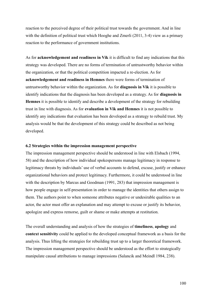reaction to the perceived degree of their political trust towards the government. And in line with the definition of political trust which Hooghe and Zmerli (2011, 3-4) view as a primary reaction to the performance of government institutions.

As for **acknowledgement and readiness in Vik** it is difficult to find any indications that this strategy was developed. There are no forms of termination of untrustworthy behavior within the organization, or that the political competition impacted a re-election. As for **acknowledgement and readiness in Hemnes** there were forms of termination of untrustworthy behavior within the organization. As for **diagnosis in Vik** it is possible to identify indications that the diagnosis has been developed as a strategy. As for **diagnosis in Hemnes** it is possible to identify and describe a development of the strategy for rebuilding trust in line with diagnosis. As for **evaluation in Vik and Hemnes** it is not possible to identify any indications that evaluation has been developed as a strategy to rebuild trust. My analysis would be that the development of this strategy could be described as not being developed.

# **6.2 Strategies within the impression management perspective**

The impression management perspective should be understood in line with Elsbach (1994, 58) and the description of how individual spokespersons manage legitimacy in response to legitimacy threats by individuals' use of verbal accounts to defend, excuse, justify or enhance organizational behaviors and protect legitimacy. Furthermore, it could be understood in line with the description by Marcus and Goodman (1991, 283) that impression management is how people engage in self-presentation in order to manage the identities that others assign to them. The authors point to when someone attributes negative or undesirable qualities to an actor, the actor must offer an explanation and may attempt to excuse or justify its behavior, apologize and express remorse, guilt or shame or make attempts at restitution.

The overall understanding and analysis of how the strategies of **timeliness**, **apology** and **context sensitivity** could be applied to the developed conceptual framework as a basis for the analysis. Thus lifting the strategies for rebuilding trust up to a larger theoretical framework. The impression management perspective should be understood as the effort to strategically manipulate causal attributions to manage impressions (Salancik and Meindl 1984, 238).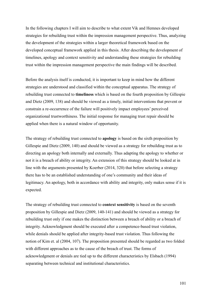In the following chapters I will aim to describe to what extent Vik and Hemnes developed strategies for rebuilding trust within the impression management perspective. Thus, analyzing the development of the strategies within a larger theoretical framework based on the developed conceptual framework applied in this thesis. After describing the development of timelines, apology and context sensitivity and understanding these strategies for rebuilding trust within the impression management perspective the main findings will be described.

Before the analysis itself is conducted, it is important to keep in mind how the different strategies are understood and classified within the conceptual apparatus. The strategy of rebuilding trust connected to **timeliness** which is based on the fourth proposition by Gillespie and Dietz (2009, 138) and should be viewed as a timely, initial interventions that prevent or constrain a re-occurrence of the failure will positively impact employees' perceived organizational trustworthiness. The initial response for managing trust repair should be applied when there is a natural window of opportunity.

The strategy of rebuilding trust connected to **apology** is based on the sixth proposition by Gillespie and Dietz (2009, 140) and should be viewed as a strategy for rebuilding trust as to directing an apology both internally and externally. Thus adapting the apology to whether or not it is a breach of ability or integrity. An extension of this strategy should be looked at in line with the arguments presented by Koerber (2014, 320) that before selecting a strategy there has to be an established understanding of one's community and their ideas of legitimacy. An apology, both in accordance with ability and integrity, only makes sense if it is expected.

The strategy of rebuilding trust connected to **context sensitivity** is based on the seventh proposition by Gillespie and Dietz (2009, 140-141) and should be viewed as a strategy for rebuilding trust only if one makes the distinction between a breach of ability or a breach of integrity. Acknowledgment should be executed after a competence-based trust violation, while denials should be applied after integrity-based trust violation. Thus following the notion of Kim et. al (2004, 107). The proposition presented should be regarded as two folded with different approaches as to the cause of the breach of trust. The forms of acknowledgment or denials are tied up to the different characteristics by Elsbach (1994) separating between technical and institutional characteristics.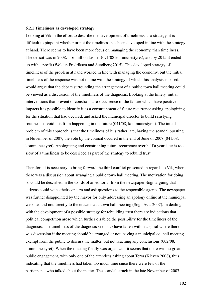#### **6.2.1 Timeliness as developed strategy**

Looking at Vik in the effort to describe the development of timeliness as a strategy, it is difficult to pinpoint whether or not the timeliness has been developed in line with the strategy at hand. There seems to have been more focus on managing the economy, than timeliness. The deficit was in 2008, 116 million kroner (071/08 kommunestyret), and by 2015 it ended up with a profit (Wolden Fredriksen and Sundberg 2015). This developed strategy of timeliness of the problem at hand worked in line with managing the economy, but the initial timeliness of the response was not in line with the strategy of which this analysis is based. I would argue that the debate surrounding the arrangement of a public town hall meeting could be viewed as a discussion of the timeliness of the diagnosis. Looking at the timely, initial interventions that prevent or constrain a re-occurrence of the failure which have positive impacts it is possible to identify it as a constrainment of future recurrence asking apologizing for the situation that had occured, and asked the municipal director to build satisfying routines to avoid this from happening in the future (041/08, kommunestyret). The initial problem of this approach is that the timeliness of it is rather late, having the scandal bursting in November of 2007, the vote by the council occured in the end of June of 2008 (041/08, kommunestyret). Apologizing and constraining future recurrence over half a year later is too slow of a timeliness to be described as part of the strategy to rebuild trust.

Therefore it is necessary to bring forward the third conflict presented in regards to Vik, where there was a discussion about arranging a public town hall meeting. The motivation for doing so could be described in the words of an editorial from the newspaper Sogn arguing that citizens could voice their concern and ask questions to the responsible agents. The newspaper was further disappointed by the mayor for only addressing an apology online at the municipal website, and not directly to the citizens at a town hall meeting (Sogn Avis 2007). In dealing with the development of a possible strategy for rebuilding trust there are indications that political competition arose which further disabled the possibility for the timeliness of the diagnosis. The timeliness of the diagnosis seems to have fallen within a spiral where there was discussion if the meeting should be arranged or not, having a municipal council meeting exempt from the public to discuss the matter, but not reaching any conclusions (002/08, kommunestyret). When the meeting finally was organized, it seems that there was no great public engagement, with only one of the attendees asking about Terra (Kleven 2008), thus indicating that the timeliness had taken too much time since there were few of the participants who talked about the matter. The scandal struck in the late November of 2007,

102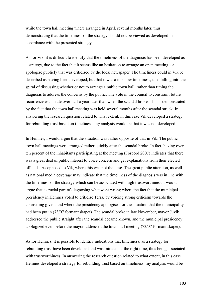while the town hall meeting where arranged in April, several months later, thus demonstrating that the timeliness of the strategy should not be viewed as developed in accordance with the presented strategy.

As for Vik, it is difficult to identify that the timeliness of the diagnosis has been developed as a strategy, due to the fact that it seems like an hesitation to arrange an open meeting, or apologize publicly that was criticized by the local newspaper. The timeliness could in Vik be described as having been developed, but that it was a too slow timeliness, thus falling into the spiral of discussing whether or not to arrange a public town hall, rather than timing the diagnosis to address the concerns by the public. The vote in the council to constraint future recurrence was made over half a year later than when the scandal broke. This is demonstrated by the fact that the town hall meeting was held several months after the scandal struck. In answering the research question related to what extent, in this case Vik developed a strategy for rebuilding trust based on timeliness, my analysis would be that it was not developed.

In Hemnes, I would argue that the situation was rather opposite of that in Vik. The public town hall meetings were arranged rather quickly after the scandal broke. In fact, having over ten percent of the inhabitants participating at the meeting (Forbord 2007) indicates that there was a great deal of public interest to voice concern and get explanations from their elected officials. As opposed to Vik, where this was not the case. The great public attention, as well as national media coverage may indicate that the timeliness of the diagnosis was in line with the timeliness of the strategy which can be associated with high trustworthiness. I would argue that a crucial part of diagnosing what went wrong where the fact that the municipal presidency in Hemnes voted to criticize Terra, by voicing strong criticism towards the counseling given, and where the presidency apologises for the situation that the municipality had been put in (73/07 formannskapet). The scandal broke in late November, mayor Juvik addressed the public straight after the scandal became known, and the municipal presidency apologized even before the mayor addressed the town hall meeting (73/07 formannskapet).

As for Hemnes, it is possible to identify indications that timeliness, as a strategy for rebuilding trust have been developed and was initiated at the right time, thus being associated with trustworthiness. In answering the research question related to what extent, in this case Hemnes developed a strategy for rebuilding trust based on timeliness, my analysis would be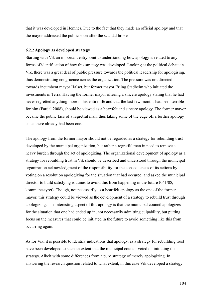that it was developed in Hemnes. Due to the fact that they made an official apology and that the mayor addressed the public soon after the scandal broke.

# **6.2.2 Apology as developed strategy**

Starting with Vik an important entrypoint to understanding how apology is related to any forms of identification of how this strategy was developed. Looking at the political debate in Vik, there was a great deal of public pressure towards the political leadership for apologising, thus demonstrating congruence across the organization. The pressure was not directed towards incumbent mayor Halset, but former mayor Erling Stadheim who initiated the investments in Terra. Having the former mayor offering a sincere apology stating that he had never regretted anything more in his entire life and that the last few months had been terrible for him (Fardal 2008), should be viewed as a heartfelt and sincere apology. The former mayor became the public face of a regretful man, thus taking some of the edge off a further apology since there already had been one.

The apology from the former mayor should not be regarded as a strategy for rebuilding trust developed by the municipal organization, but rather a regretful man in need to remove a heavy burden through the act of apologizing. The organizational development of apology as a strategy for rebuilding trust in Vik should be described and understood through the municipal organization acknowledgment of the responsibility for the consequences of its actions by voting on a resolution apologizing for the situation that had occured, and asked the municipal director to build satisfying routines to avoid this from happening in the future (041/08, kommunestyret). Though, not necessarily as a heartfelt apology as the one of the former mayor, this strategy could be viewed as the development of a strategy to rebuild trust through apologizing. The interesting aspect of this apology is that the municipal council apologizes for the situation that one had ended up in, not necessarily admitting culpability, but putting focus on the measures that could be initiated in the future to avoid something like this from occurring again.

As for Vik, it is possible to identify indications that apology, as a strategy for rebuilding trust have been developed to such an extent that the municipal council voted on initiating the strategy. Albeit with some differences from a pure strategy of merely apologizing. In answering the research question related to what extent, in this case Vik developed a strategy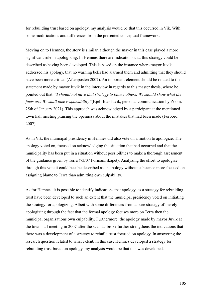for rebuilding trust based on apology, my analysis would be that this occurred in Vik. With some modifications and differences from the presented conceptual framework.

Moving on to Hemnes, the story is similar, although the mayor in this case played a more significant role in apologizing. In Hemnes there are indications that this strategy could be described as having been developed. This is based on the instance where mayor Juvik addressed his apology, that no warning bells had alarmed them and admitting that they should have been more critical (Aftenposten 2007). An important element should be related to the statement made by mayor Juvik in the interview in regards to this master thesis, where he pointed out that: "*I should not have that strategy to blame others. We should show what the facts are. We shall take responsibility"*(Kjell-Idar Juvik, personal communication by Zoom. 25th of January 2021). This approach was acknowledged by a participant at the mentioned town hall meeting praising the openness about the mistakes that had been made (Forbord 2007).

As in Vik, the municipal presidency in Hemnes did also vote on a motion to apologize. The apology voted on, focused on acknowledging the situation that had occurred and that the municipality has been put in a situation without possibilities to make a thorough assessment of the guidance given by Terra (73/07 Formannskapet). Analyzing the effort to apologize through this vote it could best be described as an apology without substance more focused on assigning blame to Terra than admitting own culpability.

As for Hemnes, it is possible to identify indications that apology, as a strategy for rebuilding trust have been developed to such an extent that the municipal presidency voted on initiating the strategy for apologizing. Albeit with some differences from a pure strategy of merely apologizing through the fact that the formal apology focuses more on Terra then the municipal organizations own culpability. Furthermore, the apology made by mayor Juvik at the town hall meeting in 2007 after the scandal broke further strengthens the indications that there was a development of a strategy to rebuild trust focused on apology. In answering the research question related to what extent, in this case Hemnes developed a strategy for rebuilding trust based on apology, my analysis would be that this was developed.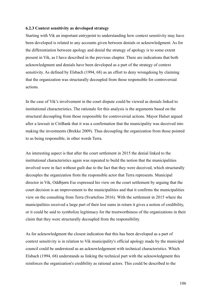## **6.2.3 Context sensitivity as developed strategy**

Starting with Vik an important entrypoint to understanding how context sensitivity may have been developed is related to any accounts given between denials or acknowledgment. As for the differentiation between apology and denial the strategy of apology is to some extent present in Vik, as I have described in the previous chapter. There are indications that both acknowledgment and denials have been developed as a part of the strategy of context sensitivity. As defined by Elsbach (1994, 68) as an effort to deny wrongdoing by claiming that the organization was structurally decoupled from those responsible for controversial actions.

In the case of Vik's involvement in the court dispute could be viewed as denials linked to institutional characteristics. The rationale for this analysis is the arguments based on the structural decoupling from those responsible for controversial actions. Mayor Halset argued after a lawsuit in CitiBank that it was a confirmation that the municipality was deceived into making the investments (Brekke 2009). Thus decoupling the organization from those pointed to as being responsible, in other words Terra.

An interesting aspect is that after the court settlement in 2015 the denial linked to the institutional characteristics again was repeated to build the notion that the municipalities involved were in fact without guilt due to the fact that they were deceived, which structurally decouples the organization from the responsible actor that Terra represents. Municipal director in Vik, Oddbjørn Ese expressed his view on the court settlement by arguing that the court decision is an improvement to the municipalities and that it confirms the municipalities view on the consulting from Terra (Svartefoss 2016). With the settlement in 2015 where the municipalities received a large part of their lost sums in return it gives a notion of credibility, or it could be said to symbolize legitimacy for the trustworthiness of the organizations in their claim that they were structurally decoupled from the responsibility.

As for acknowledgment the closest indication that this has been developed as a part of context sensitivity is in relation to Vik municipality's official apology made by the municipal council could be understood as an acknowledgement with technical characteristics. Which Elsbach (1994, 68) understands as linking the technical part with the acknowledgment this reinforces the organization's credibility as rational actors. This could be described to the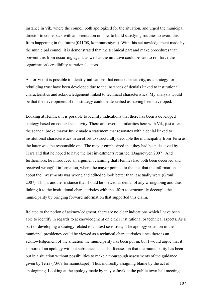instance in Vik, where the council both apologized for the situation, and urged the municipal director to come back with an orientation on how to build satisfying routines to avoid this from happening in the future (041/08, kommunestyret). With this acknowledgement made by the municipal council it is demonstrated that the technical part and make procedures that prevent this from occurring again, as well as the initiative could be said to reinforce the organization's credibility as rational actors.

As for Vik, it is possible to identify indications that context sensitivity, as a strategy for rebuilding trust have been developed due to the instances of denials linked to institutional characteristics and acknowledgement linked to technical characteristics. My analysis would be that the development of this strategy could be described as having been developed.

Looking at Hemnes, it is possible to identify indications that there has been a developed strategy based on context sensitivity. There are several similarities here with Vik, just after the scandal broke mayor Juvik made a statement that resonates with a denial linked to institutional characteristics in an effort to structurally decouple the municipality from Terra as the latter was the responsible one. The mayor emphasized that they had been deceived by Terra and that he hoped to have the lost investments returned (Dagsrevyen 2007). And furthermore, he introduced an argument claiming that Hemnes had both been deceived and received wrongful information, where the mayor pointed to the fact that the information about the investments was wrong and edited to look better than it actually were (Grønli 2007). This is another instance that should be viewed as denial of any wrongdoing and thus linking it to the institutional characteristics with the effort to structurally decouple the municipality by bringing forward information that supported this claim.

Related to the notion of acknowledgment, there are no clear indications which I have been able to identify in regards to acknowledgment on either institutional or technical aspects. As a part of developing a strategy related to context sensitivity. The apology voted on in the municipal presidency could be viewed as a technical characteristics since there is an acknowledgement of the situation the municipality has been put in, but I would argue that it is more of an apology without substance, as it also focuses on that the municipality has been put in a situation without possibilities to make a thourgough assessments of the guidance given by Terra (73/07 formannskapet). Thus indirectly assigning blame by the act of apologizing. Looking at the apology made by mayor Juvik at the public town hall meeting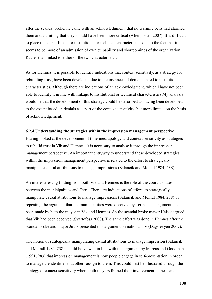after the scandal broke, he came with an acknowledgment that no warning bells had alarmed them and admitting that they should have been more critical (Aftenposten 2007). It is difficult to place this either linked to institutional or technical characteristics due to the fact that it seems to be more of an admission of own culpability and shortcomings of the organization. Rather than linked to either of the two characteristics.

As for Hemnes, it is possible to identify indications that context sensitivity, as a strategy for rebuilding trust, have been developed due to the instances of denials linked to institutional characteristics. Although there are indications of an acknowledgment, which I have not been able to identify it in line with linkage to institutional or technical characteristics My analysis would be that the development of this strategy could be described as having been developed to the extent based on denials as a part of the context sensitivity, but more limited on the basis of acknowledgement.

#### **6.2.4 Understanding the strategies within the impression management perspective**

Having looked at the development of timelines, apology and context sensitivity as strategies to rebuild trust in Vik and Hemnes, it is necessary to analyse it through the impression management perspective. An important entryway to understand these developed strategies within the impression management perspective is related to the effort to strategically manipulate causal attributions to manage impressions (Salancik and Meindl 1984, 238).

An interesteresting finding from both Vik and Hemnes is the role of the court disputes between the municipalities and Terra. There are indications of efforts to strategically manipulate causal attributions to manage impressions (Salancik and Meindl 1984, 238) by repeating the argument that the municipalities were deceived by Terra. This argument has been made by both the mayor in Vik and Hemnes. As the scandal broke mayor Halset argued that Vik had been deceived (Svartefoss 2008). The same effort was done in Hemnes after the scandal broke and mayor Juvik presented this argument on national TV (Dagsrevyen 2007).

The notion of strategically manipulating causal attributions to manage impression (Salancik and Meindl 1984, 238) should be viewed in line with the argument by Marcus and Goodman (1991, 283) that impression management is how people engage in self-presentation in order to manage the identities that others assign to them. This could best be illustrated through the strategy of context sensitivity where both mayors framed their involvement in the scandal as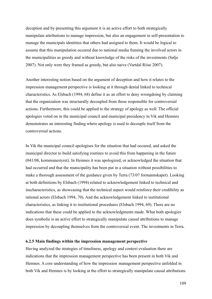deception and by presenting this argument it is an active effort to both strategically manipulate attributions to manage impression, but also an engagement in self-presentation to manage the municipals identities that others had assigned to them. It would be logical to assume that this manipulation occured due to national media framing the involved actors in the municipalities as greedy and without knowledge of the risks of the investments (Sølje 2007). Not only were they framed as greedy, but also naive (Vartdal Riise 2007).

Another interesting notion based on the argument of deception and how it relates to the impression management perspective is looking at it through denial linked to technical characteristics. As Elsbach (1994, 68) define it as an effort to deny wrongdoing by claiming that the organization was structurally decoupled from those responsible for controversial actions. Furthermore, this could be applied to the strategy of apology as well. The official apologies voted on in the municipal council and municipal presidency in Vik and Hemnes demonstrates an interesting finding where apology is used to decouple itself from the controversial actions.

In Vik the municipal council apologises for the situation that had occured, and asked the municipal director to build satisfying routines to avoid this from happening in the future (041/08, kommunestyret). In Hemnes it was apologized, or acknowledged the situation that had occurred and that the municipality has been put in a situation without possibilities to make a thorough assessment of the guidance given by Terra (73/07 formannskapet). Looking at both definitions by Elsbach (1994) related to acknowledgement linked to technical and inscharacteristics, as showcasing that the technical aspect would reinforce their credibility as rational actors (Elsbach 1994, 70). And the acknowledgement linked to institutional characteristics, as linking it to institutional procedures (Elsbach 1994, 69). There are no indications that these could be applied to the acknowledgments made. What both apologies does symbolie is an active effort to strategically manipulate causal attributions to manage impression by decoupling themselves from the controversial event. The investments in Terra.

## **6.2.5 Main findings within the impression management perspective**

Having analyzed the strategies of timeliness, apology and context evaluation there are indications that the impression management perspective has been present in both Vik and Hemnes. A core understanding of how the impression management perspective unfolded in both Vik and Hemnes is by looking at the effort to strategically manipulate causal attributions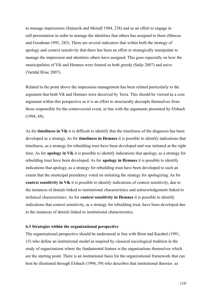to manage impressions (Salancik and Meindl 1984, 238) and as an effort to engage in self-presentation in order to manage the identities that others has assigned to them (Marcus and Goodman 1991, 283). There are several indicators that within both the strategy of apology and context sensitivity that there has been an effort to strategically manipulate to manage the impression and identities others have assigned. This goes especially on how the municipalities of Vik and Hemnes were framed as both greedy (Sølje 2007) and naive (Vartdal Riise 2007).

Related to the point above the impression management has been related particularly to the argument that both Vik and Hemnes were deceived by Terra. This should be viewed as a core argument within this perspective as it is an effort to structurally decouple themselves from those responsible for the controversial event, in line with the arguments presented by Elsbach (1994, 68).

As for **timeliness in Vik** it is difficult to identify that the timeliness of the diagnosis has been developed as a strategy. As for **timeliness in Hemnes** it is possible to identify indications that timeliness, as a strategy for rebuilding trust have been developed and was initiated at the right time. As for **apology in Vik** it is possible to identify indications that apology, as a strategy for rebuilding trust have been developed. As for **apology in Hemnes** it is possible to identify indications that apology, as a strategy for rebuilding trust have been developed to such an extent that the municipal presidency voted on initiating the strategy for apologizing. As for **context sensitivity in Vik** it is possible to identify indications of context sensitivity, due to the instances of denials linked to institutional characteristics and acknowledgement linked to technical characteristics. As for **context sensitivity in Hemnes** it is possible to identify indications that context sensitivity, as a strategy for rebuilding trust, have been developed due to the instances of denials linked to institutional characteristics.

#### **6.3 Strategies within the organizational perspective**

The organizational perspective should be understood in line with Brint and Karabel (1991, 15) who define an institutional model as inspired by classical sociological tradition in the study of organizations where the fundamental feature is the organizations themselves which are the starting point. There is an institutional basis for the organizational framework that can best be illustrated through Elsbach (1994, 59) who describes that institutional theories as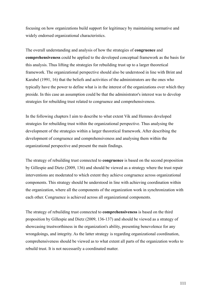focusing on how organizations build support for legitimacy by maintaining normative and widely endorsed organizational characteristics.

The overall understanding and analysis of how the strategies of **congruence** and **comprehensiveness** could be applied to the developed conceptual framework as the basis for this analysis. Thus lifting the strategies for rebuilding trust up to a larger theoretical framework. The organizational perspective should also be understood in line with Brint and Karabel (1991, 16) that the beliefs and activities of the administrators are the ones who typically have the power to define what is in the interest of the organizations over which they preside. In this case an assumption could be that the administrator's interest was to develop strategies for rebuilding trust related to congruence and comprehensiveness.

In the following chapters I aim to describe to what extent Vik and Hemnes developed strategies for rebuilding trust within the organizational perspective. Thus analysing the development of the strategies within a larger theoretical framework. After describing the development of congruence and comprehensiveness and analysing them within the organizational perspective and present the main findings.

The strategy of rebuilding trust connected to **congruence** is based on the second proposition by Gillespie and Dietz (2009, 136) and should be viewed as a strategy where the trust repair interventions are moderated to which extent they achieve congruence across organizational components. This strategy should be understood in line with achieving coordination within the organization, where all the components of the organization work in synchronization with each other. Congruence is achieved across all organizational components.

The strategy of rebuilding trust connected to **comprehensiveness** is based on the third proposition by Gillespie and Dietz (2009, 136-137) and should be viewed as a strategy of showcasing trustworthiness in the organization's ability, presenting benevolence for any wrongdoings, and integrity. As the latter strategy is regarding organizational coordination, comprehensiveness should be viewed as to what extent all parts of the organization works to rebuild trust. It is not necessarily a coordinated matter.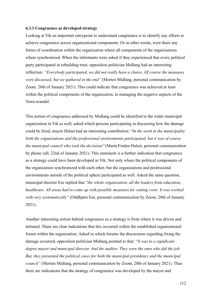#### **6.3.1 Congruence as developed strategy**

Looking at Vik an important entrypoint to understand congruence is to identify any efforts to achieve congruence across organizational components. Or in other words, were there any forms of coordination within the organization where all components of the organizations where synchronized. When the informants were asked if they experienced that every political party participated in rebuilding trust, opposition politician Midlang had an interesting reflection: *"Everybody participated, we did not really have a choice. Of course the measures were discussed, but we gathered in the end"* (Morten Midlang, personal communication by Zoom. 28th of January 2021). This could indicate that congruence was achieved at least within the political components of the organization, in managing the negative aspects of the Terra-scandal.

This notion of congruence addressed by Midlang could be identified to the wider municipal organization in Vik as well, asked which persons participating in discussing how the damage could be fixed, mayor Halset had an interesting contribution: "*In the work in the municipality both the organizations and the professional environments participated, but it was of course the municipal council who took the decisions''* (Marta Finden Halset, personal communication by phone call, 22nd of January 2021). This statement is a further indication that congruence as a strategy could have been developed in Vik. Not only where the political components of the organization synchronized with each other, but the organizations and professional environments outside of the political sphere participated as well. Asked the same question, municipal director Ese replied that "*the whole organization, all the leaders from education, healthcare. All areas had to come up with possible measures for cutting costs. It was worked with very systematically"* (Oddbjørn Ese, personal communication by Zoom, 28th of January 2021).

Another interesting notion behind congruence as a strategy is from where it was driven and initiated. There are clear indications that this occurred within the established organizational forum within the organization. Asked in which forums the discussions regarding fixing the damage occurred, opposition politician Midlang pointed to that: "*It was to a significant degree mayor and municipal director. And the auditor. They were the ones who did the job. But, they presented the political cases for both the municipal presidency and the municipal council"* (Morten Midlang, personal communication by Zoom, 28th of January 2021). Thus there are indications that the strategy of congruence was developed by the mayor and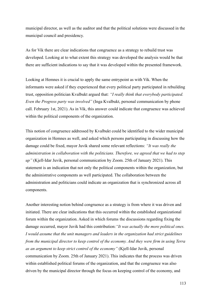municipal director, as well as the auditor and that the political solutions were discussed in the municipal council and presidency.

As for Vik there are clear indications that congruence as a strategy to rebuild trust was developed. Looking at to what extent this strategy was developed the analysis would be that there are sufficient indications to say that it was developed within the presented framework.

Looking at Hemnes it is crucial to apply the same entrypoint as with Vik. When the informants were asked if they experienced that every political party participated in rebuilding trust, opposition politician Kvalbukt argued that: *"I really think that everybody participated. Even the Progress party was involved"* (Inga Kvalbukt, personal communication by phone call. February 1st, 2021). As in Vik, this answer could indicate that congruence was achieved within the political components of the organization.

This notion of congruence addressed by Kvalbukt could be identified to the wider municipal organization in Hemnes as well, and asked which persons participating in discussing how the damage could be fixed, mayor Juvik shared some relevant reflections: *"It was really the administration in collaboration with the politicians. Therefore, we agreed that we had to step up"* (Kjell-Idar Juvik, personal communication by Zoom. 25th of January 2021). This statement is an indication that not only the political components within the organization, but the administrative components as well participated. The collaboration between the administration and politicians could indicate an organization that is synchronized across all components.

Another interesting notion behind congruence as a strategy is from where it was driven and initiated. There are clear indications that this occurred within the established organizational forum within the organization. Asked in which forums the discussions regarding fixing the damage occurred, mayor Juvik had this contribution:*"It was actually the more political ones. I would assume that the unit managers and leaders in the organization had strict guidelines from the municipal director to keep control of the economy. And they were firm in using Terra as an argument to keep strict control of the economy"* (Kjell-Idar Juvik, personal communication by Zoom. 25th of January 2021). This indicates that the process was driven within established political forums of the organization, and that the congruence was also driven by the municipal director through the focus on keeping control of the economy, and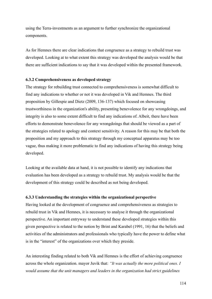using the Terra-investments as an argument to further synchronize the organizational components.

As for Hemnes there are clear indications that congruence as a strategy to rebuild trust was developed. Looking at to what extent this strategy was developed the analysis would be that there are sufficient indications to say that it was developed within the presented framework.

### **6.3.2 Comprehensiveness as developed strategy**

The strategy for rebuilding trust connected to comprehensiveness is somewhat difficult to find any indications to whether or not it was developed in Vik and Hemnes. The third proposition by Gillespie and Dietz (2009, 136-137) which focused on showcasing trustworthiness in the organization's ability, presenting benevolence for any wrongdoings, and integrity is also to some extent difficult to find any indications of. Albeit, there have been efforts to demonstrate benevolence for any wrongdoings that should be viewed as a part of the strategies related to apology and context sensitivity. A reason for this may be that both the proposition and my approach to this strategy through my conceptual apparatus may be too vague, thus making it more problematic to find any indications of having this strategy being developed.

Looking at the available data at hand, it is not possible to identify any indications that evaluation has been developed as a strategy to rebuild trust. My analysis would be that the development of this strategy could be described as not being developed.

### **6.3.3 Understanding the strategies within the organizational perspective**

Having looked at the development of congruence and comprehensiveness as strategies to rebuild trust in Vik and Hemnes, it is necessary to analyse it through the organizational perspective. An important entryway to understand these developed strategies within this given perspective is related to the notion by Brint and Karabel (1991, 16) that the beliefs and activities of the administrators and professionals who typically have the power to define what is in the "interest" of the organizations over which they preside.

An interesting finding related to both Vik and Hemnes is the effort of achieving congruence across the whole organization. mayor Juvik that: *"It was actually the more political ones. I would assume that the unit managers and leaders in the organization had strict guidelines*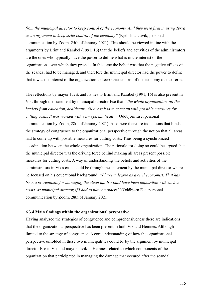*from the municipal director to keep control of the economy. And they were firm in using Terra as an argument to keep strict control of the economy"* (Kjell-Idar Juvik, personal communication by Zoom. 25th of January 2021). This should be viewed in line with the arguments by Brint and Karabel (1991, 16) that the beliefs and activities of the administrators are the ones who typically have the power to define what is in the interest of the organizations over which they preside. In this case the belief was that the negative effects of the scandal had to be managed, and therefore the municipal director had the power to define that it was the interest of the organization to keep strict control of the economy due to Terra.

The reflections by mayor Juvik and its ties to Brint and Karabel (1991, 16) is also present in Vik, through the statement by municipal director Ese that: "*the whole organization, all the leaders from education, healthcare. All areas had to come up with possible measures for cutting costs. It was worked with very systematically"*(Oddbjørn Ese, personal communication by Zoom, 28th of January 2021). Also here there are indications that binds the strategy of congruence to the organizational perspective through the notion that all areas had to come up with possible measures for cutting costs. Thus being a synchronized coordination between the whole organization. The rationale for doing so could be argued that the municipal director was the driving force behind making all areas present possible measures for cutting costs. A way of understanding the beliefs and activities of the administrators in Vik's case, could be through the statement by the municipal director where he focused on his educational background: *"I have a degree as a civil economist. That has been a prerequisite for managing the clean up. It would have been impossible with such a crisis, as municipal director, if I had to play on others' '* (Oddbjørn Ese, personal communication by Zoom, 28th of January 2021).

## **6.3.4 Main findings within the organizational perspective**

Having analyzed the strategies of congruence and comprehensiveness there are indications that the organizational perspective has been present in both Vik and Hemnes. Although limited to the strategy of congruence. A core understanding of how the organizational perspective unfolded in these two municipalities could be by the argument by municipal director Ese in Vik and mayor Juvik in Hemnes related to which components of the organization that participated in managing the damage that occured after the scandal.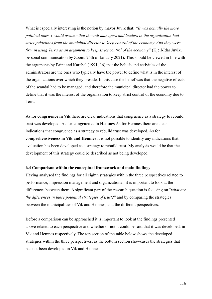What is especially interesting is the notion by mayor Juvik that: *"It was actually the more political ones. I would assume that the unit managers and leaders in the organization had strict guidelines from the municipal director to keep control of the economy. And they were firm in using Terra as an argument to keep strict control of the economy"* (Kjell-Idar Juvik, personal communication by Zoom. 25th of January 2021). This should be viewed in line with the arguments by Brint and Karabel (1991, 16) that the beliefs and activities of the administrators are the ones who typically have the power to define what is in the interest of the organizations over which they preside. In this case the belief was that the negative effects of the scandal had to be managed, and therefore the municipal director had the power to define that it was the interest of the organization to keep strict control of the economy due to Terra.

As for **congruence in Vik** there are clear indications that congruence as a strategy to rebuild trust was developed. As for **congruence in Hemnes** As for Hemnes there are clear indications that congruence as a strategy to rebuild trust was developed. As for **comprehensiveness in Vik and Hemnes** it is not possible to identify any indications that evaluation has been developed as a strategy to rebuild trust. My analysis would be that the development of this strategy could be described as not being developed.

### **6.4 Comparison within the conceptual framework and main findings**

Having analysed the findings for all eighth strategies within the three perspectives related to performance, impression management and organizational, it is important to look at the differences between them. A significant part of the research question is focusing on "*what are the differences in these potential strategies of trust?*" and by comparing the strategies between the municipalities of Vik and Hemnes, and the different perspectives.

Before a comparison can be approached it is important to look at the findings presented above related to each perspective and whether or not it could be said that it was developed, in Vik and Hemnes respectively. The top section of the table below shows the developed strategies within the three perspectives, as the bottom section showcases the strategies that has not been developed in Vik and Hemnes: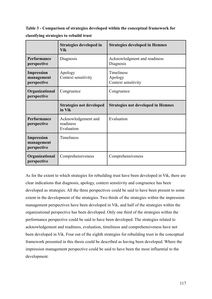**Table 3 - Comparison of strategies developed within the conceptual framework for classifying strategies to rebuild trust**

|                                                | Strategies developed in<br><b>Vik</b>          | <b>Strategies developed in Hemnes</b>               |
|------------------------------------------------|------------------------------------------------|-----------------------------------------------------|
| Performance<br>perspective                     | Diagnosis                                      | Acknowledgment and readiness<br>Diagnosis           |
| <b>Impression</b><br>management<br>perspective | Apology<br>Context sensitivity                 | <b>Timeliness</b><br>Apology<br>Context sensitivity |
| Organizational<br>perspective                  | Congruence                                     | Congruence                                          |
|                                                | <b>Strategies not developed</b><br>in Vik      | <b>Strategies not developed in Hemnes</b>           |
| Performance<br>perspective                     | Acknowledgement and<br>readiness<br>Evaluation | Evaluation                                          |
| <b>Impression</b><br>management<br>perspective | <b>Timeliness</b>                              |                                                     |
| Organizational<br>perspective                  | Comprehensiveness                              | Comprehensiveness                                   |

As for the extent to which strategies for rebuilding trust have been developed in Vik, there are clear indications that diagnosis, apology, context sensitivity and congruence has been developed as strategies. All the three perspectives could be said to have been present to some extent in the development of the strategies. Two thirds of the strategies within the impression management perspectives have been developed in Vik, and half of the strategies within the organizational perspective has been developed. Only one third of the strategies within the performance perspective could be said to have been developed. The strategies related to acknowledgement and readiness, evaluation, timeliness and comprehensiveness have not been developed in Vik. Four out of the eighth strategies for rebuilding trust in the conceptual framework presented in this thesis could be described as having been developed. Where the impression management perspective could be said to have been the most influential to the development.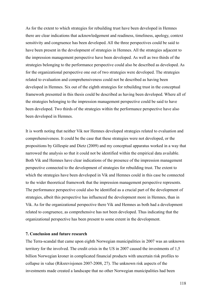As for the extent to which strategies for rebuilding trust have been developed in Hemnes there are clear indications that acknowledgement and readiness, timeliness, apology, context sensitivity and congruence has been developed. All the three perspectives could be said to have been present in the development of strategies in Hemnes. All the strategies adjacent to the impression management perspective have been developed. As well as two thirds of the strategies belonging to the performance perspective could also be described as developed. As for the organizational perspective one out of two strategies were developed. The strategies related to evaluation and comprehensiveness could not be described as having been developed in Hemnes. Six out of the eighth strategies for rebuilding trust in the conceptual framework presented in this thesis could be described as having been developed. Where all of the strategies belonging to the impression management perspective could be said to have been developed. Two thirds of the strategies within the performance perspective have also been developed in Hemnes.

It is worth noting that neither Vik nor Hemnes developed strategies related to evaluation and comprehensiveness. It could be the case that these strategies were not developed, or the propositions by Gillespie and Dietz (2009) and my conceptual apparatus worked in a way that narrowed the analysis so that it could not be identified within the empirical data available. Both Vik and Hemnes have clear indications of the presence of the impression management perspective connected to the development of strategies for rebuilding trust. The extent to which the strategies have been developed in Vik and Hemnes could in this case be connected to the wider theoretical framework that the impression management perspective represents. The performance perspective could also be identified as a crucial part of the development of strategies, albeit this perspective has influenced the development more in Hemnes, than in Vik. As for the organizational perspective there Vik and Hemnes as both had a development related to congruence, as comprehensive has not been developed. Thus indicating that the organizational perspective has been present to some extent in the development.

## **7. Conclusion and future research**

The Terra-scandal that came upon eighth Norwegian municipalities in 2007 was an unknown territory for the involved. The credit crisis in the US in 2007 caused the investments of 1,5 billion Norwegian kroner in complicated financial products with uncertain risk profiles to collapse in value (Riksrevisjonen 2007-2008, 27). The unknown risk aspects of the investments made created a landscape that no other Norwegian municipalities had been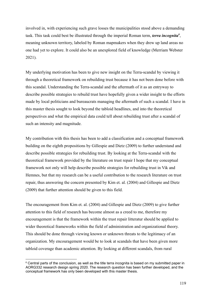involved in, with experiencing such grave losses the municipalities stood above a demanding task. This task could best be illustrated through the imperial Roman term, *terra incognita<sup>6</sup>* , meaning unknown territory, labeled by Roman mapmakers when they drew up land areas no one had yet to explore. It could also be an unexplored field of knowledge (Merriam Webster 2021).

My underlying motivation has been to give new insight on the Terra-scandal by viewing it through a theoretical framework on rebuilding trust because it has not been done before with this scandal. Understanding the Terra-scandal and the aftermath of it as an entryway to describe possible strategies to rebuild trust have hopefully given a wider insight to the efforts made by local politicians and bureaucrats managing the aftermath of such a scandal. I have in this master thesis sought to look beyond the tabloid headlines, and into the theoretical perspectives and what the empirical data could tell about rebuilding trust after a scandal of such an intensity and magnitude.

My contribution with this thesis has been to add a classification and a conceptual framework building on the eighth propositions by Gillespie and Dietz (2009) to further understand and describe possible strategies for rebuilding trust. By looking at the Terra-scandal with the theoretical framework provided by the literature on trust repair I hope that my conceptual framework not only will help describe possible strategies for rebuilding trust in Vik and Hemnes, but that my research can be a useful contribution to the research literature on trust repair, thus answering the concern presented by Kim et. al. (2004) and Gillespie and Dietz (2009) that further attention should be given to this field.

The encouragement from Kim et. al. (2004) and Gillespie and Dietz (2009) to give further attention to this field of research has become almost as a creed to me, therefore my encouragement is that the framework within the trust repair litteratur should be applied to wider theoretical frameworks within the field of administration and organizational theory. This should be done through viewing known or unknown threats to the legitimacy of an organization. My encouragement would be to look at scandals that have been given more tabloid coverage than academic attention. By looking at different scandals, from rural

 $6$  Central parts of the conclusion, as well as the title terra incognita is based on my submitted paper in AORG332 research design spring 2020. The research question has been further developed, and the conceptual framework has only been developed with this master thesis.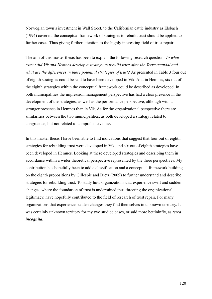Norwegian town's investment in Wall Street, to the Californian cattle industry as Elsbach (1994) covered, the conceptual framework of strategies to rebuild trust should be applied to further cases. Thus giving further attention to the highly interesting field of trust repair.

The aim of this master thesis has been to explain the following research question: *To what extent did Vik and Hemnes develop a strategy to rebuild trust after the Terra-scandal and what are the differences in these potential strategies of trust?* As presented in Table 3 four out of eighth strategies could be said to have been developed in Vik. And in Hemnes, six out of the eighth strategies within the conceptual framework could be described as developed. In both municipalities the impression management perspective has had a clear presence in the development of the strategies, as well as the performance perspective, although with a stronger presence in Hemnes than in Vik. As for the organizational perspective there are similarities between the two municipalities, as both developed a strategy related to congruence, but not related to comprehensiveness.

In this master thesis I have been able to find indications that suggest that four out of eighth strategies for rebuilding trust were developed in Vik, and six out of eighth strategies have been developed in Hemnes. Looking at these developed strategies and describing them in accordance within a wider theoretical perspective represented by the three perspectives. My contribution has hopefully been to add a classification and a conceptual framework building on the eighth propositions by Gillespie and Dietz (2009) to further understand and describe strategies for rebuilding trust. To study how organizations that experience swift and sudden changes, where the foundation of trust is undermined thus threeting the organizational legitimacy, have hopefully contributed to the field of research of trust repair. For many organizations that experience sudden changes they find themselves in unknown territory. It was certainly unknown territory for my two studied cases, or said more bettininfly, as *terra incognita*.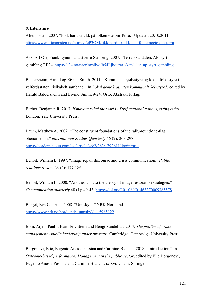## **8. Literature**

Aftenposten. 2007. "Fikk hard kritikk på folkemøte om Terra." Updated 20.10.2011. [https://www.aftenposten.no/norge/i/eP3OM/fikk-hard-kritikk-paa-folkemoete-om-terra.](https://www.aftenposten.no/norge/i/eP3OM/fikk-hard-kritikk-paa-folkemoete-om-terra)

Ask, Alf Ole, Frank Lynum and Sverre Stenseng. 2007. "Terra-skandalen: AP-styrt gambling." E24. <https://e24.no/naeringsliv/i/b54Ljk/terra-skandalen-ap-styrt-gambling>.

Baldersheim, Harald og Eivind Smith. 2011. "Kommunalt sjølvstyre og lokalt folkestyre i velferdsstaten: risikabelt samband." In *Lokal demokrati uten kommunalt Selvstyre?*, edited by Harald Baldersheim and Eivind Smith, 9-24. Oslo: Abstrakt forlag.

Barber, Benjamin R. 2013. *If mayors ruled the world - Dysfunctional nations, rising cities*. London: Yale University Press.

Baum, Matthew A. 2002. "The constituent foundations of the rally-round-the-flag phenomenon." *International Studies Quarterly* 46 (2): 263-298. <https://academic.oup.com/isq/article/46/2/263/1792611?login=true>.

Benoit, William L. 1997. "Image repair discourse and crisis communication." *Public relations review.* 23 (2): 177-186.

Benoit, William L. 2000. "Another visit to the theory of image restoration strategies." *Communication quarterly* 48 (1): 40-43. [https://doi.org/10.1080/01463370009385578.](https://doi.org/10.1080/01463370009385578)

Berget, Eva Cathrine. 2008. "Unnskyld." NRK Nordland. [https://www.nrk.no/nordland/--unnskyld-1.5985122.](https://www.nrk.no/nordland/--unnskyld-1.5985122)

Boin, Arjen, Paul 't Hart, Eric Stern and Bengt Sundelius. 2017. *The politics of crisis management - public leadership under pressure*. Cambridge: Cambridge University Press.

Borgonovi, Elio, Eugenio Anessi-Pessina and Carmine Bianchi. 2018. "Introduction." In *Outcome-based performance. Management in the public sector*, edited by Elio Borgonovi, Eugenio Anessi-Pessina and Carmine Bianchi, ix-xvi. Cham: Springer.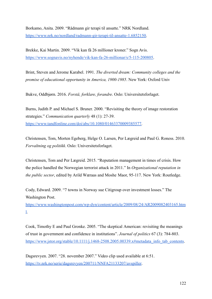Borkamo, Anita. 2009. "Rådmann gir terapi til ansatte." NRK Nordland. [https://www.nrk.no/nordland/radmann-gir-terapi-til-ansatte-1.6852150.](https://www.nrk.no/nordland/radmann-gir-terapi-til-ansatte-1.6852150)

Brekke, Kai Martin. 2009. "Vik kan få 26 millioner kroner." Sogn Avis. [https://www.sognavis.no/nyhende/vik-kan-fa-26-millionar/s/5-115-200805.](https://www.sognavis.no/nyhende/vik-kan-fa-26-millionar/s/5-115-200805)

Brint, Steven and Jerome Karabel. 1991. *The diverted dream: Community colleges and the promise of educational opportunity in America, 1900-1985*. New York: Oxford Univ

Bukve, Oddbjørn. 2016. *Forstå, forklare, forandre*. Oslo: Universitetsforlaget.

Burns, Judith P. and Michael S. Bruner. 2000. "Revisiting the theory of image restoration strategies." *Communication quarterly* 48 (1): 27-39. [https://www.tandfonline.com/doi/abs/10.1080/01463370009385577.](https://www.tandfonline.com/doi/abs/10.1080/01463370009385577)

Christensen, Tom, Morten Egeberg, Helge O. Larsen, Per Lægreid and Paul G. Roness. 2010. *Forvaltning og politikk*. Oslo: Universitetsforlaget.

Christensen, Tom and Per Lægreid. 2015. "Reputation management in times of crisis. How the police handled the Norwegian terrorist attack in 2011." In *Organizational reputation in the public sector*, edited by Arild Wæraas and Moshe Maor, 95-117. New York: Routledge.

Cody, Edward. 2009. "7 towns in Norway sue Citigroup over investment losses." The Washington Post.

[https://www.washingtonpost.com/wp-dyn/content/article/2009/08/24/AR2009082403165.htm](https://www.washingtonpost.com/wp-dyn/content/article/2009/08/24/AR2009082403165.html) [l](https://www.washingtonpost.com/wp-dyn/content/article/2009/08/24/AR2009082403165.html).

Cook, Timothy E and Paul Gronke. 2005. "The skeptical American: revisiting the meanings of trust in government and confidence in institutions". *Journal of politics* 67 (3): 784-803. [https://www.jstor.org/stable/10.1111/j.1468-2508.2005.00339.x#metadata\\_info\\_tab\\_contents](https://www.jstor.org/stable/10.1111/j.1468-2508.2005.00339.x#metadata_info_tab_contents).

Dagsrevyen. 2007. "28. november 2007." Video clip used available at 6:51. <https://tv.nrk.no/serie/dagsrevyen/200711/NNFA21133207/avspiller>.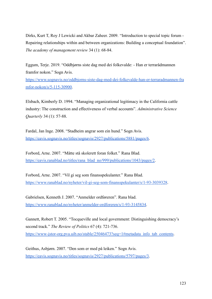Dirks, Kurt T, Roy J Lewicki and Akbar Zaheer. 2009. "Introduction to special topic forum - Repairing relationships within and between organizations: Building a conceptual foundation". *The academy of management review* 34 (1): 68-84.

Eggum, Terje. 2019. "Oddbjørns siste dag med dei folkevalde: - Han er terrarådmannen framfor nokon." Sogn Avis.

[https://www.sognavis.no/oddbjorns-siste-dag-med-dei-folkevalde-han-er-terraradmannen-fra](https://www.sognavis.no/oddbjorns-siste-dag-med-dei-folkevalde-han-er-terraradmannen-framfor-nokon/s/5-115-30900) [mfor-nokon/s/5-115-30900.](https://www.sognavis.no/oddbjorns-siste-dag-med-dei-folkevalde-han-er-terraradmannen-framfor-nokon/s/5-115-30900)

Elsbach, Kimberly D. 1994. "Managing organizational legitimacy in the California cattle industry: The construction and effectiveness of verbal accounts". *Administrative Science Quarterly* 34 (1): 57-88.

Fardal, Jan Inge. 2008. "Stadheim angrar som ein hund." Sogn Avis. [https://eavis.sognavis.no/titles/sognavis/2927/publications/5881/pages/6.](https://eavis.sognavis.no/titles/sognavis/2927/publications/5881/pages/6)

Forbord, Arne. 2007. "Måtte stå skolerett foran folket." Rana Blad. [https://eavis.ranablad.no/titles/rana\\_blad\\_no/999/publications/1043/pages/2](https://eavis.ranablad.no/titles/rana_blad_no/999/publications/1043/pages/2).

Forbord, Arne. 2007. "Vil gi seg som finansspekulanter." Rana Blad. <https://www.ranablad.no/nyheter/vil-gi-seg-som-finansspekulanter/s/1-93-3039328>.

Gabrielsen, Kenneth J. 2007. "Anmelder ordføreren". Rana blad. [https://www.ranablad.no/nyheter/anmelder-ordforeren/s/1-93-3145834.](https://www.ranablad.no/nyheter/anmelder-ordforeren/s/1-93-3145834)

Gannett, Robert T. 2005. "Tocqueville and local government: Distinguishing democracy's second track." *The Review of Politics* 67 (4): 721-736. [https://www-jstor-org.pva.uib.no/stable/25046473?seq=1#metadata\\_info\\_tab\\_contents.](https://www-jstor-org.pva.uib.no/stable/25046473?seq=1#metadata_info_tab_contents)

Geithus, Asbjørn. 2007. "Den som er med på leiken." Sogn Avis. [https://eavis.sognavis.no/titles/sognavis/2927/publications/5797/pages/3.](https://eavis.sognavis.no/titles/sognavis/2927/publications/5797/pages/3)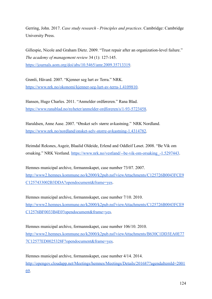Gerring, John. 2017. *Case study research - Principles and practices*. Cambridge: Cambridge University Press.

Gillespie, Nicole and Graham Dietz. 2009. "Trust repair after an organization-level failure." *The academy of management review* 34 (1): 127-145. <https://journals.aom.org/doi/abs/10.5465/amr.2009.35713319>.

Grønli, Håvard. 2007. "Kjenner seg lurt av Terra." NRK. [https://www.nrk.no/okonomi/kjenner-seg-lurt-av-terra-1.4109810.](https://www.nrk.no/okonomi/kjenner-seg-lurt-av-terra-1.4109810)

Hansen, Hugo Charles. 2011. "Anmelder ordføreren." Rana Blad. [https://www.ranablad.no/nyheter/anmelder-ordforeren/s/1-93-5723458.](https://www.ranablad.no/nyheter/anmelder-ordforeren/s/1-93-5723458)

Haraldsen, Anne Aase. 2007. "Ønsket selv større avkastning." NRK Nordland. [https://www.nrk.no/nordland/onsket-selv-storre-avkastning-1.4314782.](https://www.nrk.no/nordland/onsket-selv-storre-avkastning-1.4314782)

Heimdal Reksnes, Asgeir, Blaalid Oldeide, Erlend and Oddleif Løset. 2008. "Be Vik om orsaking." NRK Vestland. [https://www.nrk.no/vestland/--be-vik-om-orsaking\\_-1.5297443.](https://www.nrk.no/vestland/--be-vik-om-orsaking_-1.5297443)

Hemnes municipal archive, formannskapet, case number 73/07. 2007. [http://www2.hemnes.kommune.no/k2000/k2pub.nsf/viewAttachments/C125726B0043FCE9](http://www2.hemnes.kommune.no/k2000/k2pub.nsf/viewAttachments/C125726B0043FCE9C1257433002B3DDA?opendocument&frame=yes) [C1257433002B3DDA?opendocument&frame=yes](http://www2.hemnes.kommune.no/k2000/k2pub.nsf/viewAttachments/C125726B0043FCE9C1257433002B3DDA?opendocument&frame=yes).

Hemnes municipal archive, formannskapet, case number 7/10. 2010. [http://www2.hemnes.kommune.no/k2000/k2pub.nsf/viewAttachments/C125726B0043FCE9](http://www2.hemnes.kommune.no/k2000/k2pub.nsf/viewAttachments/C125726B0043FCE9C12576BF0033B4E0?opendocument&frame=yes) [C12576BF0033B4E0?opendocument&frame=yes](http://www2.hemnes.kommune.no/k2000/k2pub.nsf/viewAttachments/C125726B0043FCE9C12576BF0033B4E0?opendocument&frame=yes).

Hemnes municipal archive, formannskapet, case number 106/10. 2010. [http://www2.hemnes.kommune.no/k2000/k2pub.nsf/viewAttachments/B630C1DD3EA0E77](http://www2.hemnes.kommune.no/k2000/k2pub.nsf/viewAttachments/B630C1DD3EA0E777C12577ED0025328F?opendocument&frame=yes) [7C12577ED0025328F?opendocument&frame=yes.](http://www2.hemnes.kommune.no/k2000/k2pub.nsf/viewAttachments/B630C1DD3EA0E777C12577ED0025328F?opendocument&frame=yes)

Hemnes municipal archive, formannskapet, case number 4/14. 2014. [http://opengov.cloudapp.net/Meetings/hemnes/Meetings/Details/201687?agendaItemId=2001](http://opengov.cloudapp.net/Meetings/hemnes/Meetings/Details/201687?agendaItemId=200169) [69](http://opengov.cloudapp.net/Meetings/hemnes/Meetings/Details/201687?agendaItemId=200169).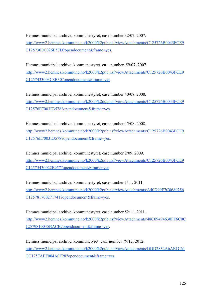Hemnes municipal archive, kommunestyret, case number 32/07. 2007. [http://www2.hemnes.kommune.no/k2000/k2pub.nsf/viewAttachments/C125726B0043FCE9](http://www2.hemnes.kommune.no/k2000/k2pub.nsf/viewAttachments/C125726B0043FCE9C125730D0026E57D?opendocument&frame=yes) [C125730D0026E57D?opendocument&frame=yes.](http://www2.hemnes.kommune.no/k2000/k2pub.nsf/viewAttachments/C125726B0043FCE9C125730D0026E57D?opendocument&frame=yes)

Hemnes municipal archive, kommunestyret, case number 59/07. 2007. [http://www2.hemnes.kommune.no/k2000/k2pub.nsf/viewAttachments/C125726B0043FCE9](http://www2.hemnes.kommune.no/k2000/k2pub.nsf/viewAttachments/C125726B0043FCE9C1257433003C8B30?opendocument&frame=yes) [C1257433003C8B30?opendocument&frame=yes](http://www2.hemnes.kommune.no/k2000/k2pub.nsf/viewAttachments/C125726B0043FCE9C1257433003C8B30?opendocument&frame=yes).

Hemnes municipal archive, kommunestyret, case number 40/08. 2008. [http://www2.hemnes.kommune.no/k2000/k2pub.nsf/viewAttachments/C125726B0043FCE9](http://www2.hemnes.kommune.no/k2000/k2pub.nsf/viewAttachments/C125726B0043FCE9C12576E7003E3578?opendocument&frame=yes) [C12576E7003E3578?opendocument&frame=yes.](http://www2.hemnes.kommune.no/k2000/k2pub.nsf/viewAttachments/C125726B0043FCE9C12576E7003E3578?opendocument&frame=yes)

Hemnes municipal archive, kommunestyret, case number 45/08. 2008. [http://www2.hemnes.kommune.no/k2000/k2pub.nsf/viewAttachments/C125726B0043FCE9](http://www2.hemnes.kommune.no/k2000/k2pub.nsf/viewAttachments/C125726B0043FCE9C12576E7003E3578?opendocument&frame=yes) [C12576E7003E3578?opendocument&frame=yes.](http://www2.hemnes.kommune.no/k2000/k2pub.nsf/viewAttachments/C125726B0043FCE9C12576E7003E3578?opendocument&frame=yes)

Hemnes municipal archive, kommunestyret, case number 2/09. 2009. [http://www2.hemnes.kommune.no/k2000/k2pub.nsf/viewAttachments/C125726B0043FCE9](http://www2.hemnes.kommune.no/k2000/k2pub.nsf/viewAttachments/C125726B0043FCE9C12575430022E957?opendocument&frame=yes) [C12575430022E957?opendocument&frame=yes](http://www2.hemnes.kommune.no/k2000/k2pub.nsf/viewAttachments/C125726B0043FCE9C12575430022E957?opendocument&frame=yes)

Hemnes municipal archive, kommunestyret, case number 1/11. 2011. [http://www2.hemnes.kommune.no/k2000/k2pub.nsf/viewAttachments/A40D99F7C0680256](http://www2.hemnes.kommune.no/k2000/k2pub.nsf/viewAttachments/A40D99F7C0680256C125781700271741?opendocument&frame=yes) [C125781700271741?opendocument&frame=yes](http://www2.hemnes.kommune.no/k2000/k2pub.nsf/viewAttachments/A40D99F7C0680256C125781700271741?opendocument&frame=yes).

Hemnes municipal archive, kommunestyret, case number 52/11. 2011. [http://www2.hemnes.kommune.no/k2000/k2pub.nsf/viewAttachments/48C09494630FF6C0C](http://www2.hemnes.kommune.no/k2000/k2pub.nsf/viewAttachments/48C09494630FF6C0C12579810035BACB?opendocument&frame=yes) [12579810035BACB?opendocument&frame=yes.](http://www2.hemnes.kommune.no/k2000/k2pub.nsf/viewAttachments/48C09494630FF6C0C12579810035BACB?opendocument&frame=yes)

Hemnes municipal archive, kommunetyret, case number 79/12. 2012. [http://www2.hemnes.kommune.no/k2000/k2pub.nsf/viewAttachments/DDD2832A6AE1C61](http://www2.hemnes.kommune.no/k2000/k2pub.nsf/viewAttachments/DDD2832A6AE1C61CC1257AEF004A0F28?opendocument&frame=yes) [CC1257AEF004A0F28?opendocument&frame=yes](http://www2.hemnes.kommune.no/k2000/k2pub.nsf/viewAttachments/DDD2832A6AE1C61CC1257AEF004A0F28?opendocument&frame=yes).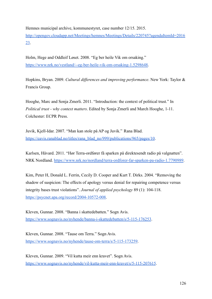Hemnes municipal archive, kommunestyret, case number 12/15. 2015. [http://opengov.cloudapp.net/Meetings/hemnes/Meetings/Details/220745?agendaItemId=2016](http://opengov.cloudapp.net/Meetings/hemnes/Meetings/Details/220745?agendaItemId=201623) [23](http://opengov.cloudapp.net/Meetings/hemnes/Meetings/Details/220745?agendaItemId=201623).

Holm, Hege and Oddleif Løset. 2008. "Eg ber heile Vik om orsaking." [https://www.nrk.no/vestland/--eg-ber-heile-vik-om-orsaking-1.5298648.](https://www.nrk.no/vestland/--eg-ber-heile-vik-om-orsaking-1.5298648)

Hopkins, Bryan. 2009. *Cultural differences and improving performance*. New York: Taylor & Francis Group.

Hooghe, Marc and Sonja Zmerli. 2011. "Introduction: the context of political trust." In *Political trust - why context matters*. Edited by Sonja Zmerli and March Hooghe, 1-11. Colchester: ECPR Press.

Juvik, Kjell-Idar. 2007. "Man kan stole på AP og Juvik." Rana Blad. [https://eavis.ranablad.no/titles/rana\\_blad\\_no/999/publications/965/pages/10](https://eavis.ranablad.no/titles/rana_blad_no/999/publications/965/pages/10).

Karlsen, Håvard. 2011. "Hør Terra-ordfører få sparken på direktesendt radio på valgnatten". NRK Nordland. [https://www.nrk.no/nordland/terra-ordforer-far-sparken-pa-radio-1.7790989.](https://www.nrk.no/nordland/terra-ordforer-far-sparken-pa-radio-1.7790989)

Kim, Peter H, Donald L. Ferrin, Cecily D. Cooper and Kurt T. Dirks. 2004. "Removing the shadow of suspicion: The effects of apology versus denial for repairing competence versus integrity bases trust violations". *Journal of applied psychology* 89 (1): 104-118. [https://psycnet.apa.org/record/2004-10572-008.](https://psycnet.apa.org/record/2004-10572-008)

Kleven, Gunnar. 2008. "Banna i skattedebatten." Sogn Avis. <https://www.sognavis.no/nyhende/banna-i-skattedebatten/s/5-115-176253>.

Kleven, Gunnar. 2008. "Tause om Terra." Sogn Avis. [https://www.sognavis.no/nyhende/tause-om-terra/s/5-115-173259.](https://www.sognavis.no/nyhende/tause-om-terra/s/5-115-173259)

Kleven, Gunnar. 2009. "Vil kutta meir enn kravet". Sogn Avis. <https://www.sognavis.no/nyhende/vil-kutta-meir-enn-kravet/s/5-115-207615>.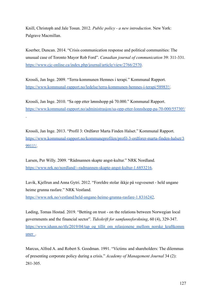Knill, Christoph and Jale Tosun. 2012. *Public policy - a new introduction*. New York: Palgrave Macmillan.

Koerber, Duncan. 2014. "Crisis communication response and political communities: The unusual case of Toronto Mayor Rob Ford". *Canadian journal of communication* 39: 311-331. <https://www.cjc-online.ca/index.php/journal/article/view/2766/2570>.

Krossli, Jan Inge. 2009. "Terra-kommunen Hemnes i terapi." Kommunal Rapport. <https://www.kommunal-rapport.no/ledelse/terra-kommunen-hemnes-i-terapi/58983!/>.

Krossli, Jan Inge. 2010. "Sa opp etter lønnshopp på 70.000." Kommunal Rapport. <https://www.kommunal-rapport.no/administrasjon/sa-opp-etter-lonnshopp-pa-70-000/55730!/>

Krossli, Jan Inge. 2013. "Profil 3: Ordfører Marta Finden Halset." Kommunal Rapport. [https://www.kommunal-rapport.no/kommuneprofilen/profil-3-ordforer-marta-finden-halset/3](https://www.kommunal-rapport.no/kommuneprofilen/profil-3-ordforer-marta-finden-halset/39911!/) [9911!/.](https://www.kommunal-rapport.no/kommuneprofilen/profil-3-ordforer-marta-finden-halset/39911!/)

Larsen, Per Willy. 2009. "Rådmannen skapte angst-kultur." NRK Nordland. [https://www.nrk.no/nordland/--radmannen-skapte-angst-kultur-1.6853216.](https://www.nrk.no/nordland/--radmannen-skapte-angst-kultur-1.6853216)

.

Lavik, Kjellrun and Anna Gytri. 2012. "Foreldre stolar ikkje på vegvesenet - held ungane heime grunna rasfare." NRK Vestland.

[https://www.nrk.no/vestland/held-ungane-heime-grunna-rasfare-1.8316242.](https://www.nrk.no/vestland/held-ungane-heime-grunna-rasfare-1.8316242)

Løding, Tomas Hostad. 2019. "Betting on trust - on the relations between Norwegian local governments and the financial sector". *Tidsskrift for samfunnsforskning*, 60 (4), 329-347. [https://www.idunn.no/tfs/2019/04/tap\\_og\\_tillit\\_om\\_relasjonene\\_mellom\\_norske\\_kraftkomm](https://www.idunn.no/tfs/2019/04/tap_og_tillit_om_relasjonene_mellom_norske_kraftkommuner_) [uner\\_](https://www.idunn.no/tfs/2019/04/tap_og_tillit_om_relasjonene_mellom_norske_kraftkommuner_).

Marcus, Alfred A. and Robert S. Goodman. 1991. "Victims and shareholders: The dilemmas of presenting corporate policy during a crisis." *Academy of Management Journal* 34 (2): 281-305.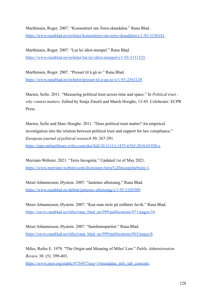Marthinsen, Roger. 2007. "Konsentrert om Terra-skandalen." Rana Blad. <https://www.ranablad.no/nyheter/konsentrert-om-terra-skandalen/s/1-93-3156161>.

Marthinsen, Roger. 2007. "Lut lei idiot-stempel." Rana Blad. [https://www.ranablad.no/nyheter/lut-lei-idiot-stempel/s/1-93-3151525.](https://www.ranablad.no/nyheter/lut-lei-idiot-stempel/s/1-93-3151525)

Marthinsen, Roger. 2007. "Presset til å gå av." Rana Blad. [https://www.ranablad.no/nyheter/presset-til-a-ga-av/s/1-93-2561129.](https://www.ranablad.no/nyheter/presset-til-a-ga-av/s/1-93-2561129)

Marien, Sofie. 2011. "Measuring political trust across time and space." In *Political trust why context matters*. Edited by Sonja Zmerli and March Hooghe, 13-45. Colchester: ECPR Press.

Marien, Sofie and Marc Hooghe. 2011. "Does political trust matter? An empirical investigation into the relation between political trust and support for law compliance." *European journal of political research* 50: 267-291. <https://ejpr.onlinelibrary.wiley.com/doi/full/10.1111/j.1475-6765.2010.01930.x>.

Merriam-Webster. 2021. "Terra Incognita." Updated 1st of May 2021. <https://www.merriam-webster.com/dictionary/terra%20incognita#note-1>.

Meier Johannessen, Øystein. 2007. "Jantenes aftensang." Rana Blad. <https://www.ranablad.no/debatt/jantenes-aftensang/s/1-93-3185509>.

Meier Johannessen, Øystein. 2007. "Kan man stole på ordfører Juvik." Rana Blad. [https://eavis.ranablad.no/titles/rana\\_blad\\_no/999/publications/971/pages/10](https://eavis.ranablad.no/titles/rana_blad_no/999/publications/971/pages/10).

Meier Johannessen, Øystein. 2007. "Samfunnspartiet." Rana Blad. [https://eavis.ranablad.no/titles/rana\\_blad\\_no/999/publications/965/pages/8](https://eavis.ranablad.no/titles/rana_blad_no/999/publications/965/pages/8).

Miles, Rufus E. 1978. "The Origin and Meaning of Miles' Law." *Public Administration Review* 38: (5): 399-403.

[https://www.jstor.org/stable/975497?seq=1#metadata\\_info\\_tab\\_contents](https://www.jstor.org/stable/975497?seq=1#metadata_info_tab_contents).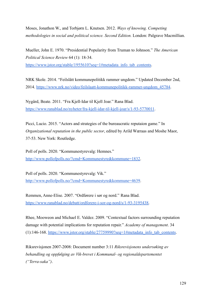Moses, Jonathon W., and Torbjørn L. Knutsen. 2012. *Ways of knowing. Competing methodologies in social and political science. Second Edition.* London: Palgrave Macmillian.

Mueller, John E. 1970. "Presidential Popularity from Truman to Johnson." *The American Political Science Review* 64 (1): 18-34. [https://www.jstor.org/stable/1955610?seq=1#metadata\\_info\\_tab\\_contents](https://www.jstor.org/stable/1955610?seq=1#metadata_info_tab_contents).

NRK Skole. 2014. "Feilslått kommunepolitikk rammer ungdom." Updated December 2nd, 2014. [https://www.nrk.no/video/feilslaatt-kommunepolitikk-rammer-ungdom\\_45784.](https://www.nrk.no/video/feilslaatt-kommunepolitikk-rammer-ungdom_45784)

Nygård, Beate. 2011. "Fra Kjell-Idar til Kjell Joar." Rana Blad. <https://www.ranablad.no/nyheter/fra-kjell-idar-til-kjell-joar/s/1-93-5770011>.

Picci, Lucio. 2015. "Actors and strategies of the bureaucratic reputaion game." In *Organizational reputation in the public sector*, edited by Arild Wæraas and Moshe Maor, 37-53. New York: Routledge.

Poll of polls. 2020. "Kommunestyrevalg: Hemnes." <http://www.pollofpolls.no/?cmd=Kommunestyre&kommune=1832>.

Poll of polls. 2020. "Kommunestyrevalg: Vik." <http://www.pollofpolls.no/?cmd=Kommunestyre&kommune=4639>.

Remmen, Anne-Elise. 2007. "Ordførere i sør og nord." Rana Blad. [https://www.ranablad.no/debatt/ordforere-i-sor-og-nord/s/1-93-3195438.](https://www.ranablad.no/debatt/ordforere-i-sor-og-nord/s/1-93-3195438)

Rhee, Mooweon and Michael E. Valdez. 2009. "Contextual factors surrounding reputation damage with potential implications for reputation repair." *Academy of management*. 34  $(1):146-168.$  [https://www.jstor.org/stable/27759990?seq=1#metadata\\_info\\_tab\\_contents](https://www.jstor.org/stable/27759990?seq=1#metadata_info_tab_contents).

Riksrevisjonen 2007-2008: Document number 3:11 *Riksrevisjonens undersøking av behandling og oppfølging av Vik-brevet i Kommunal- og regionaldepartementet ("Terra-saka")*.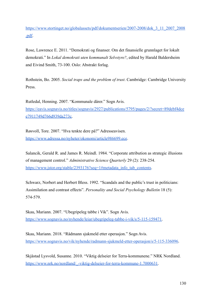[https://www.stortinget.no/globalassets/pdf/dokumentserien/2007-2008/dok\\_3\\_11\\_2007\\_2008](https://www.stortinget.no/globalassets/pdf/dokumentserien/2007-2008/dok_3_11_2007_2008.pdf) [.pdf.](https://www.stortinget.no/globalassets/pdf/dokumentserien/2007-2008/dok_3_11_2007_2008.pdf)

Rose, Lawrence E. 2011. "Demokrati og finanser. Om det finansielle grunnlaget for lokalt demokrati." In *Lokal demokrati uten kommunalt Selvstyre?*, edited by Harald Baldersheim and Eivind Smith, 73-100. Oslo: Abstrakt forlag.

Rothstein, Bo. 2005. *Social traps and the problem of trust*. Cambridge: Cambridge University Press.

Rutledal, Henning. 2007. "Kommunale dårer." Sogn Avis. [https://eavis.sognavis.no/titles/sognavis/2927/publications/5795/pages/2/?secret=89debf4dce](https://eavis.sognavis.no/titles/sognavis/2927/publications/5795/pages/2/?secret=89debf4dcee7911749d766d939da273c) [e7911749d766d939da273c.](https://eavis.sognavis.no/titles/sognavis/2927/publications/5795/pages/2/?secret=89debf4dcee7911749d766d939da273c)

Røsvoll, Tore. 2007. "Hva tenkte dere på?" Adresseavisen. <https://www.adressa.no/nyheter/okonomi/article986699.ece>.

Salancik, Gerald R. and James R. Meindl. 1984. "Corporate attribution as strategic illusions of management control." *Administrative Science Quarterly* 29 (2): 238-254. [https://www.jstor.org/stable/2393176?seq=1#metadata\\_info\\_tab\\_contents](https://www.jstor.org/stable/2393176?seq=1#metadata_info_tab_contents).

Schwarz, Norbert and Herbert Bless. 1992. "Scandals and the public's trust in politicians: Assimilation and contrast effects". *Personality and Social Psychology Bulletin* 18 (5): 574-579.

Skau, Mariann. 2007. "Ubegripeleg tabbe i Vik". Sogn Avis. [https://www.sognavis.no/nyhende/leiar/ubegripeleg-tabbe-i-vik/s/5-115-159471.](https://www.sognavis.no/nyhende/leiar/ubegripeleg-tabbe-i-vik/s/5-115-159471)

Skau, Mariann. 2018. "Rådmann sjukmeld etter operasjon." Sogn Avis. <https://www.sognavis.no/vik/nyhende/radmann-sjukmeld-etter-operasjon/s/5-115-336096>.

Skjåstad Lysvold, Susanne. 2010. "Viktig delseier for Terra-kommunene." NRK Nordland. [https://www.nrk.no/nordland/\\_-viktig-delseier-for-terra-kommune-1.7000631.](https://www.nrk.no/nordland/_-viktig-delseier-for-terra-kommune-1.7000631)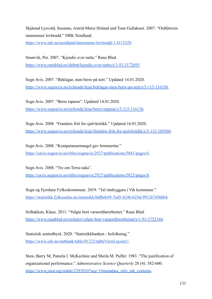Skjåstad Lysvold, Susanne, Astrid-Marie Holand and Tone Gullaksen. 2007. "Ordføreren innrømmer lovbrudd." NRK Nordland. [https://www.nrk.no/nordland/innrommer-lovbrudd-1.4113220.](https://www.nrk.no/nordland/innrommer-lovbrudd-1.4113220)

Smørvik, Per. 2007. "Kjendis over natta." Rana Blad. <https://www.ranablad.no/debatt/kjendis-over-natta/s/1-93-3172693>.

Sogn Avis. 2007. "Beklagar, men berre på nett." Updated 14.01.2020. [https://www.sognavis.no/nyhende/leiar/beklagar-men-berre-pa-nett/s/5-115-116196.](https://www.sognavis.no/nyhende/leiar/beklagar-men-berre-pa-nett/s/5-115-116196)

Sogn Avis. 2007. "Berre taparar". Updated 14.01.2020. [https://www.sognavis.no/nyhende/leiar/berre-taparar/s/5-115-116136.](https://www.sognavis.no/nyhende/leiar/berre-taparar/s/5-115-116136)

Sogn Avis. 2008. "Framleis fritt for sjølvkritikk." Updated 16.01.2020. [https://www.sognavis.no/nyhende/leiar/framleis-fritt-for-sjolvkritikk/s/5-115-169560.](https://www.sognavis.no/nyhende/leiar/framleis-fritt-for-sjolvkritikk/s/5-115-169560)

Sogn Avis. 2008. "Kompetansemangel gav bommertar." [https://eavis.sognavis.no/titles/sognavis/2927/publications/5881/pages/6.](https://eavis.sognavis.no/titles/sognavis/2927/publications/5881/pages/6)

Sogn Avis. 2008. "Tre om Terra-saka". [https://eavis.sognavis.no/titles/sognavis/2927/publications/5823/pages/8.](https://eavis.sognavis.no/titles/sognavis/2927/publications/5823/pages/8)

Sogn og Fjordane Fylkeskommune. 2019. "Tal innbyggara i Vik kommune." [https://statistikk.fylkesatlas.no/statistikk/0dfbeb59-7ed5-4246-b25d-99126769df64.](https://statistikk.fylkesatlas.no/statistikk/0dfbeb59-7ed5-4246-b25d-99126769df64)

Solbakken, Klaus. 2011. "Valgte bort varaordførerbeinet." Rana Blad. [https://www.ranablad.no/nyheter/valgte-bort-varaordforerbeinet/s/1-93-5752144.](https://www.ranablad.no/nyheter/valgte-bort-varaordforerbeinet/s/1-93-5752144)

Statistisk sentralbyrå. 2020. "Statistikkbanken - befolkning." <https://www.ssb.no/statbank/table/01222/tableViewLayout1/>.

Staw, Barry M, Pamela I. McKechnie and Sheila M. Puffer. 1983. "The justification of organizational performance." *Administrative Science Quarterly* 28 (4): 582-600. [https://www.jstor.org/stable/2393010?seq=1#metadata\\_info\\_tab\\_contents](https://www.jstor.org/stable/2393010?seq=1#metadata_info_tab_contents).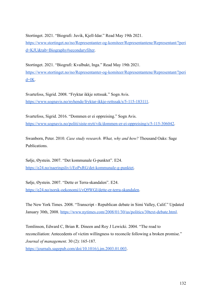Stortinget. 2021. "Biografi: Juvik, Kjell-Idar." Read May 19th 2021. [https://www.stortinget.no/no/Representanter-og-komiteer/Representantene/Representant/?peri](https://www.stortinget.no/no/Representanter-og-komiteer/Representantene/Representant/?perid=KJU&tab=Biography#secondaryfilter) [d=KJU&tab=Biography#secondaryfilter](https://www.stortinget.no/no/Representanter-og-komiteer/Representantene/Representant/?perid=KJU&tab=Biography#secondaryfilter).

Stortinget. 2021. "Biografi: Kvalbukt, Inga." Read May 19th 2021. [https://www.stortinget.no/no/Representanter-og-komiteer/Representantene/Representant/?peri](https://www.stortinget.no/no/Representanter-og-komiteer/Representantene/Representant/?perid=IK) [d=IK](https://www.stortinget.no/no/Representanter-og-komiteer/Representantene/Representant/?perid=IK).

Svartefoss, Sigrid. 2008. "Fryktar ikkje rettssak." Sogn Avis. [https://www.sognavis.no/nyhende/fryktar-ikkje-rettssak/s/5-115-183111.](https://www.sognavis.no/nyhende/fryktar-ikkje-rettssak/s/5-115-183111)

Svartefoss, Sigrid. 2016. "Dommen er ei oppreising." Sogn Avis. [https://www.sognavis.no/politi/siste-nytt/vik/dommen-er-ei-oppreising/s/5-115-306042.](https://www.sognavis.no/politi/siste-nytt/vik/dommen-er-ei-oppreising/s/5-115-306042)

Swanborn, Peter. 2010. *Case study research. What, why and how?* Thousand Oaks: Sage Publications.

Sølje, Øystein. 2007. "Det kommunale G-punktet". E24. [https://e24.no/naeringsliv/i/EoPxRG/det-kommunale-g-punktet.](https://e24.no/naeringsliv/i/EoPxRG/det-kommunale-g-punktet)

Sølje, Øystein. 2007. "Dette er Terra-skandalen". E24. <https://e24.no/norsk-oekonomi/i/vQ9WGl/dette-er-terra-skandalen>.

The New York Times. 2008. "Transcript - Republican debate in Simi Valley, Calif." Updated January 30th, 2008. <https://www.nytimes.com/2008/01/30/us/politics/30text-debate.html>.

Tomlinson, Edward C, Brian R. Dineen and Roy J Lewicki. 2004. "The road to reconciliation: Antecedents of victim willingness to reconcile following a broken promise." *Journal of management*. 30 (2): 165-187. <https://journals.sagepub.com/doi/10.1016/j.jm.2003.01.003>.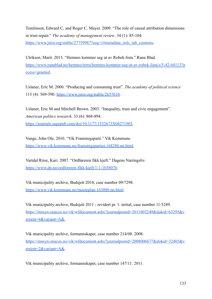Tomlinson, Edward C, and Roger C. Mayer. 2009. "The role of causal attribution dimensions in trust repair." *The academy of management review*. 34 (1): 85-104. [https://www.jstor.org/stable/27759987?seq=1#metadata\\_info\\_tab\\_contents](https://www.jstor.org/stable/27759987?seq=1#metadata_info_tab_contents).

Ulriksen, Marit. 2015. "Hemnes kommer seg ut av Robek-lista." Rana Blad. [https://www.ranablad.no/hemnes/terra/hemnes-kommer-seg-ut-av-robek-lista/s/5-42-64113?a](https://www.ranablad.no/hemnes/terra/hemnes-kommer-seg-ut-av-robek-lista/s/5-42-64113?access=granted) [ccess=granted](https://www.ranablad.no/hemnes/terra/hemnes-kommer-seg-ut-av-robek-lista/s/5-42-64113?access=granted).

Uslaner, Eric M. 2000. "Producing and consuming trust". *The academy of political science* 115 (4): 569-590. [https://www.jstor.org/stable/2657610.](https://www.jstor.org/stable/2657610)

Uslaner, Eric M and Mitchell Brown. 2003. "Inequality, trust and civic engagement". *American politics research*. 33 (6): 868-894. [https://journals.sagepub.com/doi/10.1177/1532673X04271903.](https://journals.sagepub.com/doi/10.1177/1532673X04271903)

Vange, John Ole. 2010. "Vik Framstegsparti." Vik Kommune. [https://www.vik.kommune.no/framstegspartiet.168280.nn.html.](https://www.vik.kommune.no/framstegspartiet.168280.nn.html)

Vartdal Riise, Kari. 2007. "Ordføreren fikk kjeft." Dagens Næringsliv. <https://www.dn.no/ordforeren-fikk-kjeft/1-1-1038076>.

Vik municipality archive, Budsjett 2010, case number 09/7298. <https://www.vik.kommune.no/moeteplan.163080.nn.html>.

Vik municipality archive, Budsjett 2011 - revidert pr. 1. tertial, case number 11/3249. [https://innsyn.onacos.no/vik/wfdocument.ashx?journalpostid=2011003249&dokid=63295&v](https://innsyn.onacos.no/vik/wfdocument.ashx?journalpostid=2011003249&dokid=63295&versjon=4&variant=A&) [ersjon=4&variant=A&.](https://innsyn.onacos.no/vik/wfdocument.ashx?journalpostid=2011003249&dokid=63295&versjon=4&variant=A&)

Vik municipality archive, formannskapet, case number 214/08. 2008. [https://innsyn.onacos.no/vik/wfdocument.ashx?journalpostid=2008006677&dokid=32403&v](https://innsyn.onacos.no/vik/wfdocument.ashx?journalpostid=2008006677&dokid=32403&versjon=2&variant=A&) [ersjon=2&variant=A&.](https://innsyn.onacos.no/vik/wfdocument.ashx?journalpostid=2008006677&dokid=32403&versjon=2&variant=A&)

Vik municipality archive, formannskapet, case number 147/11. 2011.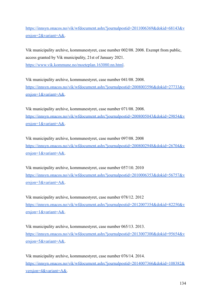[https://innsyn.onacos.no/vik/wfdocument.ashx?journalpostid=2011006369&dokid=68143&v](https://innsyn.onacos.no/vik/wfdocument.ashx?journalpostid=2011006369&dokid=68143&versjon=2&variant=A&) [ersjon=2&variant=A&.](https://innsyn.onacos.no/vik/wfdocument.ashx?journalpostid=2011006369&dokid=68143&versjon=2&variant=A&)

Vik municipality archive, kommunestyret, case number 002/08. 2008. Exempt from public, access granted by Vik municipality, 21st of January 2021. <https://www.vik.kommune.no/moeteplan.163080.nn.html>.

Vik municipality archive, kommunestyret, case number 041/08. 2008. [https://innsyn.onacos.no/vik/wfdocument.ashx?journalpostid=2008003596&dokid=27733&v](https://innsyn.onacos.no/vik/wfdocument.ashx?journalpostid=2008003596&dokid=27733&versjon=1&variant=A&) [ersjon=1&variant=A&.](https://innsyn.onacos.no/vik/wfdocument.ashx?journalpostid=2008003596&dokid=27733&versjon=1&variant=A&)

Vik municipality archive, kommunestyret, case number 071/08. 2008. [https://innsyn.onacos.no/vik/wfdocument.ashx?journalpostid=2008005043&dokid=29854&v](https://innsyn.onacos.no/vik/wfdocument.ashx?journalpostid=2008005043&dokid=29854&versjon=1&variant=A&) [ersjon=1&variant=A&.](https://innsyn.onacos.no/vik/wfdocument.ashx?journalpostid=2008005043&dokid=29854&versjon=1&variant=A&)

Vik municipality archive, kommunestyret, case number 097/08. 2008 [https://innsyn.onacos.no/vik/wfdocument.ashx?journalpostid=2008002948&dokid=26704&v](https://innsyn.onacos.no/vik/wfdocument.ashx?journalpostid=2008002948&dokid=26704&versjon=1&variant=A&) [ersjon=1&variant=A&.](https://innsyn.onacos.no/vik/wfdocument.ashx?journalpostid=2008002948&dokid=26704&versjon=1&variant=A&)

Vik municipality archive, kommunestyret, case number 057/10. 2010 [https://innsyn.onacos.no/vik/wfdocument.ashx?journalpostid=2010006353&dokid=56757&v](https://innsyn.onacos.no/vik/wfdocument.ashx?journalpostid=2010006353&dokid=56757&versjon=3&variant=A&) [ersjon=3&variant=A&.](https://innsyn.onacos.no/vik/wfdocument.ashx?journalpostid=2010006353&dokid=56757&versjon=3&variant=A&)

Vik municipality archive, kommunestyret, case number 078/12. 2012 [https://innsyn.onacos.no/vik/wfdocument.ashx?journalpostid=2012007354&dokid=82250&v](https://innsyn.onacos.no/vik/wfdocument.ashx?journalpostid=2012007354&dokid=82250&versjon=1&variant=A&) [ersjon=1&variant=A&.](https://innsyn.onacos.no/vik/wfdocument.ashx?journalpostid=2012007354&dokid=82250&versjon=1&variant=A&)

Vik municipality archive, kommunestyret, case number 065/13. 2013. [https://innsyn.onacos.no/vik/wfdocument.ashx?journalpostid=2013007300&dokid=95654&v](https://innsyn.onacos.no/vik/wfdocument.ashx?journalpostid=2013007300&dokid=95654&versjon=5&variant=A&) [ersjon=5&variant=A&.](https://innsyn.onacos.no/vik/wfdocument.ashx?journalpostid=2013007300&dokid=95654&versjon=5&variant=A&)

Vik municipality archive, kommunestyret, case number 076/14. 2014. [https://innsyn.onacos.no/vik/wfdocument.ashx?journalpostid=2014007366&dokid=108382&](https://innsyn.onacos.no/vik/wfdocument.ashx?journalpostid=2014007366&dokid=108382&versjon=4&variant=A&) [versjon=4&variant=A&.](https://innsyn.onacos.no/vik/wfdocument.ashx?journalpostid=2014007366&dokid=108382&versjon=4&variant=A&)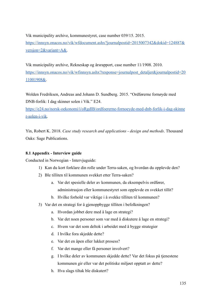Vik municipality archive, kommunestyret, case number 039/15. 2015. [https://innsyn.onacos.no/vik/wfdocument.ashx?journalpostid=2015007342&dokid=124887&](https://innsyn.onacos.no/vik/wfdocument.ashx?journalpostid=2015007342&dokid=124887&versjon=2&variant=A&) [versjon=2&variant=A&.](https://innsyn.onacos.no/vik/wfdocument.ashx?journalpostid=2015007342&dokid=124887&versjon=2&variant=A&)

Vik municipality archive, Rekneskap og årsrapport, case number 11/1908. 2010. [https://innsyn.onacos.no/vik/wfinnsyn.ashx?response=journalpost\\_detaljer&journalpostid=20](https://innsyn.onacos.no/vik/wfinnsyn.ashx?response=journalpost_detaljer&journalpostid=2011001908&) [11001908&.](https://innsyn.onacos.no/vik/wfinnsyn.ashx?response=journalpost_detaljer&journalpostid=2011001908&)

Wolden Fredriksen, Andreas and Johann D. Sundberg. 2015. "Ordførerne fornøyde med DNB-forlik: I dag skinner solen i Vik." E24.

[https://e24.no/norsk-oekonomi/i/oRgdlB/ordfoererne-fornoeyde-med-dnb-forlik-i-dag-skinne](https://e24.no/norsk-oekonomi/i/oRgdlB/ordfoererne-fornoeyde-med-dnb-forlik-i-dag-skinner-solen-i-vik) [r-solen-i-vik.](https://e24.no/norsk-oekonomi/i/oRgdlB/ordfoererne-fornoeyde-med-dnb-forlik-i-dag-skinner-solen-i-vik)

Yin, Robert K. 2018. *Case study research and applications - design and methods*. Thousand Oaks: Sage Publications.

# **8.1 Appendix - Interview guide**

Conducted in Norwegian - Intervjuguide:

- 1) Kan du kort forklare din rolle under Terra-saken, og hvordan du opplevde den?
- 2) Ble tilliten til kommunen svekket etter Terra-saken?
	- a. Var det spesielle deler av kommunen, da eksempelvis ordfører, administrasjon eller kommunestyret som opplevde en svekket tillit?
	- b. Hvilke forhold var viktige i å svekke tilliten til kommunen?
- 3) Var det en strategi for å gjenoppbygge tilliten i befolkningen?
	- a. Hvordan jobbet dere med å lage en strategi?
	- b. Var det noen personer som var med å diskutere å lage en strategi?
	- c. Hvem var det som deltok i arbeidet med å bygge strategier
	- d. I hvilke fora skjedde dette?
	- e. Var det en åpen eller lukket prosess?
	- f. Var det mange eller få personer involvert?
	- g. I hvilke deler av kommunen skjedde dette? Var det fokus på tjenestene kommunen gir eller var det politiske miljøet opptatt av dette?
	- h. Hva slags tiltak ble diskutert?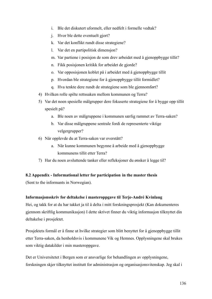- i. Ble det diskutert uformelt, eller nedfelt i formelle vedtak?
- j. Hvor ble dette eventuelt gjort?
- k. Var det konflikt rundt disse strategiene?
- l. Var det en partipolitisk dimensjon?
- m. Var partiene i posisjon de som drev arbeidet med å gjenoppbygge tillit?
- n. Fikk posisjonen kritikk for arbeidet de gjorde?
- o. Var opposisjonen koblet på i arbeidet med å gjenoppbygge tillit
- p. Hvordan ble strategiene for å gjenoppbygge tillit formidlet?
- q. Hva tenkte dere rundt de strategiene som ble gjennomført?
- 4) Hvilken rolle spilte rettssaken mellom kommunen og Terra?
- 5) Var det noen spesielle målgrupper dere fokuserte strategiene for å bygge opp tillit spesielt på?
	- a. Ble noen av målgruppene i kommunen særlig rammet av Terra-saken?
	- b. Var disse målgruppene sentrale fordi de representerte viktige velgergrupper?
- 6) Når opplevde du at Terra-saken var overstått?
	- a. Når kunne kommunen begynne å arbeide med å gjenoppbygge kommunens tillit etter Terra?
- 7) Har du noen avsluttende tanker eller refleksjoner du ønsker å legge til?

# **8.2 Appendix - Informational letter for participation in the master thesis**

(Sent to the informants in Norwegian).

# **Informasjonsskriv for deltakelse i masteroppgave til Terje-André Kvinlaug**

Hei, og takk for at du har takket ja til å delta i mitt forskningsprosjekt (Kan dokumenteres gjennom skriftlig kommunikasjon) I dette skrivet finner du viktig informasjon tilknyttet din deltakelse i prosjektet.

Prosjektets formål er å finne ut hvilke strategier som blitt benyttet for å gjenoppbygge tillit etter Terra-saken, da henholdsvis i kommunene Vik og Hemnes. Opplysningene skal brukes som viktig datakilder i min masteroppgave.

Det er Universitetet i Bergen som er ansvarlige for behandlingen av opplysningene, forskningen skjer tilknyttet institutt for administrasjon og organisasjonsvitenskap. Jeg skal i